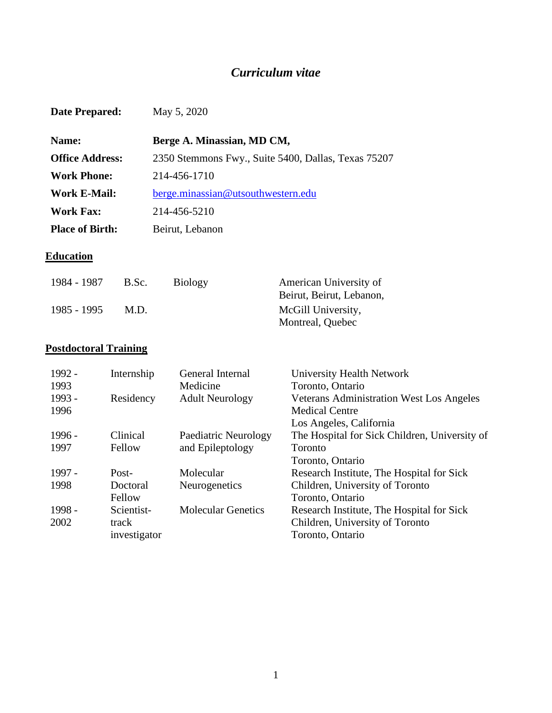# *Curriculum vitae*

| <b>Date Prepared:</b>  | May 5, 2020                                         |
|------------------------|-----------------------------------------------------|
| Name:                  | Berge A. Minassian, MD CM,                          |
| <b>Office Address:</b> | 2350 Stemmons Fwy., Suite 5400, Dallas, Texas 75207 |
| Work Phone:            | 214-456-1710                                        |
| <b>Work E-Mail:</b>    | berge.minassian@utsouthwestern.edu                  |
| <b>Work Fax:</b>       | 214-456-5210                                        |
| <b>Place of Birth:</b> | Beirut, Lebanon                                     |

## **Education**

| 1984 - 1987 | B.Sc. | <b>Biology</b> | American University of   |
|-------------|-------|----------------|--------------------------|
|             |       |                | Beirut, Beirut, Lebanon, |
| 1985 - 1995 | M.D.  |                | McGill University,       |
|             |       |                | Montreal, Quebec         |

# **Postdoctoral Training**

| 1992 -   | Internship   | General Internal          | University Health Network                       |
|----------|--------------|---------------------------|-------------------------------------------------|
| 1993     |              | Medicine                  | Toronto, Ontario                                |
| 1993 -   | Residency    | <b>Adult Neurology</b>    | <b>Veterans Administration West Los Angeles</b> |
| 1996     |              |                           | <b>Medical Centre</b>                           |
|          |              |                           | Los Angeles, California                         |
| $1996 -$ | Clinical     | Paediatric Neurology      | The Hospital for Sick Children, University of   |
| 1997     | Fellow       | and Epileptology          | Toronto                                         |
|          |              |                           | Toronto, Ontario                                |
| 1997 -   | Post-        | Molecular                 | Research Institute, The Hospital for Sick       |
| 1998     | Doctoral     | Neurogenetics             | Children, University of Toronto                 |
|          | Fellow       |                           | Toronto, Ontario                                |
| 1998 -   | Scientist-   | <b>Molecular Genetics</b> | Research Institute, The Hospital for Sick       |
| 2002     | track        |                           | Children, University of Toronto                 |
|          | investigator |                           | Toronto, Ontario                                |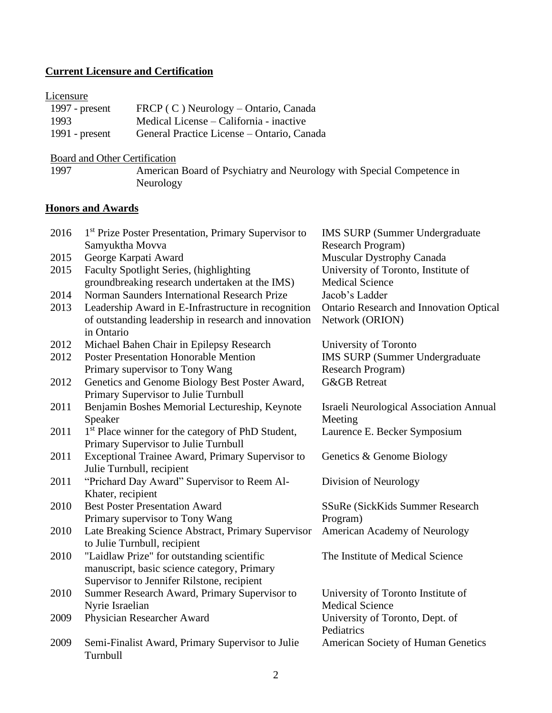## **Current Licensure and Certification**

## **Licensure**

| 1997 - $present$ | FRCP (C) Neurology – Ontario, Canada       |
|------------------|--------------------------------------------|
| 1993             | Medical License – California - inactive    |
| 1991 - $present$ | General Practice License – Ontario, Canada |

# Board and Other Certification<br>1997 **American**

American Board of Psychiatry and Neurology with Special Competence in Neurology

## **Honors and Awards**

| 2016 | <sup>1st</sup> Prize Poster Presentation, Primary Supervisor to | <b>IMS SURP (Summer Undergraduate)</b>                       |
|------|-----------------------------------------------------------------|--------------------------------------------------------------|
|      | Samyuktha Movva                                                 | Research Program)                                            |
| 2015 | George Karpati Award                                            | Muscular Dystrophy Canada                                    |
| 2015 | Faculty Spotlight Series, (highlighting                         | University of Toronto, Institute of                          |
|      | groundbreaking research undertaken at the IMS)                  | <b>Medical Science</b>                                       |
| 2014 | Norman Saunders International Research Prize                    | Jacob's Ladder                                               |
| 2013 | Leadership Award in E-Infrastructure in recognition             | <b>Ontario Research and Innovation Optical</b>               |
|      | of outstanding leadership in research and innovation            | Network (ORION)                                              |
|      | in Ontario                                                      |                                                              |
| 2012 | Michael Bahen Chair in Epilepsy Research                        | University of Toronto                                        |
| 2012 | <b>Poster Presentation Honorable Mention</b>                    | <b>IMS SURP (Summer Undergraduate)</b>                       |
|      | Primary supervisor to Tony Wang                                 | Research Program)                                            |
| 2012 | Genetics and Genome Biology Best Poster Award,                  | <b>G&amp;GB</b> Retreat                                      |
|      | Primary Supervisor to Julie Turnbull                            |                                                              |
| 2011 | Benjamin Boshes Memorial Lectureship, Keynote                   | <b>Israeli Neurological Association Annual</b>               |
|      | Speaker                                                         | Meeting                                                      |
| 2011 | 1 <sup>st</sup> Place winner for the category of PhD Student,   | Laurence E. Becker Symposium                                 |
|      | Primary Supervisor to Julie Turnbull                            |                                                              |
| 2011 | Exceptional Trainee Award, Primary Supervisor to                | Genetics & Genome Biology                                    |
|      | Julie Turnbull, recipient                                       |                                                              |
| 2011 | "Prichard Day Award" Supervisor to Reem Al-                     | Division of Neurology                                        |
|      | Khater, recipient                                               |                                                              |
| 2010 | <b>Best Poster Presentation Award</b>                           | SSuRe (SickKids Summer Research                              |
|      | Primary supervisor to Tony Wang                                 | Program)                                                     |
| 2010 | Late Breaking Science Abstract, Primary Supervisor              | American Academy of Neurology                                |
|      | to Julie Turnbull, recipient                                    |                                                              |
| 2010 | "Laidlaw Prize" for outstanding scientific                      | The Institute of Medical Science                             |
|      | manuscript, basic science category, Primary                     |                                                              |
|      | Supervisor to Jennifer Rilstone, recipient                      |                                                              |
| 2010 | Summer Research Award, Primary Supervisor to                    | University of Toronto Institute of<br><b>Medical Science</b> |
|      | Nyrie Israelian                                                 |                                                              |
| 2009 | Physician Researcher Award                                      | University of Toronto, Dept. of<br>Pediatrics                |
| 2009 | Semi-Finalist Award, Primary Supervisor to Julie                | <b>American Society of Human Genetics</b>                    |
|      | Turnbull                                                        |                                                              |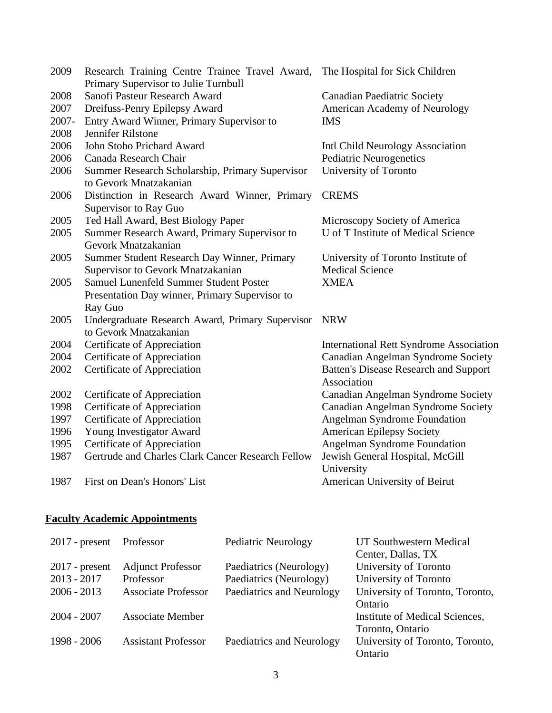| 2009  | Research Training Centre Trainee Travel Award,<br>Primary Supervisor to Julie Turnbull | The Hospital for Sick Children                 |
|-------|----------------------------------------------------------------------------------------|------------------------------------------------|
| 2008  | Sanofi Pasteur Research Award                                                          | <b>Canadian Paediatric Society</b>             |
| 2007  | Dreifuss-Penry Epilepsy Award                                                          | American Academy of Neurology                  |
| 2007- | Entry Award Winner, Primary Supervisor to                                              | <b>IMS</b>                                     |
| 2008  | Jennifer Rilstone                                                                      |                                                |
| 2006  | John Stobo Prichard Award                                                              | Intl Child Neurology Association               |
| 2006  | Canada Research Chair                                                                  | Pediatric Neurogenetics                        |
| 2006  | Summer Research Scholarship, Primary Supervisor                                        | University of Toronto                          |
|       | to Gevork Mnatzakanian                                                                 |                                                |
| 2006  | Distinction in Research Award Winner, Primary                                          | <b>CREMS</b>                                   |
|       | Supervisor to Ray Guo                                                                  |                                                |
| 2005  | Ted Hall Award, Best Biology Paper                                                     | Microscopy Society of America                  |
| 2005  | Summer Research Award, Primary Supervisor to                                           | U of T Institute of Medical Science            |
|       | Gevork Mnatzakanian                                                                    |                                                |
| 2005  | Summer Student Research Day Winner, Primary                                            | University of Toronto Institute of             |
|       | Supervisor to Gevork Mnatzakanian                                                      | <b>Medical Science</b>                         |
| 2005  | Samuel Lunenfeld Summer Student Poster                                                 | <b>XMEA</b>                                    |
|       | Presentation Day winner, Primary Supervisor to                                         |                                                |
|       | Ray Guo                                                                                |                                                |
| 2005  | Undergraduate Research Award, Primary Supervisor                                       | <b>NRW</b>                                     |
|       | to Gevork Mnatzakanian                                                                 |                                                |
| 2004  | Certificate of Appreciation                                                            | <b>International Rett Syndrome Association</b> |
| 2004  | Certificate of Appreciation                                                            | Canadian Angelman Syndrome Society             |
| 2002  | Certificate of Appreciation                                                            | <b>Batten's Disease Research and Support</b>   |
|       |                                                                                        | Association                                    |
| 2002  | Certificate of Appreciation                                                            | Canadian Angelman Syndrome Society             |
| 1998  | Certificate of Appreciation                                                            | Canadian Angelman Syndrome Society             |
| 1997  | Certificate of Appreciation                                                            | Angelman Syndrome Foundation                   |
| 1996  | Young Investigator Award                                                               | <b>American Epilepsy Society</b>               |
| 1995  | Certificate of Appreciation                                                            | Angelman Syndrome Foundation                   |
| 1987  | Gertrude and Charles Clark Cancer Research Fellow                                      | Jewish General Hospital, McGill                |
|       |                                                                                        | University                                     |
| 1987  | First on Dean's Honors' List                                                           | American University of Beirut                  |
|       |                                                                                        |                                                |

# **Faculty Academic Appointments**

| $2017$ - present | Professor                  | <b>Pediatric Neurology</b> | UT Southwestern Medical         |
|------------------|----------------------------|----------------------------|---------------------------------|
|                  |                            |                            | Center, Dallas, TX              |
| $2017$ - present | <b>Adjunct Professor</b>   | Paediatrics (Neurology)    | University of Toronto           |
| $2013 - 2017$    | Professor                  | Paediatrics (Neurology)    | University of Toronto           |
| $2006 - 2013$    | <b>Associate Professor</b> | Paediatrics and Neurology  | University of Toronto, Toronto, |
|                  |                            |                            | Ontario                         |
| $2004 - 2007$    | <b>Associate Member</b>    |                            | Institute of Medical Sciences,  |
|                  |                            |                            | Toronto, Ontario                |
| 1998 - 2006      | <b>Assistant Professor</b> | Paediatrics and Neurology  | University of Toronto, Toronto, |
|                  |                            |                            | Ontario                         |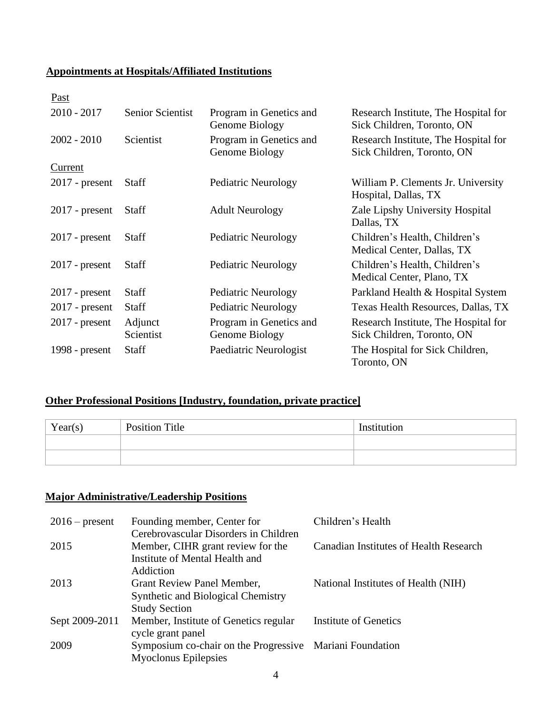## **Appointments at Hospitals/Affiliated Institutions**

| Past             |                         |                                           |                                                                    |
|------------------|-------------------------|-------------------------------------------|--------------------------------------------------------------------|
| $2010 - 2017$    | <b>Senior Scientist</b> | Program in Genetics and<br>Genome Biology | Research Institute, The Hospital for<br>Sick Children, Toronto, ON |
| $2002 - 2010$    | Scientist               | Program in Genetics and<br>Genome Biology | Research Institute, The Hospital for<br>Sick Children, Toronto, ON |
| <b>Current</b>   |                         |                                           |                                                                    |
| $2017$ - present | <b>Staff</b>            | Pediatric Neurology                       | William P. Clements Jr. University<br>Hospital, Dallas, TX         |
| $2017$ - present | <b>Staff</b>            | <b>Adult Neurology</b>                    | Zale Lipshy University Hospital<br>Dallas, TX                      |
| $2017$ - present | <b>Staff</b>            | Pediatric Neurology                       | Children's Health, Children's<br>Medical Center, Dallas, TX        |
| $2017$ - present | <b>Staff</b>            | Pediatric Neurology                       | Children's Health, Children's<br>Medical Center, Plano, TX         |
| $2017$ - present | <b>Staff</b>            | Pediatric Neurology                       | Parkland Health & Hospital System                                  |
| $2017$ - present | <b>Staff</b>            | Pediatric Neurology                       | Texas Health Resources, Dallas, TX                                 |
| $2017$ - present | Adjunct<br>Scientist    | Program in Genetics and<br>Genome Biology | Research Institute, The Hospital for<br>Sick Children, Toronto, ON |
| 1998 - present   | <b>Staff</b>            | Paediatric Neurologist                    | The Hospital for Sick Children,<br>Toronto, ON                     |

## **Other Professional Positions [Industry, foundation, private practice]**

| Year(s) | <b>Position Title</b> | Institution |
|---------|-----------------------|-------------|
|         |                       |             |
|         |                       |             |

## **Major Administrative/Leadership Positions**

| $2016$ – present | Founding member, Center for<br>Cerebrovascular Disorders in Children                                         | Children's Health                      |
|------------------|--------------------------------------------------------------------------------------------------------------|----------------------------------------|
| 2015             | Member, CIHR grant review for the<br>Institute of Mental Health and                                          | Canadian Institutes of Health Research |
| 2013             | Addiction<br>Grant Review Panel Member,<br><b>Synthetic and Biological Chemistry</b><br><b>Study Section</b> | National Institutes of Health (NIH)    |
| Sept 2009-2011   | Member, Institute of Genetics regular<br>cycle grant panel                                                   | <b>Institute of Genetics</b>           |
| 2009             | Symposium co-chair on the Progressive Mariani Foundation<br><b>Myoclonus Epilepsies</b>                      |                                        |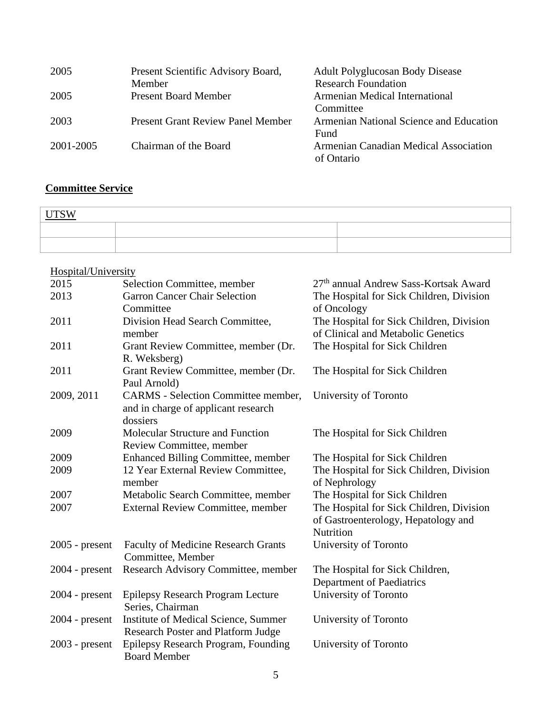| 2005      | Present Scientific Advisory Board,       | <b>Adult Polyglucosan Body Disease</b>  |
|-----------|------------------------------------------|-----------------------------------------|
|           | Member                                   | <b>Research Foundation</b>              |
| 2005      | <b>Present Board Member</b>              | Armenian Medical International          |
|           |                                          | Committee                               |
| 2003      | <b>Present Grant Review Panel Member</b> | Armenian National Science and Education |
|           |                                          | Fund                                    |
| 2001-2005 | Chairman of the Board                    | Armenian Canadian Medical Association   |
|           |                                          | of Ontario                              |

# **Committee Service**

| <b>VV</b> |  |  |
|-----------|--|--|
|           |  |  |
|           |  |  |

# Hospital/University

| 2015             | Selection Committee, member                | 27 <sup>th</sup> annual Andrew Sass-Kortsak Award |
|------------------|--------------------------------------------|---------------------------------------------------|
| 2013             | <b>Garron Cancer Chair Selection</b>       | The Hospital for Sick Children, Division          |
|                  | Committee                                  | of Oncology                                       |
| 2011             | Division Head Search Committee,            | The Hospital for Sick Children, Division          |
|                  | member                                     | of Clinical and Metabolic Genetics                |
| 2011             | Grant Review Committee, member (Dr.        | The Hospital for Sick Children                    |
|                  | R. Weksberg)                               |                                                   |
| 2011             | Grant Review Committee, member (Dr.        | The Hospital for Sick Children                    |
|                  | Paul Arnold)                               |                                                   |
| 2009, 2011       | <b>CARMS</b> - Selection Committee member, | University of Toronto                             |
|                  | and in charge of applicant research        |                                                   |
|                  | dossiers                                   |                                                   |
| 2009             | Molecular Structure and Function           | The Hospital for Sick Children                    |
|                  | Review Committee, member                   |                                                   |
| 2009             | Enhanced Billing Committee, member         | The Hospital for Sick Children                    |
| 2009             | 12 Year External Review Committee,         | The Hospital for Sick Children, Division          |
|                  | member                                     | of Nephrology                                     |
| 2007             | Metabolic Search Committee, member         | The Hospital for Sick Children                    |
| 2007             | <b>External Review Committee, member</b>   | The Hospital for Sick Children, Division          |
|                  |                                            | of Gastroenterology, Hepatology and               |
|                  |                                            | Nutrition                                         |
| $2005$ - present | <b>Faculty of Medicine Research Grants</b> | University of Toronto                             |
|                  | Committee, Member                          |                                                   |
| $2004$ - present | Research Advisory Committee, member        | The Hospital for Sick Children,                   |
|                  |                                            | Department of Paediatrics                         |
| $2004$ - present | Epilepsy Research Program Lecture          | University of Toronto                             |
|                  | Series, Chairman                           |                                                   |
| $2004$ - present | Institute of Medical Science, Summer       | University of Toronto                             |
|                  | <b>Research Poster and Platform Judge</b>  |                                                   |
| $2003$ - present | Epilepsy Research Program, Founding        | University of Toronto                             |
|                  | <b>Board Member</b>                        |                                                   |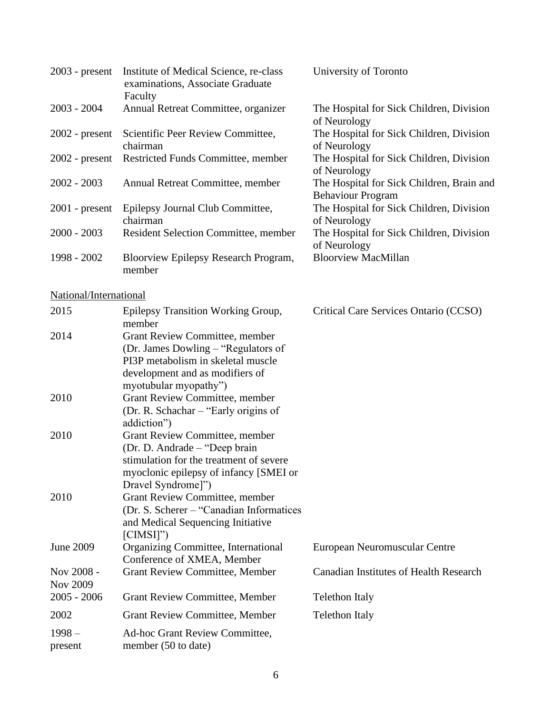| $2003$ - present       | Institute of Medical Science, re-class<br>examinations, Associate Graduate<br>Faculty                                                                                      | University of Toronto                                                 |
|------------------------|----------------------------------------------------------------------------------------------------------------------------------------------------------------------------|-----------------------------------------------------------------------|
| $2003 - 2004$          | Annual Retreat Committee, organizer                                                                                                                                        | The Hospital for Sick Children, Division<br>of Neurology              |
| $2002$ - present       | Scientific Peer Review Committee,<br>chairman                                                                                                                              | The Hospital for Sick Children, Division<br>of Neurology              |
| $2002$ - present       | Restricted Funds Committee, member                                                                                                                                         | The Hospital for Sick Children, Division<br>of Neurology              |
| $2002 - 2003$          | Annual Retreat Committee, member                                                                                                                                           | The Hospital for Sick Children, Brain and<br><b>Behaviour Program</b> |
| $2001$ - present       | Epilepsy Journal Club Committee,<br>chairman                                                                                                                               | The Hospital for Sick Children, Division<br>of Neurology              |
| $2000 - 2003$          | Resident Selection Committee, member                                                                                                                                       | The Hospital for Sick Children, Division<br>of Neurology              |
| 1998 - 2002            | Bloorview Epilepsy Research Program,<br>member                                                                                                                             | <b>Bloorview MacMillan</b>                                            |
| National/International |                                                                                                                                                                            |                                                                       |
| 2015                   | Epilepsy Transition Working Group,<br>member                                                                                                                               | Critical Care Services Ontario (CCSO)                                 |
| 2014                   | Grant Review Committee, member<br>(Dr. James Dowling – "Regulators of<br>PI3P metabolism in skeletal muscle<br>development and as modifiers of<br>myotubular myopathy")    |                                                                       |
| 2010                   | Grant Review Committee, member<br>(Dr. R. Schachar – "Early origins of<br>addiction")                                                                                      |                                                                       |
| 2010                   | Grant Review Committee, member<br>(Dr. D. Andrade – "Deep brain<br>stimulation for the treatment of severe<br>myoclonic epilepsy of infancy [SMEI or<br>Dravel Syndrome]") |                                                                       |
| 2010                   | Grant Review Committee, member<br>(Dr. S. Scherer – "Canadian Informatices")<br>and Medical Sequencing Initiative<br>$[CIMSI]$ ")                                          |                                                                       |
| <b>June 2009</b>       | Organizing Committee, International<br>Conference of XMEA, Member                                                                                                          | European Neuromuscular Centre                                         |
| Nov 2008 -<br>Nov 2009 | <b>Grant Review Committee, Member</b>                                                                                                                                      | <b>Canadian Institutes of Health Research</b>                         |
| $2005 - 2006$          | <b>Grant Review Committee, Member</b>                                                                                                                                      | <b>Telethon Italy</b>                                                 |
| 2002                   | <b>Grant Review Committee, Member</b>                                                                                                                                      | <b>Telethon Italy</b>                                                 |
| $1998 -$<br>present    | Ad-hoc Grant Review Committee,<br>member (50 to date)                                                                                                                      |                                                                       |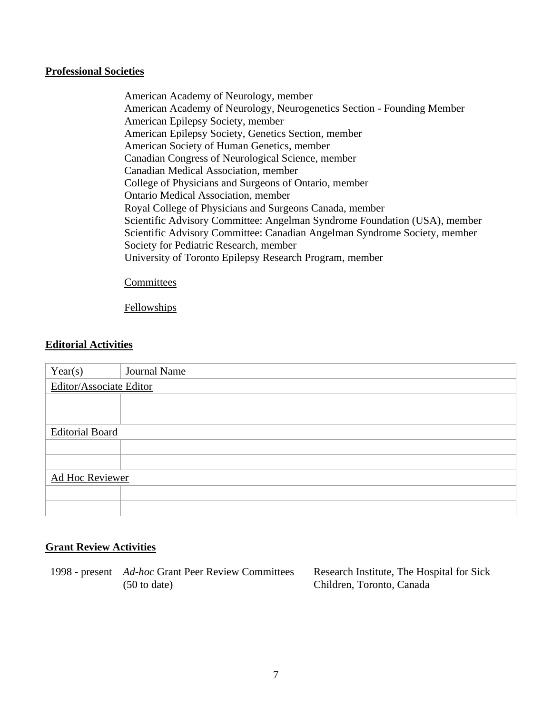#### **Professional Societies**

American Academy of Neurology, member American Academy of Neurology, Neurogenetics Section - Founding Member American Epilepsy Society, member American Epilepsy Society, Genetics Section, member American Society of Human Genetics, member Canadian Congress of Neurological Science, member Canadian Medical Association, member College of Physicians and Surgeons of Ontario, member Ontario Medical Association, member Royal College of Physicians and Surgeons Canada, member Scientific Advisory Committee: Angelman Syndrome Foundation (USA), member Scientific Advisory Committee: Canadian Angelman Syndrome Society, member Society for Pediatric Research, member University of Toronto Epilepsy Research Program, member

#### **Committees**

**Fellowships** 

#### **Editorial Activities**

| Year(s)                 | Journal Name |  |
|-------------------------|--------------|--|
| Editor/Associate Editor |              |  |
|                         |              |  |
|                         |              |  |
| <b>Editorial Board</b>  |              |  |
|                         |              |  |
|                         |              |  |
| Ad Hoc Reviewer         |              |  |
|                         |              |  |
|                         |              |  |

## **Grant Review Activities**

1998 - present *Ad-hoc* Grant Peer Review Committees (50 to date)

Research Institute, The Hospital for Sick Children, Toronto, Canada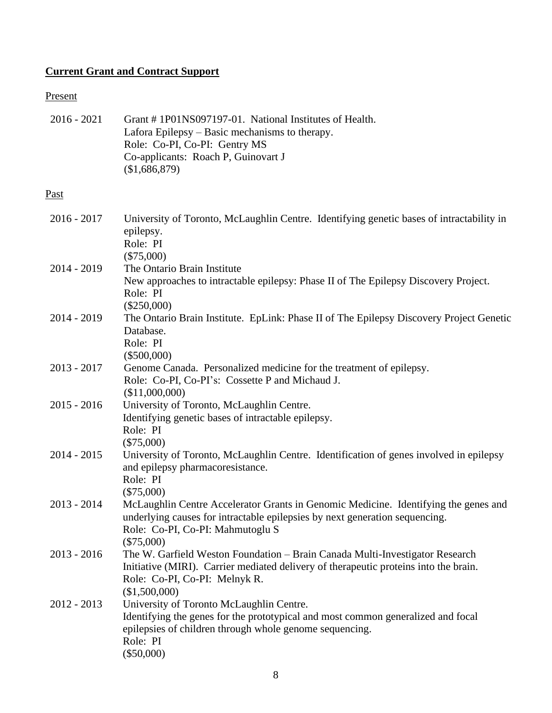## **Current Grant and Contract Support**

# Present

| $2016 - 2021$ | Grant #1P01NS097197-01. National Institutes of Health.<br>Lafora Epilepsy – Basic mechanisms to therapy.<br>Role: Co-PI, Co-PI: Gentry MS<br>Co-applicants: Roach P, Guinovart J<br>(\$1,686,879)                      |
|---------------|------------------------------------------------------------------------------------------------------------------------------------------------------------------------------------------------------------------------|
| Past          |                                                                                                                                                                                                                        |
| $2016 - 2017$ | University of Toronto, McLaughlin Centre. Identifying genetic bases of intractability in<br>epilepsy.<br>Role: PI<br>$(\$75,000)$                                                                                      |
| 2014 - 2019   | The Ontario Brain Institute<br>New approaches to intractable epilepsy: Phase II of The Epilepsy Discovery Project.<br>Role: PI<br>$(\$250,000)$                                                                        |
| $2014 - 2019$ | The Ontario Brain Institute. EpLink: Phase II of The Epilepsy Discovery Project Genetic<br>Database.<br>Role: PI<br>$(\$500,000)$                                                                                      |
| $2013 - 2017$ | Genome Canada. Personalized medicine for the treatment of epilepsy.<br>Role: Co-PI, Co-PI's: Cossette P and Michaud J.<br>(\$11,000,000)                                                                               |
| $2015 - 2016$ | University of Toronto, McLaughlin Centre.<br>Identifying genetic bases of intractable epilepsy.<br>Role: PI<br>$(\$75,000)$                                                                                            |
| $2014 - 2015$ | University of Toronto, McLaughlin Centre. Identification of genes involved in epilepsy<br>and epilepsy pharmacoresistance.<br>Role: PI<br>$(\$75,000)$                                                                 |
| $2013 - 2014$ | McLaughlin Centre Accelerator Grants in Genomic Medicine. Identifying the genes and<br>underlying causes for intractable epilepsies by next generation sequencing.<br>Role: Co-PI, Co-PI: Mahmutoglu S<br>$(\$75,000)$ |
| $2013 - 2016$ | The W. Garfield Weston Foundation - Brain Canada Multi-Investigator Research<br>Initiative (MIRI). Carrier mediated delivery of therapeutic proteins into the brain.<br>Role: Co-PI, Co-PI: Melnyk R.<br>(\$1,500,000) |
| $2012 - 2013$ | University of Toronto McLaughlin Centre.<br>Identifying the genes for the prototypical and most common generalized and focal<br>epilepsies of children through whole genome sequencing.<br>Role: PI<br>$(\$50,000)$    |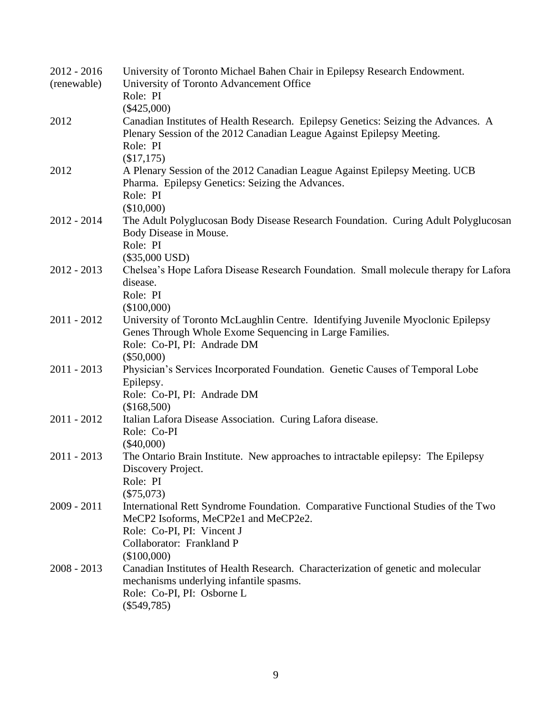| $2012 - 2016$ | University of Toronto Michael Bahen Chair in Epilepsy Research Endowment.                                |
|---------------|----------------------------------------------------------------------------------------------------------|
| (renewable)   | University of Toronto Advancement Office                                                                 |
|               | Role: PI                                                                                                 |
|               | $(\$425,000)$                                                                                            |
| 2012          | Canadian Institutes of Health Research. Epilepsy Genetics: Seizing the Advances. A                       |
|               | Plenary Session of the 2012 Canadian League Against Epilepsy Meeting.                                    |
|               | Role: PI                                                                                                 |
|               | (\$17,175)                                                                                               |
| 2012          | A Plenary Session of the 2012 Canadian League Against Epilepsy Meeting. UCB                              |
|               | Pharma. Epilepsy Genetics: Seizing the Advances.                                                         |
|               | Role: PI                                                                                                 |
|               | (\$10,000)                                                                                               |
| $2012 - 2014$ | The Adult Polyglucosan Body Disease Research Foundation. Curing Adult Polyglucosan                       |
|               | Body Disease in Mouse.<br>Role: PI                                                                       |
|               |                                                                                                          |
| $2012 - 2013$ | $(\$35,000$ USD)<br>Chelsea's Hope Lafora Disease Research Foundation. Small molecule therapy for Lafora |
|               | disease.                                                                                                 |
|               | Role: PI                                                                                                 |
|               | (\$100,000)                                                                                              |
| $2011 - 2012$ | University of Toronto McLaughlin Centre. Identifying Juvenile Myoclonic Epilepsy                         |
|               | Genes Through Whole Exome Sequencing in Large Families.                                                  |
|               | Role: Co-PI, PI: Andrade DM                                                                              |
|               | $(\$50,000)$                                                                                             |
| $2011 - 2013$ | Physician's Services Incorporated Foundation. Genetic Causes of Temporal Lobe                            |
|               | Epilepsy.                                                                                                |
|               | Role: Co-PI, PI: Andrade DM                                                                              |
|               | (\$168,500)                                                                                              |
| $2011 - 2012$ | Italian Lafora Disease Association. Curing Lafora disease.                                               |
|               | Role: Co-PI                                                                                              |
|               | $(\$40,000)$                                                                                             |
| $2011 - 2013$ | The Ontario Brain Institute. New approaches to intractable epilepsy: The Epilepsy                        |
|               | Discovery Project.                                                                                       |
|               | Role: PI                                                                                                 |
|               | $(\$75,073)$                                                                                             |
| $2009 - 2011$ | International Rett Syndrome Foundation. Comparative Functional Studies of the Two                        |
|               | MeCP2 Isoforms, MeCP2e1 and MeCP2e2.                                                                     |
|               | Role: Co-PI, PI: Vincent J                                                                               |
|               | Collaborator: Frankland P                                                                                |
|               | (\$100,000)                                                                                              |
| $2008 - 2013$ | Canadian Institutes of Health Research. Characterization of genetic and molecular                        |
|               | mechanisms underlying infantile spasms.                                                                  |
|               | Role: Co-PI, PI: Osborne L                                                                               |
|               | $(\$549,785)$                                                                                            |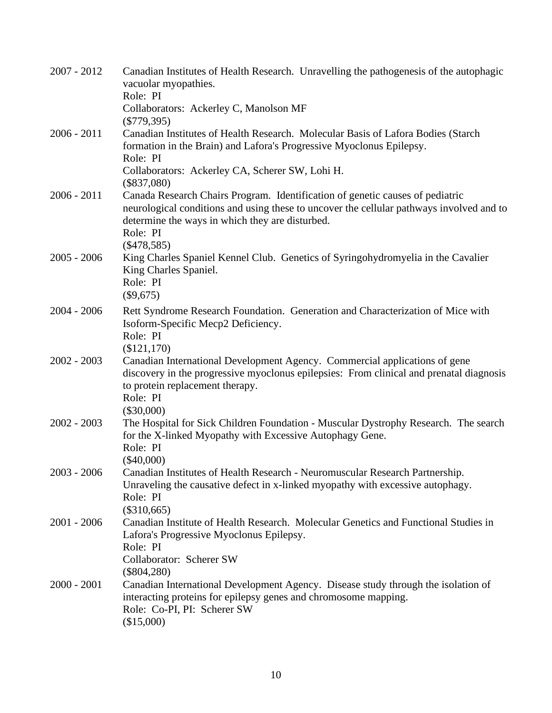| $2007 - 2012$ | Canadian Institutes of Health Research. Unravelling the pathogenesis of the autophagic<br>vacuolar myopathies.<br>Role: PI                                                                                                               |
|---------------|------------------------------------------------------------------------------------------------------------------------------------------------------------------------------------------------------------------------------------------|
|               | Collaborators: Ackerley C, Manolson MF<br>$(\$779,395)$                                                                                                                                                                                  |
| $2006 - 2011$ | Canadian Institutes of Health Research. Molecular Basis of Lafora Bodies (Starch<br>formation in the Brain) and Lafora's Progressive Myoclonus Epilepsy.<br>Role: PI                                                                     |
|               | Collaborators: Ackerley CA, Scherer SW, Lohi H.<br>$(\$837,080)$                                                                                                                                                                         |
| $2006 - 2011$ | Canada Research Chairs Program. Identification of genetic causes of pediatric<br>neurological conditions and using these to uncover the cellular pathways involved and to<br>determine the ways in which they are disturbed.<br>Role: PI |
|               | $(\$478,585)$                                                                                                                                                                                                                            |
| $2005 - 2006$ | King Charles Spaniel Kennel Club. Genetics of Syringohydromyelia in the Cavalier<br>King Charles Spaniel.<br>Role: PI<br>$(\$9,675)$                                                                                                     |
| $2004 - 2006$ | Rett Syndrome Research Foundation. Generation and Characterization of Mice with                                                                                                                                                          |
|               | Isoform-Specific Mecp2 Deficiency.<br>Role: PI                                                                                                                                                                                           |
|               | (\$121,170)                                                                                                                                                                                                                              |
| $2002 - 2003$ | Canadian International Development Agency. Commercial applications of gene<br>discovery in the progressive myoclonus epilepsies: From clinical and prenatal diagnosis<br>to protein replacement therapy.<br>Role: PI                     |
|               | $(\$30,000)$                                                                                                                                                                                                                             |
| $2002 - 2003$ | The Hospital for Sick Children Foundation - Muscular Dystrophy Research. The search<br>for the X-linked Myopathy with Excessive Autophagy Gene.<br>Role: PI                                                                              |
|               | $(\$40,000)$                                                                                                                                                                                                                             |
| $2003 - 2006$ | Canadian Institutes of Health Research - Neuromuscular Research Partnership.<br>Unraveling the causative defect in x-linked myopathy with excessive autophagy.<br>Role: PI                                                               |
|               | $(\$310,665)$                                                                                                                                                                                                                            |
| $2001 - 2006$ | Canadian Institute of Health Research. Molecular Genetics and Functional Studies in<br>Lafora's Progressive Myoclonus Epilepsy.<br>Role: PI                                                                                              |
|               | Collaborator: Scherer SW<br>$(\$804,280)$                                                                                                                                                                                                |
| $2000 - 2001$ | Canadian International Development Agency. Disease study through the isolation of<br>interacting proteins for epilepsy genes and chromosome mapping.<br>Role: Co-PI, PI: Scherer SW<br>(\$15,000)                                        |
|               |                                                                                                                                                                                                                                          |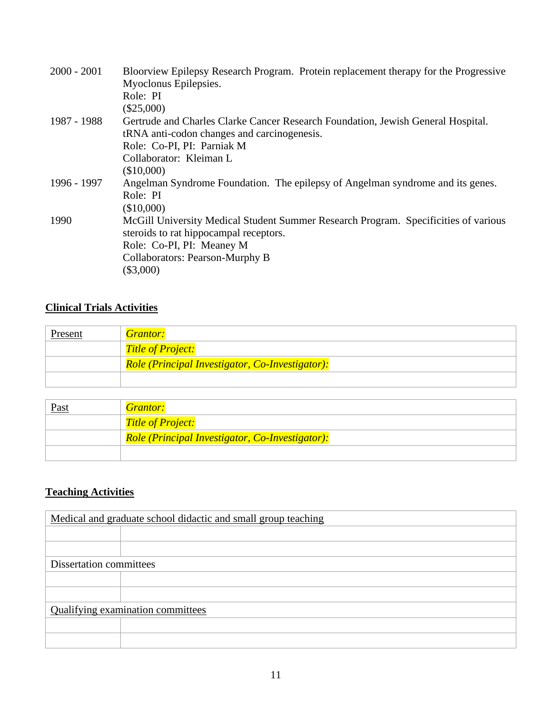| $2000 - 2001$ | Bloorview Epilepsy Research Program. Protein replacement therapy for the Progressive<br>Myoclonus Epilepsies.<br>Role: PI<br>$(\$25,000)$                                                                    |
|---------------|--------------------------------------------------------------------------------------------------------------------------------------------------------------------------------------------------------------|
| 1987 - 1988   | Gertrude and Charles Clarke Cancer Research Foundation, Jewish General Hospital.<br>tRNA anti-codon changes and carcinogenesis.<br>Role: Co-PI, PI: Parniak M                                                |
|               | Collaborator: Kleiman L<br>(\$10,000)                                                                                                                                                                        |
| 1996 - 1997   | Angelman Syndrome Foundation. The epilepsy of Angelman syndrome and its genes.<br>Role: PI<br>(\$10,000)                                                                                                     |
| 1990          | McGill University Medical Student Summer Research Program. Specificities of various<br>steroids to rat hippocampal receptors.<br>Role: Co-PI, PI: Meaney M<br>Collaborators: Pearson-Murphy B<br>$(\$3,000)$ |

## **Clinical Trials Activities**

| Present | <b>Grantor:</b>                                 |
|---------|-------------------------------------------------|
|         | <b>Title of Project:</b>                        |
|         | Role (Principal Investigator, Co-Investigator): |
|         |                                                 |

| <u>Past</u> | <b>Grantor:</b>                                 |
|-------------|-------------------------------------------------|
|             | <b>Title of Project:</b>                        |
|             | Role (Principal Investigator, Co-Investigator): |
|             |                                                 |

# **Teaching Activities**

| Medical and graduate school didactic and small group teaching |  |  |
|---------------------------------------------------------------|--|--|
|                                                               |  |  |
|                                                               |  |  |
| Dissertation committees                                       |  |  |
|                                                               |  |  |
|                                                               |  |  |
| Qualifying examination committees                             |  |  |
|                                                               |  |  |
|                                                               |  |  |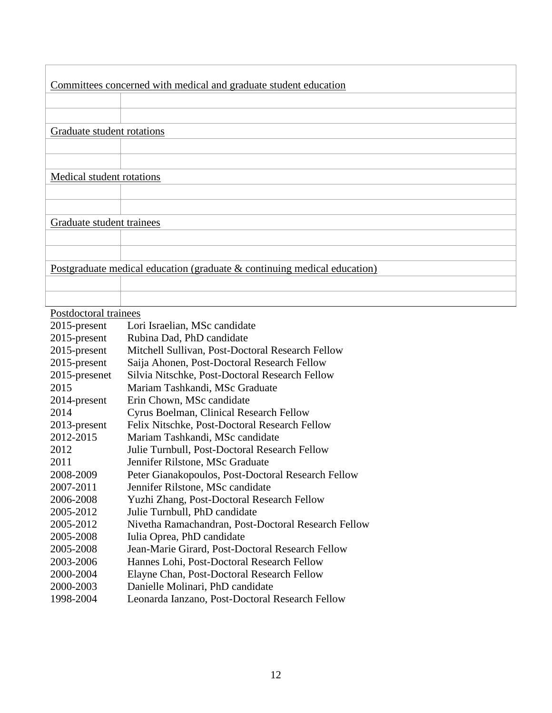|                            | Committees concerned with medical and graduate student education         |
|----------------------------|--------------------------------------------------------------------------|
|                            |                                                                          |
|                            |                                                                          |
| Graduate student rotations |                                                                          |
|                            |                                                                          |
|                            |                                                                          |
| Medical student rotations  |                                                                          |
|                            |                                                                          |
|                            |                                                                          |
| Graduate student trainees  |                                                                          |
|                            |                                                                          |
|                            |                                                                          |
|                            | Postgraduate medical education (graduate & continuing medical education) |
|                            |                                                                          |
|                            |                                                                          |
| Postdoctoral trainees      |                                                                          |
| 2015-present               | Lori Israelian, MSc candidate                                            |
| 2015-present               | Rubina Dad, PhD candidate                                                |
| 2015-present               | Mitchell Sullivan, Post-Doctoral Research Fellow                         |
| 2015-present               | Saija Ahonen, Post-Doctoral Research Fellow                              |
| 2015-presenet              | Silvia Nitschke, Post-Doctoral Research Fellow                           |
| 2015                       | Mariam Tashkandi, MSc Graduate                                           |
| 2014-present               | Erin Chown, MSc candidate                                                |
|                            |                                                                          |
| 2014                       | Cyrus Boelman, Clinical Research Fellow                                  |
| 2013-present               | Felix Nitschke, Post-Doctoral Research Fellow                            |

- 2012 Julie Turnbull, Post-Doctoral Research Fellow
- 2011 Jennifer Rilstone, MSc Graduate
- 2008-2009 Peter Gianakopoulos, Post-Doctoral Research Fellow
- 2007-2011 Jennifer Rilstone, MSc candidate
- 2006-2008 Yuzhi Zhang, Post-Doctoral Research Fellow
- 2005-2012 Julie Turnbull, PhD candidate
- 2005-2012 Nivetha Ramachandran, Post-Doctoral Research Fellow
- 2005-2008 Iulia Oprea, PhD candidate
- 2005-2008 Jean-Marie Girard, Post-Doctoral Research Fellow
- 2003-2006 Hannes Lohi, Post-Doctoral Research Fellow
- 2000-2004 Elayne Chan, Post-Doctoral Research Fellow
- 2000-2003 Danielle Molinari, PhD candidate
- 1998-2004 Leonarda Ianzano, Post-Doctoral Research Fellow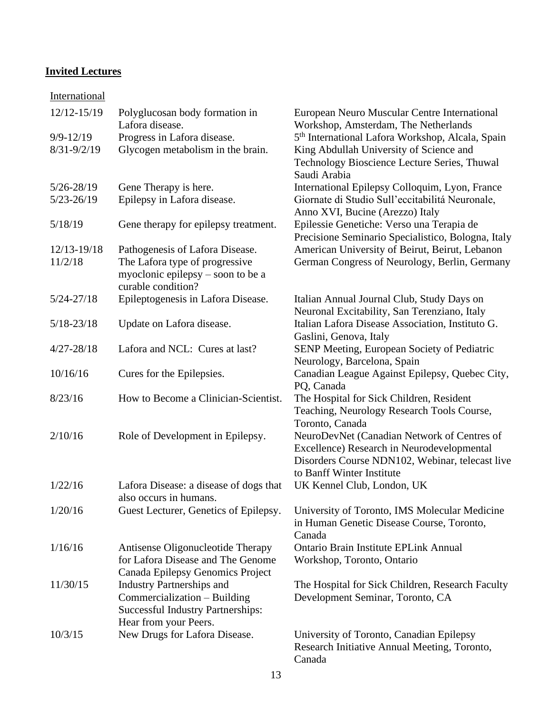## **Invited Lectures**

## **International**

| 12/12-15/19                      | Polyglucosan body formation in<br>Lafora disease.                                                          | European Neuro Muscular Centre International<br>Workshop, Amsterdam, The Netherlands                                                                                      |
|----------------------------------|------------------------------------------------------------------------------------------------------------|---------------------------------------------------------------------------------------------------------------------------------------------------------------------------|
| $9/9 - 12/19$<br>$8/31 - 9/2/19$ | Progress in Lafora disease.<br>Glycogen metabolism in the brain.                                           | 5 <sup>th</sup> International Lafora Workshop, Alcala, Spain<br>King Abdullah University of Science and<br>Technology Bioscience Lecture Series, Thuwal<br>Saudi Arabia   |
| $5/26 - 28/19$                   | Gene Therapy is here.                                                                                      | International Epilepsy Colloquim, Lyon, France                                                                                                                            |
| $5/23 - 26/19$                   | Epilepsy in Lafora disease.                                                                                | Giornate di Studio Sull'eccitabilitá Neuronale,<br>Anno XVI, Bucine (Arezzo) Italy                                                                                        |
| 5/18/19                          | Gene therapy for epilepsy treatment.                                                                       | Epilessie Genetiche: Verso una Terapia de<br>Precisione Seminario Specialistico, Bologna, Italy                                                                           |
| 12/13-19/18                      | Pathogenesis of Lafora Disease.                                                                            | American University of Beirut, Beirut, Lebanon                                                                                                                            |
| 11/2/18                          | The Lafora type of progressive                                                                             | German Congress of Neurology, Berlin, Germany                                                                                                                             |
|                                  | myoclonic epilepsy – soon to be a<br>curable condition?                                                    |                                                                                                                                                                           |
| $5/24 - 27/18$                   | Epileptogenesis in Lafora Disease.                                                                         | Italian Annual Journal Club, Study Days on<br>Neuronal Excitability, San Terenziano, Italy                                                                                |
| $5/18 - 23/18$                   | Update on Lafora disease.                                                                                  | Italian Lafora Disease Association, Instituto G.<br>Gaslini, Genova, Italy                                                                                                |
| $4/27 - 28/18$                   | Lafora and NCL: Cures at last?                                                                             | SENP Meeting, European Society of Pediatric<br>Neurology, Barcelona, Spain                                                                                                |
| 10/16/16                         | Cures for the Epilepsies.                                                                                  | Canadian League Against Epilepsy, Quebec City,<br>PQ, Canada                                                                                                              |
| 8/23/16                          | How to Become a Clinician-Scientist.                                                                       | The Hospital for Sick Children, Resident<br>Teaching, Neurology Research Tools Course,<br>Toronto, Canada                                                                 |
| 2/10/16                          | Role of Development in Epilepsy.                                                                           | NeuroDevNet (Canadian Network of Centres of<br>Excellence) Research in Neurodevelopmental<br>Disorders Course NDN102, Webinar, telecast live<br>to Banff Winter Institute |
| 1/22/16                          | Lafora Disease: a disease of dogs that<br>also occurs in humans.                                           | UK Kennel Club, London, UK                                                                                                                                                |
| 1/20/16                          | Guest Lecturer, Genetics of Epilepsy.                                                                      | University of Toronto, IMS Molecular Medicine<br>in Human Genetic Disease Course, Toronto,<br>Canada                                                                      |
| 1/16/16                          | Antisense Oligonucleotide Therapy<br>for Lafora Disease and The Genome<br>Canada Epilepsy Genomics Project | Ontario Brain Institute EPLink Annual<br>Workshop, Toronto, Ontario                                                                                                       |
| 11/30/15                         | <b>Industry Partnerships and</b>                                                                           | The Hospital for Sick Children, Research Faculty                                                                                                                          |
|                                  | Commercialization - Building<br><b>Successful Industry Partnerships:</b><br>Hear from your Peers.          | Development Seminar, Toronto, CA                                                                                                                                          |
| 10/3/15                          | New Drugs for Lafora Disease.                                                                              | University of Toronto, Canadian Epilepsy<br>Research Initiative Annual Meeting, Toronto,<br>Canada                                                                        |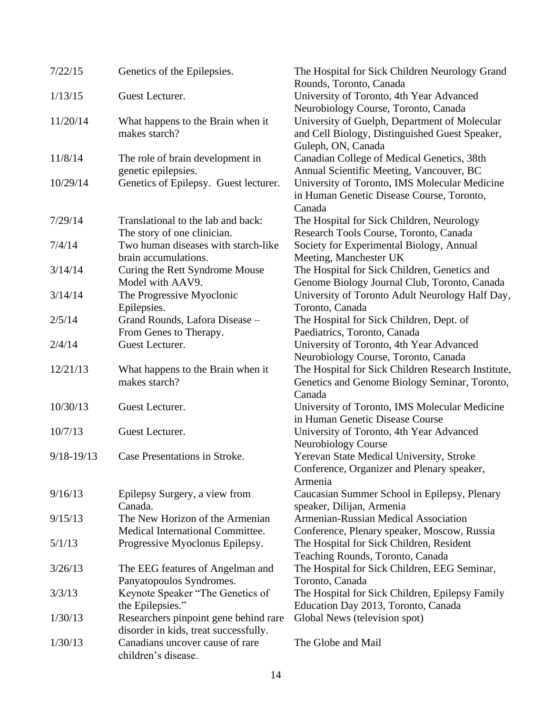| 7/22/15        | Genetics of the Epilepsies.                               | The Hospital for Sick Children Neurology Grand<br>Rounds, Toronto, Canada                       |  |
|----------------|-----------------------------------------------------------|-------------------------------------------------------------------------------------------------|--|
| 1/13/15        | Guest Lecturer.                                           | University of Toronto, 4th Year Advanced                                                        |  |
| 11/20/14       |                                                           | Neurobiology Course, Toronto, Canada                                                            |  |
|                | What happens to the Brain when it<br>makes starch?        | University of Guelph, Department of Molecular<br>and Cell Biology, Distinguished Guest Speaker, |  |
|                |                                                           | Guleph, ON, Canada                                                                              |  |
| 11/8/14        | The role of brain development in                          | Canadian College of Medical Genetics, 38th                                                      |  |
|                | genetic epilepsies.                                       | Annual Scientific Meeting, Vancouver, BC                                                        |  |
| 10/29/14       | Genetics of Epilepsy. Guest lecturer.                     | University of Toronto, IMS Molecular Medicine                                                   |  |
|                |                                                           | in Human Genetic Disease Course, Toronto,                                                       |  |
|                |                                                           | Canada                                                                                          |  |
| 7/29/14        | Translational to the lab and back:                        | The Hospital for Sick Children, Neurology                                                       |  |
|                | The story of one clinician.                               | Research Tools Course, Toronto, Canada                                                          |  |
| 7/4/14         | Two human diseases with starch-like                       | Society for Experimental Biology, Annual                                                        |  |
|                | brain accumulations.                                      | Meeting, Manchester UK                                                                          |  |
| 3/14/14        | Curing the Rett Syndrome Mouse                            | The Hospital for Sick Children, Genetics and                                                    |  |
|                | Model with AAV9.                                          | Genome Biology Journal Club, Toronto, Canada                                                    |  |
| 3/14/14        | The Progressive Myoclonic                                 | University of Toronto Adult Neurology Half Day,                                                 |  |
|                | Epilepsies.                                               | Toronto, Canada                                                                                 |  |
| 2/5/14         | Grand Rounds, Lafora Disease -                            | The Hospital for Sick Children, Dept. of                                                        |  |
|                | From Genes to Therapy.                                    | Paediatrics, Toronto, Canada                                                                    |  |
| 2/4/14         | Guest Lecturer.                                           | University of Toronto, 4th Year Advanced                                                        |  |
| 12/21/13       |                                                           | Neurobiology Course, Toronto, Canada<br>The Hospital for Sick Children Research Institute,      |  |
|                | What happens to the Brain when it<br>makes starch?        | Genetics and Genome Biology Seminar, Toronto,                                                   |  |
|                |                                                           | Canada                                                                                          |  |
| 10/30/13       | Guest Lecturer.                                           | University of Toronto, IMS Molecular Medicine                                                   |  |
|                |                                                           | in Human Genetic Disease Course                                                                 |  |
| 10/7/13        | Guest Lecturer.                                           | University of Toronto, 4th Year Advanced                                                        |  |
|                |                                                           | <b>Neurobiology Course</b>                                                                      |  |
| $9/18 - 19/13$ | Case Presentations in Stroke.                             | Yerevan State Medical University, Stroke                                                        |  |
|                |                                                           | Conference, Organizer and Plenary speaker,                                                      |  |
|                |                                                           | Armenia                                                                                         |  |
| 9/16/13        | Epilepsy Surgery, a view from                             | Caucasian Summer School in Epilepsy, Plenary                                                    |  |
|                | Canada.                                                   | speaker, Dilijan, Armenia                                                                       |  |
| 9/15/13        | The New Horizon of the Armenian                           | Armenian-Russian Medical Association                                                            |  |
|                | Medical International Committee.                          | Conference, Plenary speaker, Moscow, Russia                                                     |  |
| 5/1/13         | Progressive Myoclonus Epilepsy.                           | The Hospital for Sick Children, Resident                                                        |  |
|                |                                                           | Teaching Rounds, Toronto, Canada                                                                |  |
| 3/26/13        | The EEG features of Angelman and                          | The Hospital for Sick Children, EEG Seminar,                                                    |  |
|                | Panyatopoulos Syndromes.                                  | Toronto, Canada                                                                                 |  |
| 3/3/13         | Keynote Speaker "The Genetics of                          | The Hospital for Sick Children, Epilepsy Family                                                 |  |
| 1/30/13        | the Epilepsies."<br>Researchers pinpoint gene behind rare | Education Day 2013, Toronto, Canada<br>Global News (television spot)                            |  |
|                | disorder in kids, treat successfully.                     |                                                                                                 |  |
| 1/30/13        | Canadians uncover cause of rare                           | The Globe and Mail                                                                              |  |
|                | children's disease.                                       |                                                                                                 |  |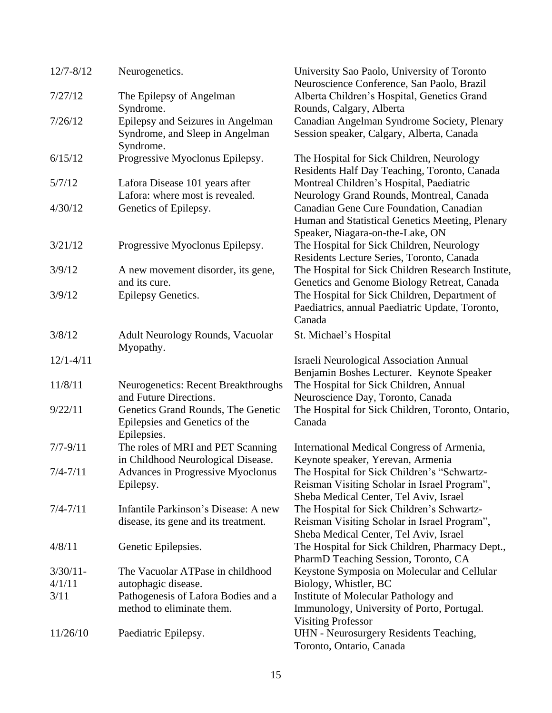| $12/7 - 8/12$ | Neurogenetics.                                                                      | University Sao Paolo, University of Toronto<br>Neuroscience Conference, San Paolo, Brazil                                             |
|---------------|-------------------------------------------------------------------------------------|---------------------------------------------------------------------------------------------------------------------------------------|
| 7/27/12       | The Epilepsy of Angelman<br>Syndrome.                                               | Alberta Children's Hospital, Genetics Grand<br>Rounds, Calgary, Alberta                                                               |
| 7/26/12       | Epilepsy and Seizures in Angelman<br>Syndrome, and Sleep in Angelman<br>Syndrome.   | Canadian Angelman Syndrome Society, Plenary<br>Session speaker, Calgary, Alberta, Canada                                              |
| 6/15/12       | Progressive Myoclonus Epilepsy.                                                     | The Hospital for Sick Children, Neurology<br>Residents Half Day Teaching, Toronto, Canada                                             |
| 5/7/12        | Lafora Disease 101 years after<br>Lafora: where most is revealed.                   | Montreal Children's Hospital, Paediatric<br>Neurology Grand Rounds, Montreal, Canada                                                  |
| 4/30/12       | Genetics of Epilepsy.                                                               | Canadian Gene Cure Foundation, Canadian<br>Human and Statistical Genetics Meeting, Plenary<br>Speaker, Niagara-on-the-Lake, ON        |
| 3/21/12       | Progressive Myoclonus Epilepsy.                                                     | The Hospital for Sick Children, Neurology<br>Residents Lecture Series, Toronto, Canada                                                |
| 3/9/12        | A new movement disorder, its gene,<br>and its cure.                                 | The Hospital for Sick Children Research Institute,<br>Genetics and Genome Biology Retreat, Canada                                     |
| 3/9/12        | Epilepsy Genetics.                                                                  | The Hospital for Sick Children, Department of<br>Paediatrics, annual Paediatric Update, Toronto,<br>Canada                            |
| 3/8/12        | Adult Neurology Rounds, Vacuolar<br>Myopathy.                                       | St. Michael's Hospital                                                                                                                |
| $12/1 - 4/11$ |                                                                                     | <b>Israeli Neurological Association Annual</b><br>Benjamin Boshes Lecturer. Keynote Speaker                                           |
| 11/8/11       | <b>Neurogenetics: Recent Breakthroughs</b><br>and Future Directions.                | The Hospital for Sick Children, Annual<br>Neuroscience Day, Toronto, Canada                                                           |
| 9/22/11       | Genetics Grand Rounds, The Genetic<br>Epilepsies and Genetics of the<br>Epilepsies. | The Hospital for Sick Children, Toronto, Ontario,<br>Canada                                                                           |
| $7/7 - 9/11$  | The roles of MRI and PET Scanning<br>in Childhood Neurological Disease.             | International Medical Congress of Armenia,<br>Keynote speaker, Yerevan, Armenia                                                       |
| $7/4 - 7/11$  | Advances in Progressive Myoclonus<br>Epilepsy.                                      | The Hospital for Sick Children's "Schwartz-<br>Reisman Visiting Scholar in Israel Program",<br>Sheba Medical Center, Tel Aviv, Israel |
| $7/4 - 7/11$  | Infantile Parkinson's Disease: A new<br>disease, its gene and its treatment.        | The Hospital for Sick Children's Schwartz-<br>Reisman Visiting Scholar in Israel Program",<br>Sheba Medical Center, Tel Aviv, Israel  |
| 4/8/11        | Genetic Epilepsies.                                                                 | The Hospital for Sick Children, Pharmacy Dept.,<br>PharmD Teaching Session, Toronto, CA                                               |
| $3/30/11$ -   | The Vacuolar ATPase in childhood                                                    | Keystone Symposia on Molecular and Cellular                                                                                           |
| 4/1/11        | autophagic disease.                                                                 | Biology, Whistler, BC                                                                                                                 |
| 3/11          | Pathogenesis of Lafora Bodies and a                                                 | Institute of Molecular Pathology and                                                                                                  |
|               | method to eliminate them.                                                           | Immunology, University of Porto, Portugal.<br><b>Visiting Professor</b>                                                               |
| 11/26/10      | Paediatric Epilepsy.                                                                | UHN - Neurosurgery Residents Teaching,<br>Toronto, Ontario, Canada                                                                    |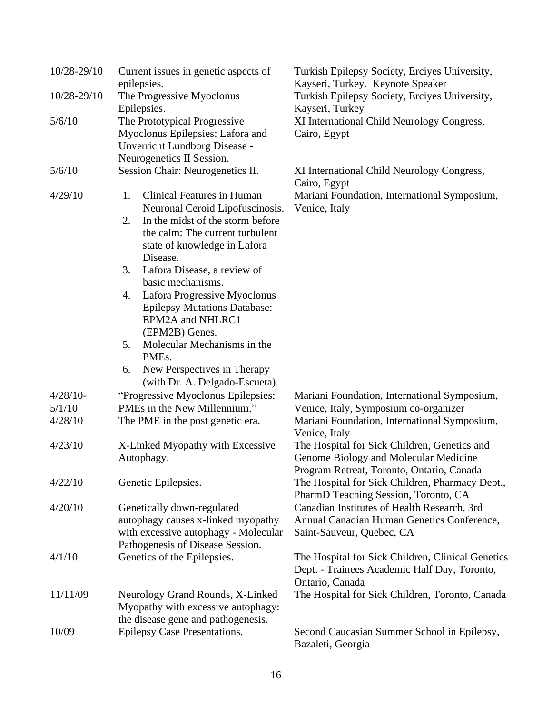| 10/28-29/10 | Current issues in genetic aspects of                                     | Turkish Epilepsy Society, Erciyes University,                                     |
|-------------|--------------------------------------------------------------------------|-----------------------------------------------------------------------------------|
| 10/28-29/10 | epilepsies.<br>The Progressive Myoclonus                                 | Kayseri, Turkey. Keynote Speaker<br>Turkish Epilepsy Society, Erciyes University, |
|             | Epilepsies.                                                              | Kayseri, Turkey                                                                   |
| 5/6/10      | The Prototypical Progressive                                             | XI International Child Neurology Congress,                                        |
|             | Myoclonus Epilepsies: Lafora and                                         | Cairo, Egypt                                                                      |
|             | Unverricht Lundborg Disease -                                            |                                                                                   |
|             | Neurogenetics II Session.                                                |                                                                                   |
| 5/6/10      | Session Chair: Neurogenetics II.                                         | XI International Child Neurology Congress,<br>Cairo, Egypt                        |
| 4/29/10     | <b>Clinical Features in Human</b><br>1.                                  | Mariani Foundation, International Symposium,                                      |
|             | Neuronal Ceroid Lipofuscinosis.                                          | Venice, Italy                                                                     |
|             | In the midst of the storm before<br>2.                                   |                                                                                   |
|             | the calm: The current turbulent                                          |                                                                                   |
|             | state of knowledge in Lafora                                             |                                                                                   |
|             | Disease.                                                                 |                                                                                   |
|             | Lafora Disease, a review of<br>3.                                        |                                                                                   |
|             | basic mechanisms.                                                        |                                                                                   |
|             | Lafora Progressive Myoclonus<br>4.                                       |                                                                                   |
|             | <b>Epilepsy Mutations Database:</b><br>EPM2A and NHLRC1                  |                                                                                   |
|             | (EPM2B) Genes.                                                           |                                                                                   |
|             | Molecular Mechanisms in the<br>5.                                        |                                                                                   |
|             | PME <sub>s</sub> .                                                       |                                                                                   |
|             | New Perspectives in Therapy<br>6.                                        |                                                                                   |
|             | (with Dr. A. Delgado-Escueta).                                           |                                                                                   |
| $4/28/10-$  | "Progressive Myoclonus Epilepsies:                                       | Mariani Foundation, International Symposium,                                      |
| 5/1/10      | PMEs in the New Millennium."                                             | Venice, Italy, Symposium co-organizer                                             |
| 4/28/10     | The PME in the post genetic era.                                         | Mariani Foundation, International Symposium,                                      |
|             |                                                                          | Venice, Italy                                                                     |
| 4/23/10     | X-Linked Myopathy with Excessive                                         | The Hospital for Sick Children, Genetics and                                      |
|             | Autophagy.                                                               | Genome Biology and Molecular Medicine                                             |
|             |                                                                          | Program Retreat, Toronto, Ontario, Canada                                         |
| 4/22/10     | Genetic Epilepsies.                                                      | The Hospital for Sick Children, Pharmacy Dept.,                                   |
|             |                                                                          | PharmD Teaching Session, Toronto, CA                                              |
| 4/20/10     | Genetically down-regulated                                               | Canadian Institutes of Health Research, 3rd                                       |
|             | autophagy causes x-linked myopathy                                       | Annual Canadian Human Genetics Conference,                                        |
|             | with excessive autophagy - Molecular<br>Pathogenesis of Disease Session. | Saint-Sauveur, Quebec, CA                                                         |
| 4/1/10      | Genetics of the Epilepsies.                                              | The Hospital for Sick Children, Clinical Genetics                                 |
|             |                                                                          | Dept. - Trainees Academic Half Day, Toronto,                                      |
|             |                                                                          | Ontario, Canada                                                                   |
| 11/11/09    | Neurology Grand Rounds, X-Linked                                         | The Hospital for Sick Children, Toronto, Canada                                   |
|             | Myopathy with excessive autophagy:                                       |                                                                                   |
|             | the disease gene and pathogenesis.                                       |                                                                                   |
| 10/09       | Epilepsy Case Presentations.                                             | Second Caucasian Summer School in Epilepsy,                                       |
|             |                                                                          | Bazaleti, Georgia                                                                 |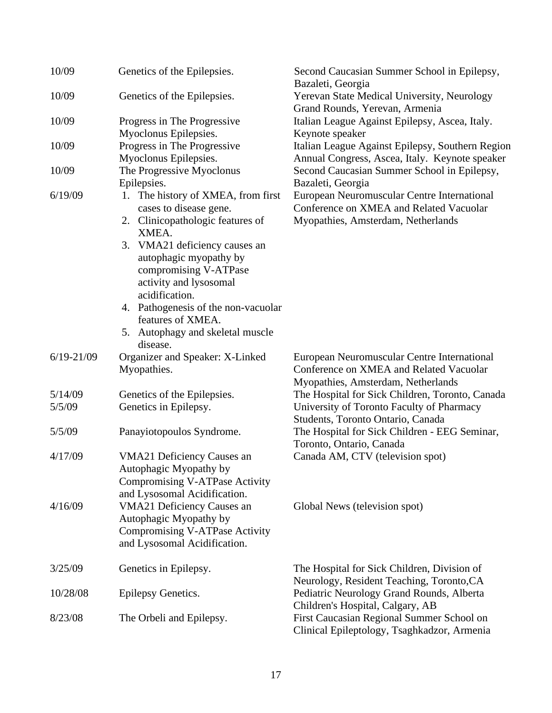| 10/09          | Genetics of the Epilepsies.                          | Second Caucasian Summer School in Epilepsy,<br>Bazaleti, Georgia                         |
|----------------|------------------------------------------------------|------------------------------------------------------------------------------------------|
| 10/09          | Genetics of the Epilepsies.                          | Yerevan State Medical University, Neurology<br>Grand Rounds, Yerevan, Armenia            |
| 10/09          | Progress in The Progressive                          | Italian League Against Epilepsy, Ascea, Italy.                                           |
|                | Myoclonus Epilepsies.                                | Keynote speaker                                                                          |
| 10/09          | Progress in The Progressive                          | Italian League Against Epilepsy, Southern Region                                         |
|                | Myoclonus Epilepsies.                                | Annual Congress, Ascea, Italy. Keynote speaker                                           |
| 10/09          | The Progressive Myoclonus                            | Second Caucasian Summer School in Epilepsy,                                              |
|                | Epilepsies.                                          | Bazaleti, Georgia                                                                        |
| 6/19/09        | The history of XMEA, from first<br>1.                | European Neuromuscular Centre International                                              |
|                | cases to disease gene.                               | Conference on XMEA and Related Vacuolar                                                  |
|                | 2. Clinicopathologic features of                     | Myopathies, Amsterdam, Netherlands                                                       |
|                | XMEA.<br>3.                                          |                                                                                          |
|                | VMA21 deficiency causes an<br>autophagic myopathy by |                                                                                          |
|                | compromising V-ATPase                                |                                                                                          |
|                | activity and lysosomal                               |                                                                                          |
|                | acidification.                                       |                                                                                          |
|                | Pathogenesis of the non-vacuolar<br>4.               |                                                                                          |
|                | features of XMEA.                                    |                                                                                          |
|                | 5. Autophagy and skeletal muscle                     |                                                                                          |
|                | disease.                                             |                                                                                          |
| $6/19 - 21/09$ | Organizer and Speaker: X-Linked                      | European Neuromuscular Centre International                                              |
|                | Myopathies.                                          | Conference on XMEA and Related Vacuolar                                                  |
|                |                                                      | Myopathies, Amsterdam, Netherlands                                                       |
| 5/14/09        | Genetics of the Epilepsies.                          | The Hospital for Sick Children, Toronto, Canada                                          |
| 5/5/09         | Genetics in Epilepsy.                                | University of Toronto Faculty of Pharmacy                                                |
| 5/5/09         | Panayiotopoulos Syndrome.                            | Students, Toronto Ontario, Canada<br>The Hospital for Sick Children - EEG Seminar,       |
|                |                                                      | Toronto, Ontario, Canada                                                                 |
| 4/17/09        | <b>VMA21 Deficiency Causes an</b>                    | Canada AM, CTV (television spot)                                                         |
|                | Autophagic Myopathy by                               |                                                                                          |
|                | Compromising V-ATPase Activity                       |                                                                                          |
|                | and Lysosomal Acidification.                         |                                                                                          |
| 4/16/09        | <b>VMA21 Deficiency Causes an</b>                    | Global News (television spot)                                                            |
|                | Autophagic Myopathy by                               |                                                                                          |
|                | Compromising V-ATPase Activity                       |                                                                                          |
|                | and Lysosomal Acidification.                         |                                                                                          |
| 3/25/09        | Genetics in Epilepsy.                                | The Hospital for Sick Children, Division of                                              |
|                |                                                      | Neurology, Resident Teaching, Toronto, CA                                                |
| 10/28/08       | Epilepsy Genetics.                                   | Pediatric Neurology Grand Rounds, Alberta                                                |
|                |                                                      | Children's Hospital, Calgary, AB                                                         |
| 8/23/08        |                                                      |                                                                                          |
|                | The Orbeli and Epilepsy.                             | First Caucasian Regional Summer School on<br>Clinical Epileptology, Tsaghkadzor, Armenia |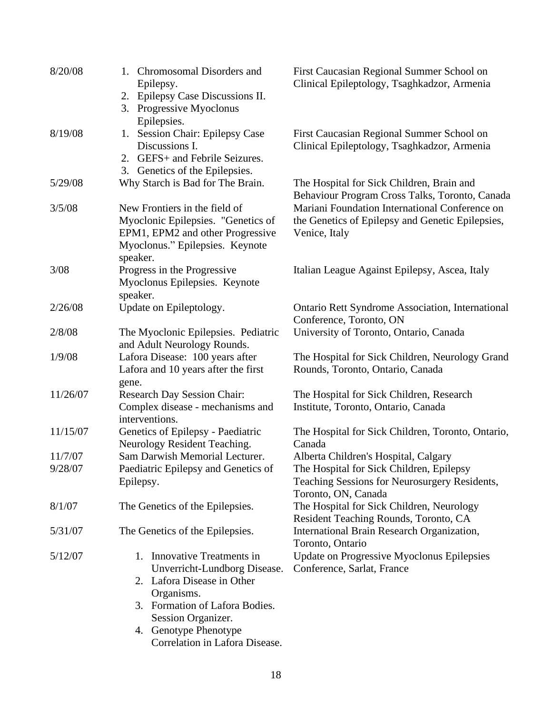| 8/20/08  | 1. Chromosomal Disorders and<br>Epilepsy.<br>2. Epilepsy Case Discussions II.                                                                          | First Caucasian Regional Summer School on<br>Clinical Epileptology, Tsaghkadzor, Armenia                            |
|----------|--------------------------------------------------------------------------------------------------------------------------------------------------------|---------------------------------------------------------------------------------------------------------------------|
|          | 3. Progressive Myoclonus<br>Epilepsies.                                                                                                                |                                                                                                                     |
| 8/19/08  | 1. Session Chair: Epilepsy Case<br>Discussions I.<br>2. GEFS+ and Febrile Seizures.<br>3. Genetics of the Epilepsies.                                  | First Caucasian Regional Summer School on<br>Clinical Epileptology, Tsaghkadzor, Armenia                            |
| 5/29/08  | Why Starch is Bad for The Brain.                                                                                                                       | The Hospital for Sick Children, Brain and<br>Behaviour Program Cross Talks, Toronto, Canada                         |
| 3/5/08   | New Frontiers in the field of<br>Myoclonic Epilepsies. "Genetics of<br>EPM1, EPM2 and other Progressive<br>Myoclonus." Epilepsies. Keynote<br>speaker. | Mariani Foundation International Conference on<br>the Genetics of Epilepsy and Genetic Epilepsies,<br>Venice, Italy |
| 3/08     | Progress in the Progressive<br>Myoclonus Epilepsies. Keynote<br>speaker.                                                                               | Italian League Against Epilepsy, Ascea, Italy                                                                       |
| 2/26/08  | Update on Epileptology.                                                                                                                                | <b>Ontario Rett Syndrome Association, International</b><br>Conference, Toronto, ON                                  |
| 2/8/08   | The Myoclonic Epilepsies. Pediatric<br>and Adult Neurology Rounds.                                                                                     | University of Toronto, Ontario, Canada                                                                              |
| 1/9/08   | Lafora Disease: 100 years after<br>Lafora and 10 years after the first                                                                                 | The Hospital for Sick Children, Neurology Grand<br>Rounds, Toronto, Ontario, Canada                                 |
| 11/26/07 | gene.<br><b>Research Day Session Chair:</b><br>Complex disease - mechanisms and<br>interventions.                                                      | The Hospital for Sick Children, Research<br>Institute, Toronto, Ontario, Canada                                     |
| 11/15/07 | Genetics of Epilepsy - Paediatric<br>Neurology Resident Teaching.                                                                                      | The Hospital for Sick Children, Toronto, Ontario,<br>Canada                                                         |
| 11/7/07  | Sam Darwish Memorial Lecturer.                                                                                                                         | Alberta Children's Hospital, Calgary                                                                                |
| 9/28/07  | Paediatric Epilepsy and Genetics of<br>Epilepsy.                                                                                                       | The Hospital for Sick Children, Epilepsy<br>Teaching Sessions for Neurosurgery Residents,<br>Toronto, ON, Canada    |
| 8/1/07   | The Genetics of the Epilepsies.                                                                                                                        | The Hospital for Sick Children, Neurology<br>Resident Teaching Rounds, Toronto, CA                                  |
| 5/31/07  | The Genetics of the Epilepsies.                                                                                                                        | International Brain Research Organization,<br>Toronto, Ontario                                                      |
| 5/12/07  | Innovative Treatments in<br>1.<br>Unverricht-Lundborg Disease.                                                                                         | Update on Progressive Myoclonus Epilepsies<br>Conference, Sarlat, France                                            |
|          | 2. Lafora Disease in Other<br>Organisms.                                                                                                               |                                                                                                                     |
|          | 3. Formation of Lafora Bodies.<br>Session Organizer.                                                                                                   |                                                                                                                     |
|          | 4. Genotype Phenotype<br>Correlation in Lafora Disease.                                                                                                |                                                                                                                     |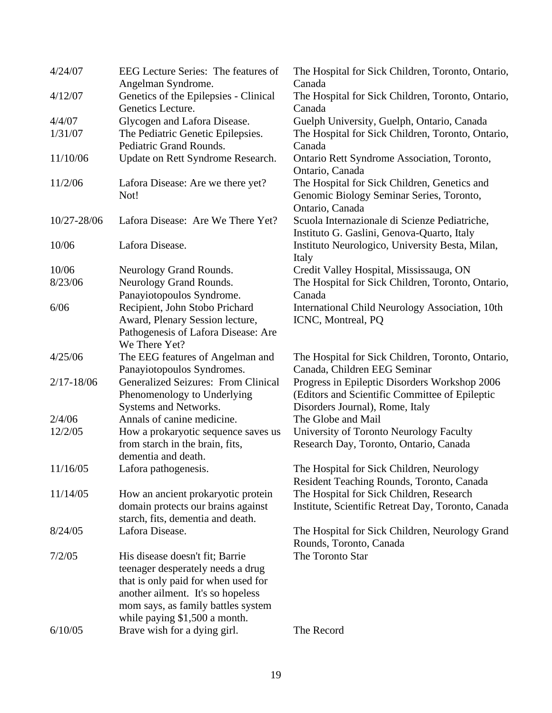| 4/24/07        | EEG Lecture Series: The features of        | The Hospital for Sick Children, Toronto, Ontario,  |  |
|----------------|--------------------------------------------|----------------------------------------------------|--|
|                | Angelman Syndrome.                         | Canada                                             |  |
| 4/12/07        | Genetics of the Epilepsies - Clinical      | The Hospital for Sick Children, Toronto, Ontario,  |  |
|                | Genetics Lecture.                          | Canada                                             |  |
| 4/4/07         | Glycogen and Lafora Disease.               | Guelph University, Guelph, Ontario, Canada         |  |
| 1/31/07        | The Pediatric Genetic Epilepsies.          | The Hospital for Sick Children, Toronto, Ontario,  |  |
|                | Pediatric Grand Rounds.                    | Canada                                             |  |
| 11/10/06       | Update on Rett Syndrome Research.          | Ontario Rett Syndrome Association, Toronto,        |  |
|                |                                            | Ontario, Canada                                    |  |
| 11/2/06        | Lafora Disease: Are we there yet?          | The Hospital for Sick Children, Genetics and       |  |
|                | Not!                                       | Genomic Biology Seminar Series, Toronto,           |  |
|                |                                            | Ontario, Canada                                    |  |
| 10/27-28/06    | Lafora Disease: Are We There Yet?          | Scuola Internazionale di Scienze Pediatriche,      |  |
|                |                                            | Instituto G. Gaslini, Genova-Quarto, Italy         |  |
| 10/06          | Lafora Disease.                            | Instituto Neurologico, University Besta, Milan,    |  |
|                |                                            |                                                    |  |
|                |                                            | Italy                                              |  |
| 10/06          | Neurology Grand Rounds.                    | Credit Valley Hospital, Mississauga, ON            |  |
| 8/23/06        | Neurology Grand Rounds.                    | The Hospital for Sick Children, Toronto, Ontario,  |  |
|                | Panayiotopoulos Syndrome.                  | Canada                                             |  |
| 6/06           | Recipient, John Stobo Prichard             | International Child Neurology Association, 10th    |  |
|                | Award, Plenary Session lecture,            | ICNC, Montreal, PQ                                 |  |
|                | Pathogenesis of Lafora Disease: Are        |                                                    |  |
|                | We There Yet?                              |                                                    |  |
| 4/25/06        | The EEG features of Angelman and           | The Hospital for Sick Children, Toronto, Ontario,  |  |
|                | Panayiotopoulos Syndromes.                 | Canada, Children EEG Seminar                       |  |
| $2/17 - 18/06$ | <b>Generalized Seizures: From Clinical</b> | Progress in Epileptic Disorders Workshop 2006      |  |
|                | Phenomenology to Underlying                | (Editors and Scientific Committee of Epileptic     |  |
|                | Systems and Networks.                      | Disorders Journal), Rome, Italy                    |  |
| 2/4/06         | Annals of canine medicine.                 | The Globe and Mail                                 |  |
| 12/2/05        | How a prokaryotic sequence saves us        | University of Toronto Neurology Faculty            |  |
|                | from starch in the brain, fits,            | Research Day, Toronto, Ontario, Canada             |  |
|                | dementia and death.                        |                                                    |  |
| 11/16/05       | Lafora pathogenesis.                       | The Hospital for Sick Children, Neurology          |  |
|                |                                            | Resident Teaching Rounds, Toronto, Canada          |  |
| 11/14/05       | How an ancient prokaryotic protein         | The Hospital for Sick Children, Research           |  |
|                | domain protects our brains against         | Institute, Scientific Retreat Day, Toronto, Canada |  |
|                | starch, fits, dementia and death.          |                                                    |  |
| 8/24/05        | Lafora Disease.                            | The Hospital for Sick Children, Neurology Grand    |  |
|                |                                            | Rounds, Toronto, Canada                            |  |
| 7/2/05         | His disease doesn't fit; Barrie            | The Toronto Star                                   |  |
|                | teenager desperately needs a drug          |                                                    |  |
|                | that is only paid for when used for        |                                                    |  |
|                | another ailment. It's so hopeless          |                                                    |  |
|                | mom says, as family battles system         |                                                    |  |
|                | while paying \$1,500 a month.              |                                                    |  |
| 6/10/05        | Brave wish for a dying girl.               | The Record                                         |  |
|                |                                            |                                                    |  |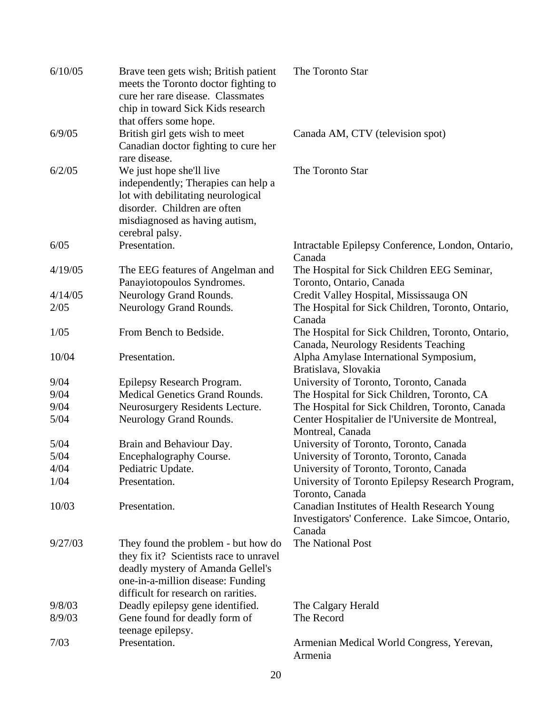| 6/10/05 | Brave teen gets wish; British patient<br>meets the Toronto doctor fighting to<br>cure her rare disease. Classmates<br>chip in toward Sick Kids research<br>that offers some hope.               | The Toronto Star                                                                                           |
|---------|-------------------------------------------------------------------------------------------------------------------------------------------------------------------------------------------------|------------------------------------------------------------------------------------------------------------|
| 6/9/05  | British girl gets wish to meet<br>Canadian doctor fighting to cure her<br>rare disease.                                                                                                         | Canada AM, CTV (television spot)                                                                           |
| 6/2/05  | We just hope she'll live<br>independently; Therapies can help a<br>lot with debilitating neurological<br>disorder. Children are often<br>misdiagnosed as having autism,<br>cerebral palsy.      | The Toronto Star                                                                                           |
| 6/05    | Presentation.                                                                                                                                                                                   | Intractable Epilepsy Conference, London, Ontario,<br>Canada                                                |
| 4/19/05 | The EEG features of Angelman and<br>Panayiotopoulos Syndromes.                                                                                                                                  | The Hospital for Sick Children EEG Seminar,<br>Toronto, Ontario, Canada                                    |
| 4/14/05 | Neurology Grand Rounds.                                                                                                                                                                         | Credit Valley Hospital, Mississauga ON                                                                     |
| 2/05    | Neurology Grand Rounds.                                                                                                                                                                         | The Hospital for Sick Children, Toronto, Ontario,<br>Canada                                                |
| 1/05    | From Bench to Bedside.                                                                                                                                                                          | The Hospital for Sick Children, Toronto, Ontario,<br>Canada, Neurology Residents Teaching                  |
| 10/04   | Presentation.                                                                                                                                                                                   | Alpha Amylase International Symposium,<br>Bratislava, Slovakia                                             |
| 9/04    | Epilepsy Research Program.                                                                                                                                                                      | University of Toronto, Toronto, Canada                                                                     |
| 9/04    | <b>Medical Genetics Grand Rounds.</b>                                                                                                                                                           | The Hospital for Sick Children, Toronto, CA                                                                |
| 9/04    | Neurosurgery Residents Lecture.                                                                                                                                                                 | The Hospital for Sick Children, Toronto, Canada                                                            |
| 5/04    | Neurology Grand Rounds.                                                                                                                                                                         | Center Hospitalier de l'Universite de Montreal,<br>Montreal, Canada                                        |
| 5/04    | Brain and Behaviour Day.                                                                                                                                                                        | University of Toronto, Toronto, Canada                                                                     |
| 5/04    | Encephalography Course.                                                                                                                                                                         | University of Toronto, Toronto, Canada                                                                     |
| 4/04    | Pediatric Update.                                                                                                                                                                               | University of Toronto, Toronto, Canada                                                                     |
| 1/04    | Presentation.                                                                                                                                                                                   | University of Toronto Epilepsy Research Program,<br>Toronto, Canada                                        |
| 10/03   | Presentation.                                                                                                                                                                                   | Canadian Institutes of Health Research Young<br>Investigators' Conference. Lake Simcoe, Ontario,<br>Canada |
| 9/27/03 | They found the problem - but how do<br>they fix it? Scientists race to unravel<br>deadly mystery of Amanda Gellel's<br>one-in-a-million disease: Funding<br>difficult for research on rarities. | The National Post                                                                                          |
| 9/8/03  | Deadly epilepsy gene identified.                                                                                                                                                                | The Calgary Herald                                                                                         |
| 8/9/03  | Gene found for deadly form of<br>teenage epilepsy.                                                                                                                                              | The Record                                                                                                 |
| 7/03    | Presentation.                                                                                                                                                                                   | Armenian Medical World Congress, Yerevan,<br>Armenia                                                       |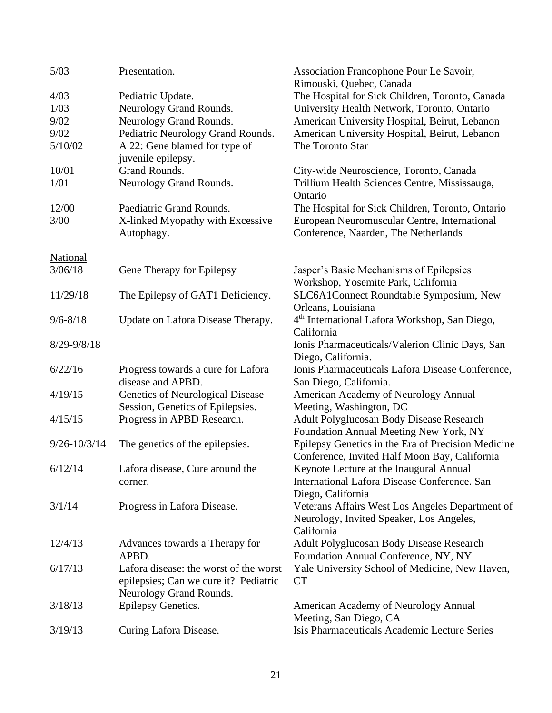| 5/03             | Presentation.                          | Association Francophone Pour Le Savoir,<br>Rimouski, Quebec, Canada |
|------------------|----------------------------------------|---------------------------------------------------------------------|
| 4/03             | Pediatric Update.                      | The Hospital for Sick Children, Toronto, Canada                     |
| 1/03             | Neurology Grand Rounds.                | University Health Network, Toronto, Ontario                         |
| 9/02             | Neurology Grand Rounds.                | American University Hospital, Beirut, Lebanon                       |
| 9/02             | Pediatric Neurology Grand Rounds.      | American University Hospital, Beirut, Lebanon                       |
| 5/10/02          | A 22: Gene blamed for type of          | The Toronto Star                                                    |
|                  | juvenile epilepsy.                     |                                                                     |
| 10/01            | Grand Rounds.                          | City-wide Neuroscience, Toronto, Canada                             |
| 1/01             | Neurology Grand Rounds.                | Trillium Health Sciences Centre, Mississauga,                       |
|                  |                                        | Ontario                                                             |
| 12/00            | Paediatric Grand Rounds.               | The Hospital for Sick Children, Toronto, Ontario                    |
| 3/00             | X-linked Myopathy with Excessive       | European Neuromuscular Centre, International                        |
|                  | Autophagy.                             | Conference, Naarden, The Netherlands                                |
|                  |                                        |                                                                     |
| <b>National</b>  |                                        |                                                                     |
| 3/06/18          | Gene Therapy for Epilepsy              | Jasper's Basic Mechanisms of Epilepsies                             |
|                  |                                        | Workshop, Yosemite Park, California                                 |
| 11/29/18         | The Epilepsy of GAT1 Deficiency.       | SLC6A1Connect Roundtable Symposium, New                             |
|                  |                                        | Orleans, Louisiana                                                  |
| $9/6 - 8/18$     | Update on Lafora Disease Therapy.      | 4 <sup>th</sup> International Lafora Workshop, San Diego,           |
|                  |                                        | California                                                          |
| $8/29 - 9/8/18$  |                                        | Ionis Pharmaceuticals/Valerion Clinic Days, San                     |
|                  |                                        | Diego, California.                                                  |
| 6/22/16          | Progress towards a cure for Lafora     | Ionis Pharmaceuticals Lafora Disease Conference,                    |
|                  | disease and APBD.                      | San Diego, California.                                              |
| 4/19/15          | Genetics of Neurological Disease       | American Academy of Neurology Annual                                |
|                  | Session, Genetics of Epilepsies.       | Meeting, Washington, DC                                             |
| 4/15/15          | Progress in APBD Research.             | Adult Polyglucosan Body Disease Research                            |
|                  |                                        | Foundation Annual Meeting New York, NY                              |
| $9/26 - 10/3/14$ | The genetics of the epilepsies.        | Epilepsy Genetics in the Era of Precision Medicine                  |
|                  |                                        | Conference, Invited Half Moon Bay, California                       |
| 6/12/14          | Lafora disease, Cure around the        | Keynote Lecture at the Inaugural Annual                             |
|                  | corner.                                | International Lafora Disease Conference. San                        |
|                  |                                        | Diego, California                                                   |
| 3/1/14           | Progress in Lafora Disease.            | Veterans Affairs West Los Angeles Department of                     |
|                  |                                        | Neurology, Invited Speaker, Los Angeles,                            |
|                  |                                        | California                                                          |
| 12/4/13          | Advances towards a Therapy for         | <b>Adult Polyglucosan Body Disease Research</b>                     |
|                  | APBD.                                  | Foundation Annual Conference, NY, NY                                |
| 6/17/13          | Lafora disease: the worst of the worst | Yale University School of Medicine, New Haven,                      |
|                  | epilepsies; Can we cure it? Pediatric  | <b>CT</b>                                                           |
|                  | Neurology Grand Rounds.                |                                                                     |
| 3/18/13          | Epilepsy Genetics.                     | American Academy of Neurology Annual                                |
|                  |                                        | Meeting, San Diego, CA                                              |
| 3/19/13          |                                        | Isis Pharmaceuticals Academic Lecture Series                        |
|                  | Curing Lafora Disease.                 |                                                                     |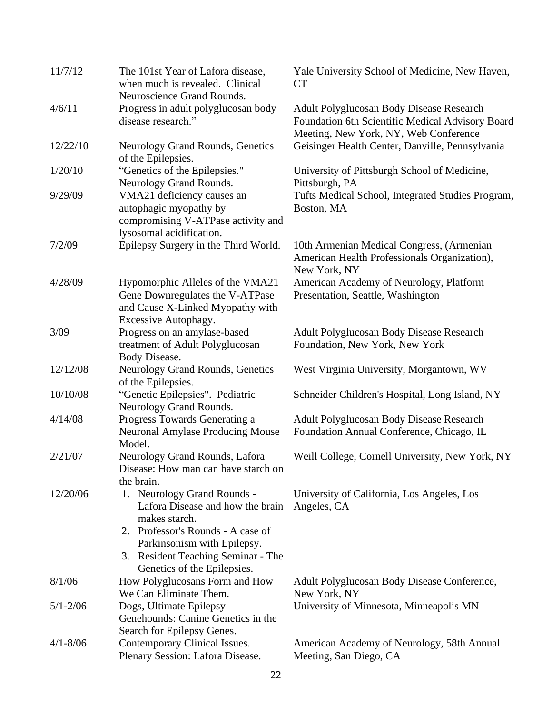| 11/7/12      | The 101st Year of Lafora disease,<br>when much is revealed. Clinical<br>Neuroscience Grand Rounds.                                                                                                                        | Yale University School of Medicine, New Haven,<br><b>CT</b>                                                                           |  |
|--------------|---------------------------------------------------------------------------------------------------------------------------------------------------------------------------------------------------------------------------|---------------------------------------------------------------------------------------------------------------------------------------|--|
| 4/6/11       | Progress in adult polyglucosan body<br>disease research."                                                                                                                                                                 | Adult Polyglucosan Body Disease Research<br>Foundation 6th Scientific Medical Advisory Board<br>Meeting, New York, NY, Web Conference |  |
| 12/22/10     | Neurology Grand Rounds, Genetics<br>of the Epilepsies.                                                                                                                                                                    | Geisinger Health Center, Danville, Pennsylvania                                                                                       |  |
| 1/20/10      | "Genetics of the Epilepsies."<br>Neurology Grand Rounds.                                                                                                                                                                  | University of Pittsburgh School of Medicine,<br>Pittsburgh, PA                                                                        |  |
| 9/29/09      | VMA21 deficiency causes an<br>autophagic myopathy by<br>compromising V-ATPase activity and<br>lysosomal acidification.                                                                                                    | Tufts Medical School, Integrated Studies Program,<br>Boston, MA                                                                       |  |
| 7/2/09       | Epilepsy Surgery in the Third World.                                                                                                                                                                                      | 10th Armenian Medical Congress, (Armenian<br>American Health Professionals Organization),<br>New York, NY                             |  |
| 4/28/09      | Hypomorphic Alleles of the VMA21<br>Gene Downregulates the V-ATPase<br>and Cause X-Linked Myopathy with<br>Excessive Autophagy.                                                                                           | American Academy of Neurology, Platform<br>Presentation, Seattle, Washington                                                          |  |
| 3/09         | Progress on an amylase-based<br>treatment of Adult Polyglucosan<br>Body Disease.                                                                                                                                          | <b>Adult Polyglucosan Body Disease Research</b><br>Foundation, New York, New York                                                     |  |
| 12/12/08     | Neurology Grand Rounds, Genetics<br>of the Epilepsies.                                                                                                                                                                    | West Virginia University, Morgantown, WV                                                                                              |  |
| 10/10/08     | "Genetic Epilepsies". Pediatric<br>Neurology Grand Rounds.                                                                                                                                                                | Schneider Children's Hospital, Long Island, NY                                                                                        |  |
| 4/14/08      | Progress Towards Generating a<br><b>Neuronal Amylase Producing Mouse</b><br>Model.                                                                                                                                        | Adult Polyglucosan Body Disease Research<br>Foundation Annual Conference, Chicago, IL                                                 |  |
| 2/21/07      | Neurology Grand Rounds, Lafora<br>Disease: How man can have starch on<br>the brain.                                                                                                                                       | Weill College, Cornell University, New York, NY                                                                                       |  |
| 12/20/06     | 1. Neurology Grand Rounds -<br>Lafora Disease and how the brain<br>makes starch.<br>2. Professor's Rounds - A case of<br>Parkinsonism with Epilepsy.<br>3. Resident Teaching Seminar - The<br>Genetics of the Epilepsies. | University of California, Los Angeles, Los<br>Angeles, CA                                                                             |  |
| 8/1/06       | How Polyglucosans Form and How<br>We Can Eliminate Them.                                                                                                                                                                  | Adult Polyglucosan Body Disease Conference,<br>New York, NY                                                                           |  |
| $5/1 - 2/06$ | Dogs, Ultimate Epilepsy<br>Genehounds: Canine Genetics in the<br>Search for Epilepsy Genes.                                                                                                                               | University of Minnesota, Minneapolis MN                                                                                               |  |
| $4/1 - 8/06$ | Contemporary Clinical Issues.<br>Plenary Session: Lafora Disease.                                                                                                                                                         | American Academy of Neurology, 58th Annual<br>Meeting, San Diego, CA                                                                  |  |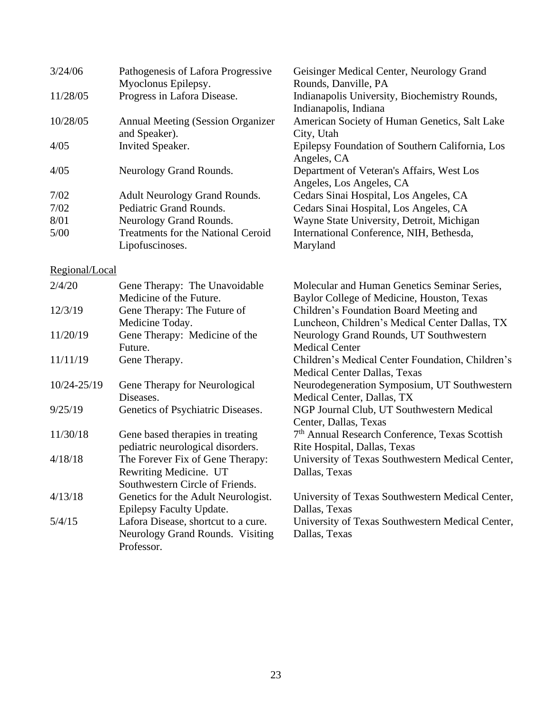| 3/24/06        | Pathogenesis of Lafora Progressive        | Geisinger Medical Center, Neurology Grand                              |  |
|----------------|-------------------------------------------|------------------------------------------------------------------------|--|
|                | Myoclonus Epilepsy.                       | Rounds, Danville, PA                                                   |  |
| 11/28/05       | Progress in Lafora Disease.               | Indianapolis University, Biochemistry Rounds,<br>Indianapolis, Indiana |  |
| 10/28/05       | <b>Annual Meeting (Session Organizer</b>  | American Society of Human Genetics, Salt Lake                          |  |
|                | and Speaker).                             | City, Utah                                                             |  |
| 4/05           | Invited Speaker.                          | Epilepsy Foundation of Southern California, Los<br>Angeles, CA         |  |
| 4/05           | Neurology Grand Rounds.                   | Department of Veteran's Affairs, West Los<br>Angeles, Los Angeles, CA  |  |
| 7/02           | <b>Adult Neurology Grand Rounds.</b>      | Cedars Sinai Hospital, Los Angeles, CA                                 |  |
| 7/02           | Pediatric Grand Rounds.                   | Cedars Sinai Hospital, Los Angeles, CA                                 |  |
| 8/01           | Neurology Grand Rounds.                   | Wayne State University, Detroit, Michigan                              |  |
| $5/00$         | <b>Treatments for the National Ceroid</b> | International Conference, NIH, Bethesda,                               |  |
|                | Lipofuscinoses.                           | Maryland                                                               |  |
| Regional/Local |                                           |                                                                        |  |
| 2/4/20         | Gene Therapy: The Unavoidable             | Molecular and Human Genetics Seminar Series,                           |  |
|                | Medicine of the Future.                   | Baylor College of Medicine, Houston, Texas                             |  |
| 12/3/19        | Gene Therapy: The Future of               | Children's Foundation Board Meeting and                                |  |
|                | Medicine Today.                           | Luncheon, Children's Medical Center Dallas, TX                         |  |
| 11/20/19       | Gene Therapy: Medicine of the             | Neurology Grand Rounds, UT Southwestern                                |  |
|                | Future.                                   | <b>Medical Center</b>                                                  |  |
| 11/11/19       | Gene Therapy.                             | Children's Medical Center Foundation, Children's                       |  |
|                |                                           | <b>Medical Center Dallas, Texas</b>                                    |  |
| 10/24-25/19    | Gene Therapy for Neurological             | Neurodegeneration Symposium, UT Southwestern                           |  |
|                | Diseases.                                 | Medical Center, Dallas, TX                                             |  |
| 9/25/19        | Genetics of Psychiatric Diseases.         | NGP Journal Club, UT Southwestern Medical                              |  |
|                |                                           | Center, Dallas, Texas                                                  |  |
| 11/30/18       | Gene based therapies in treating          | 7 <sup>th</sup> Annual Research Conference, Texas Scottish             |  |
|                | pediatric neurological disorders.         | Rite Hospital, Dallas, Texas                                           |  |
| 4/18/18        | The Forever Fix of Gene Therapy:          | University of Texas Southwestern Medical Center,                       |  |
|                | Rewriting Medicine. UT                    | Dallas, Texas                                                          |  |
|                | Southwestern Circle of Friends.           |                                                                        |  |
| 4/13/18        | Genetics for the Adult Neurologist.       | University of Texas Southwestern Medical Center,                       |  |
|                | Epilepsy Faculty Update.                  | Dallas, Texas                                                          |  |
| 5/4/15         | Lafora Disease, shortcut to a cure.       | University of Texas Southwestern Medical Center,                       |  |
|                | Neurology Grand Rounds. Visiting          | Dallas, Texas                                                          |  |
|                | Professor.                                |                                                                        |  |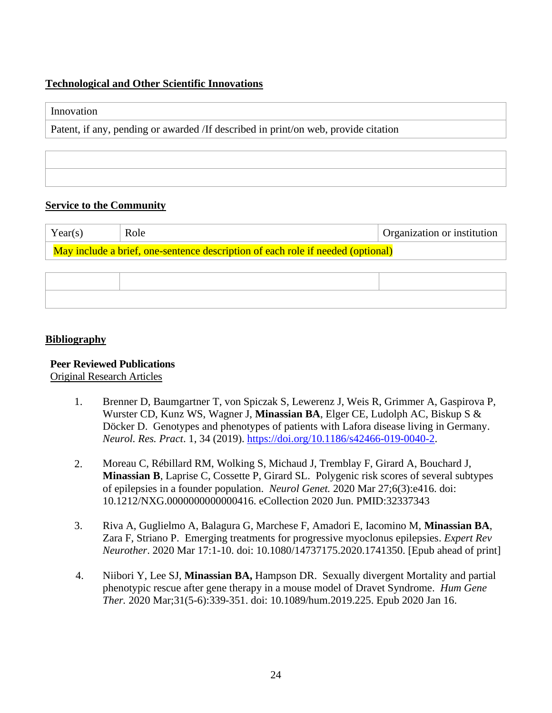## **Technological and Other Scientific Innovations**

#### Innovation

Patent, if any, pending or awarded /If described in print/on web, provide citation

## **Service to the Community**

| Year(s)                                                                         | Role | Organization or institution |
|---------------------------------------------------------------------------------|------|-----------------------------|
| May include a brief, one-sentence description of each role if needed (optional) |      |                             |

#### **Bibliography**

## **Peer Reviewed Publications**

Original Research Articles

- 1. Brenner D, Baumgartner T, von Spiczak S, Lewerenz J, Weis R, Grimmer A, Gaspirova P, Wurster CD, Kunz WS, Wagner J, **Minassian BA**, Elger CE, Ludolph AC, Biskup S & Döcker D. Genotypes and phenotypes of patients with Lafora disease living in Germany. *Neurol. Res. Pract*. 1, 34 (2019). [https://doi.org/10.1186/s42466-019-0040-2.](https://doi.org/10.1186/s42466-019-0040-2)
- 2. Moreau C, Rébillard RM, Wolking S, Michaud J, Tremblay F, Girard A, Bouchard J, **Minassian B**, Laprise C, Cossette P, Girard SL. Polygenic risk scores of several subtypes of epilepsies in a founder population. *Neurol Genet.* 2020 Mar 27;6(3):e416. doi: 10.1212/NXG.0000000000000416. eCollection 2020 Jun. PMID:32337343
- 3. Riva A, Guglielmo A, Balagura G, Marchese F, Amadori E, Iacomino M, **Minassian BA**, Zara F, Striano P. Emerging treatments for progressive myoclonus epilepsies. *Expert Rev Neurother*. 2020 Mar 17:1-10. doi: 10.1080/14737175.2020.1741350. [Epub ahead of print]
- 4. Niibori Y, Lee SJ, **Minassian BA,** Hampson DR. Sexually divergent Mortality and partial phenotypic rescue after gene therapy in a mouse model of Dravet Syndrome. *Hum Gene Ther.* 2020 Mar;31(5-6):339-351. doi: 10.1089/hum.2019.225. Epub 2020 Jan 16.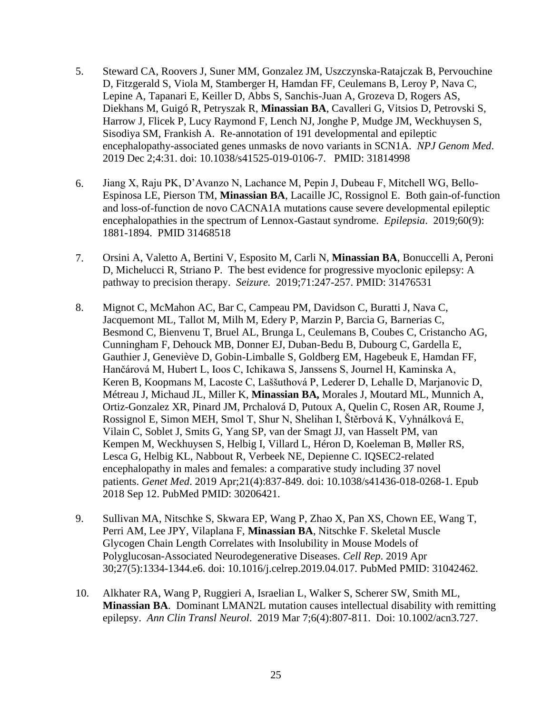- 5. Steward CA, Roovers J, Suner MM, Gonzalez JM, Uszczynska-Ratajczak B, Pervouchine D, Fitzgerald S, Viola M, Stamberger H, Hamdan FF, Ceulemans B, Leroy P, Nava C, Lepine A, Tapanari E, Keiller D, Abbs S, Sanchis-Juan A, Grozeva D, Rogers AS, Diekhans M, Guigó R, Petryszak R, **Minassian BA**, Cavalleri G, Vitsios D, Petrovski S, Harrow J, Flicek P, Lucy Raymond F, Lench NJ, Jonghe P, Mudge JM, Weckhuysen S, Sisodiya SM, Frankish A. Re-annotation of 191 developmental and epileptic encephalopathy-associated genes unmasks de novo variants in SCN1A. *NPJ Genom Med*. 2019 Dec 2;4:31. doi: 10.1038/s41525-019-0106-7. PMID: 31814998
- 6. Jiang X, Raju PK, D'Avanzo N, Lachance M, Pepin J, Dubeau F, Mitchell WG, Bello-Espinosa LE, Pierson TM, **Minassian BA**, Lacaille JC, Rossignol E. Both gain-of-function and loss-of-function de novo CACNA1A mutations cause severe developmental epileptic encephalopathies in the spectrum of Lennox-Gastaut syndrome. *Epilepsia*. 2019;60(9): 1881-1894. PMID 31468518
- 7. Orsini A, Valetto A, Bertini V, Esposito M, Carli N, **Minassian BA**, Bonuccelli A, Peroni D, Michelucci R, Striano P. The best evidence for progressive myoclonic epilepsy: A pathway to precision therapy. *Seizure.* 2019;71:247-257. PMID: 31476531
- 8. Mignot C, McMahon AC, Bar C, Campeau PM, Davidson C, Buratti J, Nava C, Jacquemont ML, Tallot M, Milh M, Edery P, Marzin P, Barcia G, Barnerias C, Besmond C, Bienvenu T, Bruel AL, Brunga L, Ceulemans B, Coubes C, Cristancho AG, Cunningham F, Dehouck MB, Donner EJ, Duban-Bedu B, Dubourg C, Gardella E, Gauthier J, Geneviève D, Gobin-Limballe S, Goldberg EM, Hagebeuk E, Hamdan FF, Hančárová M, Hubert L, Ioos C, Ichikawa S, Janssens S, Journel H, Kaminska A, Keren B, Koopmans M, Lacoste C, Laššuthová P, Lederer D, Lehalle D, Marjanovic D, Métreau J, Michaud JL, Miller K, **Minassian BA,** Morales J, Moutard ML, Munnich A, Ortiz-Gonzalez XR, Pinard JM, Prchalová D, Putoux A, Quelin C, Rosen AR, Roume J, Rossignol E, Simon MEH, Smol T, Shur N, Shelihan I, Štěrbová K, Vyhnálková E, Vilain C, Soblet J, Smits G, Yang SP, van der Smagt JJ, van Hasselt PM, van Kempen M, Weckhuysen S, Helbig I, Villard L, Héron D, Koeleman B, Møller RS, Lesca G, Helbig KL, Nabbout R, Verbeek NE, Depienne C. IQSEC2-related encephalopathy in males and females: a comparative study including 37 novel patients. *Genet Med*. 2019 Apr;21(4):837-849. doi: 10.1038/s41436-018-0268-1. Epub 2018 Sep 12. PubMed PMID: 30206421.
- 9. Sullivan MA, Nitschke S, Skwara EP, Wang P, Zhao X, Pan XS, Chown EE, Wang T, Perri AM, Lee JPY, Vilaplana F, **Minassian BA**, Nitschke F. Skeletal Muscle Glycogen Chain Length Correlates with Insolubility in Mouse Models of Polyglucosan-Associated Neurodegenerative Diseases. *Cell Rep*. 2019 Apr 30;27(5):1334-1344.e6. doi: 10.1016/j.celrep.2019.04.017. PubMed PMID: 31042462.
- 10. Alkhater RA, Wang P, Ruggieri A, Israelian L, Walker S, Scherer SW, Smith ML, **Minassian BA**. Dominant LMAN2L mutation causes intellectual disability with remitting epilepsy. *Ann Clin Transl Neurol*. 2019 Mar 7;6(4):807-811. Doi: 10.1002/acn3.727.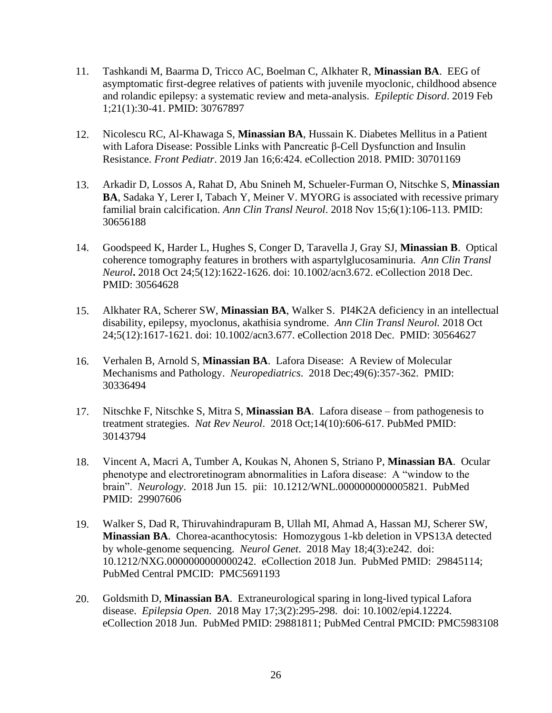- 11. Tashkandi M, Baarma D, Tricco AC, Boelman C, Alkhater R, **Minassian BA**. EEG of asymptomatic first-degree relatives of patients with juvenile myoclonic, childhood absence and rolandic epilepsy: a systematic review and meta-analysis. *Epileptic Disord*. 2019 Feb 1;21(1):30-41. PMID: 30767897
- 12. Nicolescu RC, Al-Khawaga S, **Minassian BA**, Hussain K. Diabetes Mellitus in a Patient with Lafora Disease: Possible Links with Pancreatic β-Cell Dysfunction and Insulin Resistance. *Front Pediatr*. 2019 Jan 16;6:424. eCollection 2018. PMID: 30701169
- 13. Arkadir D, Lossos A, Rahat D, Abu Snineh M, Schueler-Furman O, Nitschke S, **Minassian BA**, Sadaka Y, Lerer I, Tabach Y, Meiner V. MYORG is associated with recessive primary familial brain calcification. *Ann Clin Transl Neurol*. 2018 Nov 15;6(1):106-113. PMID: 30656188
- 14. Goodspeed K, Harder L, Hughes S, Conger D, Taravella J, Gray SJ, **Minassian B**. Optical coherence tomography features in brothers with aspartylglucosaminuria. *Ann Clin Transl Neurol***.** 2018 Oct 24;5(12):1622-1626. doi: 10.1002/acn3.672. eCollection 2018 Dec. PMID: 30564628
- 15. Alkhater RA, Scherer SW, **Minassian BA**, Walker S. PI4K2A deficiency in an intellectual disability, epilepsy, myoclonus, akathisia syndrome. *Ann Clin Transl Neurol.* 2018 Oct 24;5(12):1617-1621. doi: 10.1002/acn3.677. eCollection 2018 Dec. PMID: 30564627
- 16. Verhalen B, Arnold S, **Minassian BA**. Lafora Disease: A Review of Molecular Mechanisms and Pathology. *Neuropediatrics*. 2018 Dec;49(6):357-362. PMID: 30336494
- 17. Nitschke F, Nitschke S, Mitra S, **Minassian BA**. Lafora disease from pathogenesis to treatment strategies. *Nat Rev Neurol*. 2018 Oct;14(10):606-617. PubMed PMID: 30143794
- 18. Vincent A, Macri A, Tumber A, Koukas N, Ahonen S, Striano P, **Minassian BA**. Ocular phenotype and electroretinogram abnormalities in Lafora disease: A "window to the brain". *Neurology*. 2018 Jun 15. pii: 10.1212/WNL.0000000000005821. PubMed PMID: 29907606
- 19. Walker S, Dad R, Thiruvahindrapuram B, Ullah MI, Ahmad A, Hassan MJ, Scherer SW, **Minassian BA**. Chorea-acanthocytosis: Homozygous 1-kb deletion in VPS13A detected by whole-genome sequencing. *Neurol Genet*. 2018 May 18;4(3):e242. doi: 10.1212/NXG.0000000000000242. eCollection 2018 Jun. PubMed PMID: 29845114; PubMed Central PMCID: PMC5691193
- 20. Goldsmith D, **Minassian BA**. Extraneurological sparing in long-lived typical Lafora disease. *Epilepsia Open*. 2018 May 17;3(2):295-298. doi: 10.1002/epi4.12224. eCollection 2018 Jun. PubMed PMID: 29881811; PubMed Central PMCID: PMC5983108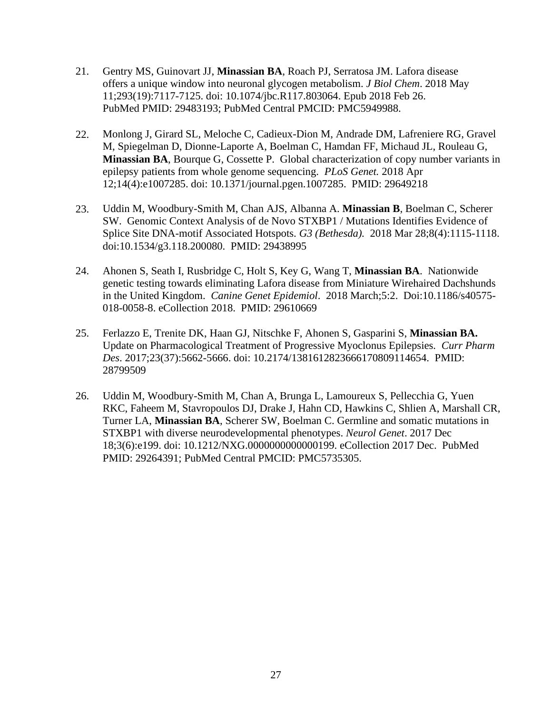- 21. Gentry MS, Guinovart JJ, **Minassian BA**, Roach PJ, Serratosa JM. Lafora disease offers a unique window into neuronal glycogen metabolism. *J Biol Chem*. 2018 May 11;293(19):7117-7125. doi: 10.1074/jbc.R117.803064. Epub 2018 Feb 26. PubMed PMID: 29483193; PubMed Central PMCID: PMC5949988.
- 22. Monlong J, Girard SL, Meloche C, Cadieux-Dion M, Andrade DM, Lafreniere RG, Gravel M, Spiegelman D, Dionne-Laporte A, Boelman C, Hamdan FF, Michaud JL, Rouleau G, **Minassian BA**, Bourque G, Cossette P. Global characterization of copy number variants in epilepsy patients from whole genome sequencing. *[PLoS Genet.](https://www.ncbi.nlm.nih.gov/pubmed/29649218)* 2018 Apr 12;14(4):e1007285. doi: 10.1371/journal.pgen.1007285. PMID: 29649218
- 23. Uddin M, Woodbury-Smith M, Chan AJS, Albanna A. **Minassian B**, Boelman C, Scherer SW. Genomic Context Analysis of de Novo STXBP1 / Mutations Identifies Evidence of Splice Site DNA-motif Associated Hotspots. *G3 (Bethesda).* 2018 Mar 28;8(4):1115-1118. doi:10.1534/g3.118.200080. PMID: 29438995
- 24. Ahonen S, Seath I, Rusbridge C, Holt S, Key G, Wang T, **Minassian BA**. Nationwide genetic testing towards eliminating Lafora disease from Miniature Wirehaired Dachshunds in the United Kingdom. *Canine Genet Epidemiol*. 2018 March;5:2. Doi:10.1186/s40575- 018-0058-8. eCollection 2018. PMID: 29610669
- 25. Ferlazzo E, Trenite DK, Haan GJ, Nitschke F, Ahonen S, Gasparini S, **Minassian BA.** Update on Pharmacological Treatment of Progressive Myoclonus Epilepsies*. Curr Pharm Des*. 2017;23(37):5662-5666. doi: 10.2174/1381612823666170809114654. PMID: 28799509
- 26. Uddin M, Woodbury-Smith M, Chan A, Brunga L, Lamoureux S, Pellecchia G, Yuen RKC, Faheem M, Stavropoulos DJ, Drake J, Hahn CD, Hawkins C, Shlien A, Marshall CR, Turner LA, **Minassian BA**, Scherer SW, Boelman C. Germline and somatic mutations in STXBP1 with diverse neurodevelopmental phenotypes. *Neurol Genet*. 2017 Dec 18;3(6):e199. doi: 10.1212/NXG.0000000000000199. eCollection 2017 Dec. PubMed PMID: 29264391; PubMed Central PMCID: PMC5735305.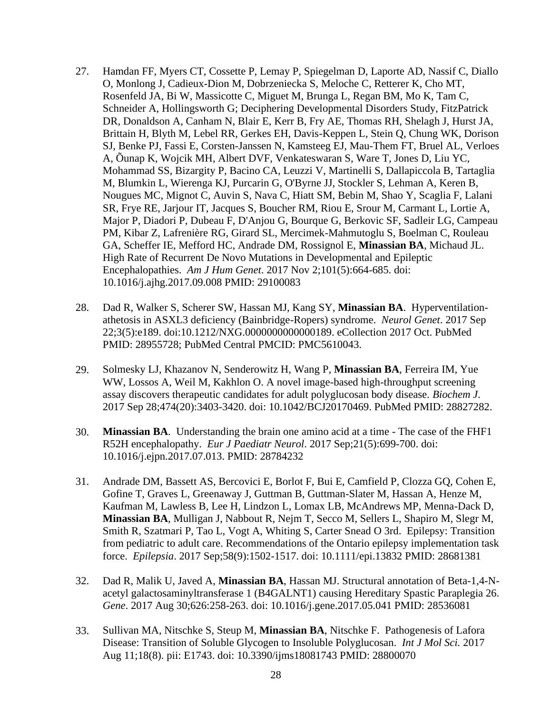- 27. Hamdan FF, Myers CT, Cossette P, Lemay P, Spiegelman D, Laporte AD, Nassif C, Diallo O, Monlong J, Cadieux-Dion M, Dobrzeniecka S, Meloche C, Retterer K, Cho MT, Rosenfeld JA, Bi W, Massicotte C, Miguet M, Brunga L, Regan BM, Mo K, Tam C, Schneider A, Hollingsworth G; Deciphering Developmental Disorders Study, FitzPatrick DR, Donaldson A, Canham N, Blair E, Kerr B, Fry AE, Thomas RH, Shelagh J, Hurst JA, Brittain H, Blyth M, Lebel RR, Gerkes EH, Davis-Keppen L, Stein Q, Chung WK, Dorison SJ, Benke PJ, Fassi E, Corsten-Janssen N, Kamsteeg EJ, Mau-Them FT, Bruel AL, Verloes A, Õunap K, Wojcik MH, Albert DVF, Venkateswaran S, Ware T, Jones D, Liu YC, Mohammad SS, Bizargity P, Bacino CA, Leuzzi V, Martinelli S, Dallapiccola B, Tartaglia M, Blumkin L, Wierenga KJ, Purcarin G, O'Byrne JJ, Stockler S, Lehman A, Keren B, Nougues MC, Mignot C, Auvin S, Nava C, Hiatt SM, Bebin M, Shao Y, Scaglia F, Lalani SR, Frye RE, Jarjour IT, Jacques S, Boucher RM, Riou E, Srour M, Carmant L, Lortie A, Major P, Diadori P, Dubeau F, D'Anjou G, Bourque G, Berkovic SF, Sadleir LG, Campeau PM, Kibar Z, Lafrenière RG, Girard SL, Mercimek-Mahmutoglu S, Boelman C, Rouleau GA, Scheffer IE, Mefford HC, Andrade DM, Rossignol E, **Minassian BA**, Michaud JL. High Rate of Recurrent De Novo Mutations in Developmental and Epileptic Encephalopathies. *Am J Hum Genet*. 2017 Nov 2;101(5):664-685. doi: 10.1016/j.ajhg.2017.09.008 PMID: 29100083
- 28. Dad R, Walker S, Scherer SW, Hassan MJ, Kang SY, **Minassian BA**. Hyperventilationathetosis in ASXL3 deficiency (Bainbridge-Ropers) syndrome. *Neurol Genet*. 2017 Sep 22;3(5):e189. doi:10.1212/NXG.0000000000000189. eCollection 2017 Oct. PubMed PMID: 28955728; PubMed Central PMCID: PMC5610043.
- 29. Solmesky LJ, Khazanov N, Senderowitz H, Wang P, **Minassian BA**, Ferreira IM, Yue WW, Lossos A, Weil M, Kakhlon O. A novel image-based high-throughput screening assay discovers therapeutic candidates for adult polyglucosan body disease. *Biochem J*. 2017 Sep 28;474(20):3403-3420. doi: 10.1042/BCJ20170469. PubMed PMID: 28827282.
- 30. **Minassian BA**. Understanding the brain one amino acid at a time The case of the FHF1 R52H encephalopathy. *Eur J Paediatr Neurol*. 2017 Sep;21(5):699-700. doi: 10.1016/j.ejpn.2017.07.013. PMID: 28784232
- 31. Andrade DM, Bassett AS, Bercovici E, Borlot F, Bui E, Camfield P, Clozza GQ, Cohen E, Gofine T, Graves L, Greenaway J, Guttman B, Guttman-Slater M, Hassan A, Henze M, Kaufman M, Lawless B, Lee H, Lindzon L, Lomax LB, McAndrews MP, Menna-Dack D, **Minassian BA**, Mulligan J, Nabbout R, Nejm T, Secco M, Sellers L, Shapiro M, Slegr M, Smith R, Szatmari P, Tao L, Vogt A, Whiting S, Carter Snead O 3rd. Epilepsy: Transition from pediatric to adult care. Recommendations of the Ontario epilepsy implementation task force. *Epilepsia*. 2017 Sep;58(9):1502-1517. doi: 10.1111/epi.13832 PMID: 28681381
- 32. Dad R, Malik U, Javed A, **Minassian BA**, Hassan MJ. Structural annotation of Beta-1,4-Nacetyl galactosaminyltransferase 1 (B4GALNT1) causing Hereditary Spastic Paraplegia 26. *Gene*. 2017 Aug 30;626:258-263. doi: 10.1016/j.gene.2017.05.041 PMID: 28536081
- 33. Sullivan MA, Nitschke S, Steup M, **Minassian BA**, Nitschke F. Pathogenesis of Lafora Disease: Transition of Soluble Glycogen to Insoluble Polyglucosan. *Int J Mol Sci.* 2017 Aug 11;18(8). pii: E1743. doi: 10.3390/ijms18081743 PMID: 28800070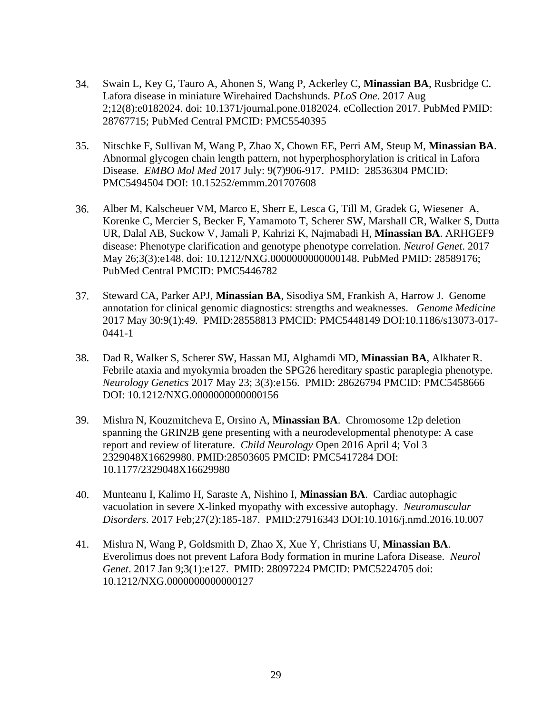- 34. Swain L, Key G, Tauro A, Ahonen S, Wang P, Ackerley C, **Minassian BA**, Rusbridge C. Lafora disease in miniature Wirehaired Dachshunds. *PLoS One*. 2017 Aug 2;12(8):e0182024. doi: 10.1371/journal.pone.0182024. eCollection 2017. PubMed PMID: 28767715; PubMed Central PMCID: PMC5540395
- 35. Nitschke F, Sullivan M, Wang P, Zhao X, Chown EE, Perri AM, Steup M, **Minassian BA**. Abnormal glycogen chain length pattern, not hyperphosphorylation is critical in Lafora Disease. *EMBO Mol Med* 2017 July: 9(7)906-917. PMID: 28536304 PMCID: PMC5494504 DOI: 10.15252/emmm.201707608
- 36. Alber M, Kalscheuer VM, Marco E, Sherr E, Lesca G, Till M, Gradek G, Wiesener A, Korenke C, Mercier S, Becker F, Yamamoto T, Scherer SW, Marshall CR, Walker S, Dutta UR, Dalal AB, Suckow V, Jamali P, Kahrizi K, Najmabadi H, **Minassian BA**. ARHGEF9 disease: Phenotype clarification and genotype phenotype correlation. *Neurol Genet*. 2017 May 26;3(3):e148. doi: 10.1212/NXG.0000000000000148. PubMed PMID: 28589176; PubMed Central PMCID: PMC5446782
- 37. Steward CA, Parker APJ, **Minassian BA**, Sisodiya SM, Frankish A, Harrow J. Genome annotation for clinical genomic diagnostics: strengths and weaknesses. *Genome Medicine* 2017 May 30:9(1):49. PMID:28558813 PMCID: PMC5448149 DOI:10.1186/s13073-017- 0441-1
- 38. Dad R, Walker S, Scherer SW, Hassan MJ, Alghamdi MD, **Minassian BA**, Alkhater R. Febrile ataxia and myokymia broaden the SPG26 hereditary spastic paraplegia phenotype. *Neurology Genetics* 2017 May 23; 3(3):e156. PMID: 28626794 PMCID: PMC5458666 DOI: 10.1212/NXG.0000000000000156
- 39. Mishra N, Kouzmitcheva E, Orsino A, **Minassian BA**. Chromosome 12p deletion spanning the GRIN2B gene presenting with a neurodevelopmental phenotype: A case report and review of literature. *Child Neurology* Open 2016 April 4; Vol 3 2329048X16629980. PMID:28503605 PMCID: PMC5417284 DOI: 10.1177/2329048X16629980
- 40. Munteanu I, Kalimo H, Saraste A, Nishino I, **Minassian BA**. Cardiac autophagic vacuolation in severe X-linked myopathy with excessive autophagy. *Neuromuscular Disorders*. 2017 Feb;27(2):185-187. PMID:27916343 DOI:10.1016/j.nmd.2016.10.007
- 41. Mishra N, Wang P, Goldsmith D, Zhao X, Xue Y, Christians U, **Minassian BA**. Everolimus does not prevent Lafora Body formation in murine Lafora Disease. *Neurol Genet*. 2017 Jan 9;3(1):e127. PMID: 28097224 PMCID: PMC5224705 doi: 10.1212/NXG.0000000000000127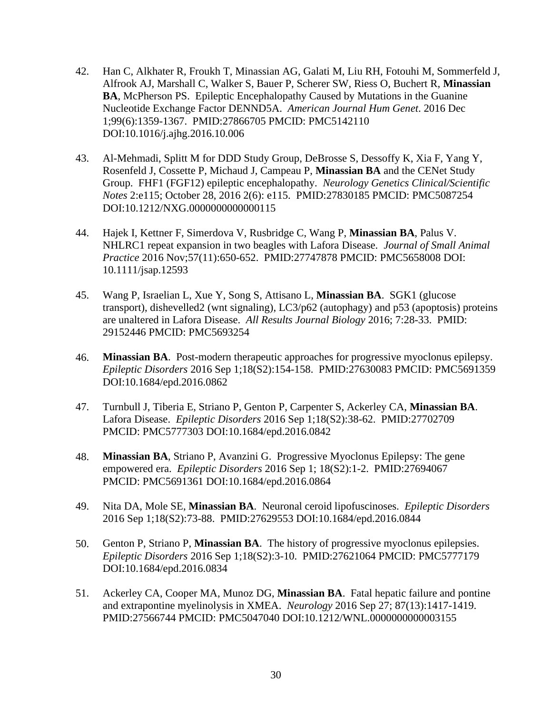- 42. Han C, Alkhater R, Froukh T, Minassian AG, Galati M, Liu RH, Fotouhi M, Sommerfeld J, Alfrook AJ, Marshall C, Walker S, Bauer P, Scherer SW, Riess O, Buchert R, **Minassian BA**, McPherson PS. Epileptic Encephalopathy Caused by Mutations in the Guanine Nucleotide Exchange Factor DENND5A. *American Journal Hum Genet*. 2016 Dec 1;99(6):1359-1367. PMID:27866705 PMCID: PMC5142110 DOI:10.1016/j.ajhg.2016.10.006
- 43. Al-Mehmadi, Splitt M for DDD Study Group, DeBrosse S, Dessoffy K, Xia F, Yang Y, Rosenfeld J, Cossette P, Michaud J, Campeau P, **Minassian BA** and the CENet Study Group. FHF1 (FGF12) epileptic encephalopathy. *Neurology Genetics Clinical/Scientific Notes* 2:e115; October 28, 2016 2(6): e115. PMID:27830185 PMCID: PMC5087254 DOI:10.1212/NXG.0000000000000115
- 44. Hajek I, Kettner F, Simerdova V, Rusbridge C, Wang P, **Minassian BA**, Palus V. NHLRC1 repeat expansion in two beagles with Lafora Disease. *Journal of Small Animal Practice* 2016 Nov;57(11):650-652. PMID:27747878 PMCID: PMC5658008 DOI: 10.1111/jsap.12593
- 45. Wang P, Israelian L, Xue Y, Song S, Attisano L, **Minassian BA**. SGK1 (glucose transport), dishevelled2 (wnt signaling), LC3/p62 (autophagy) and p53 (apoptosis) proteins are unaltered in Lafora Disease. *All Results Journal Biology* 2016; 7:28-33. PMID: 29152446 PMCID: PMC5693254
- 46. **Minassian BA**. Post-modern therapeutic approaches for progressive myoclonus epilepsy. *Epileptic Disorders* 2016 Sep 1;18(S2):154-158. PMID:27630083 PMCID: PMC5691359 DOI:10.1684/epd.2016.0862
- 47. Turnbull J, Tiberia E, Striano P, Genton P, Carpenter S, Ackerley CA, **Minassian BA**. Lafora Disease. *Epileptic Disorders* 2016 Sep 1;18(S2):38-62. PMID:27702709 PMCID: PMC5777303 DOI:10.1684/epd.2016.0842
- 48. **Minassian BA**, Striano P, Avanzini G. Progressive Myoclonus Epilepsy: The gene empowered era. *Epileptic Disorders* 2016 Sep 1; 18(S2):1-2. PMID:27694067 PMCID: PMC5691361 DOI:10.1684/epd.2016.0864
- 49. Nita DA, Mole SE, **Minassian BA**. Neuronal ceroid lipofuscinoses. *Epileptic Disorders* 2016 Sep 1;18(S2):73-88. PMID:27629553 DOI:10.1684/epd.2016.0844
- 50. Genton P, Striano P, **Minassian BA**. The history of progressive myoclonus epilepsies. *Epileptic Disorders* 2016 Sep 1;18(S2):3-10. PMID:27621064 PMCID: PMC5777179 DOI:10.1684/epd.2016.0834
- 51. Ackerley CA, Cooper MA, Munoz DG, **Minassian BA**. Fatal hepatic failure and pontine and extrapontine myelinolysis in XMEA. *Neurology* 2016 Sep 27; 87(13):1417-1419. PMID:27566744 PMCID: PMC5047040 DOI:10.1212/WNL.0000000000003155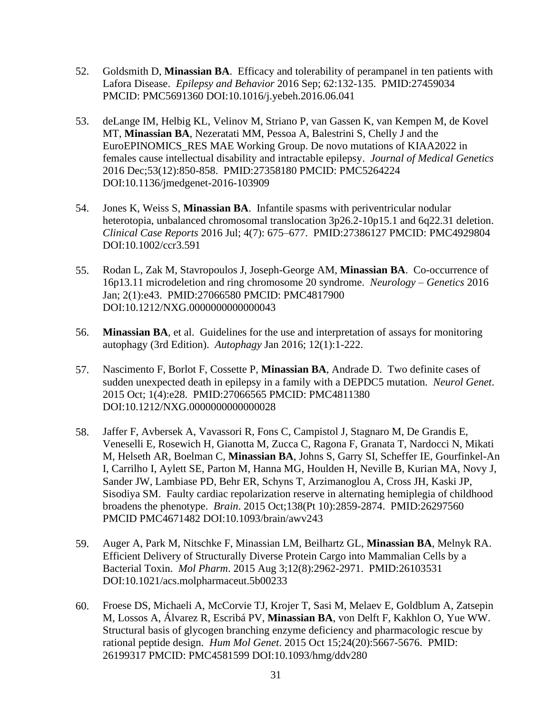- 52. Goldsmith D, **Minassian BA**. Efficacy and tolerability of perampanel in ten patients with Lafora Disease. *Epilepsy and Behavior* 2016 Sep; 62:132-135. PMID:27459034 PMCID: PMC5691360 DOI:10.1016/j.yebeh.2016.06.041
- 53. deLange IM, Helbig KL, Velinov M, Striano P, van Gassen K, van Kempen M, de Kovel MT, **Minassian BA**, Nezeratati MM, Pessoa A, Balestrini S, Chelly J and the EuroEPINOMICS\_RES MAE Working Group. De novo mutations of KIAA2022 in females cause intellectual disability and intractable epilepsy. *Journal of Medical Genetics*  2016 Dec;53(12):850-858. PMID:27358180 PMCID: PMC5264224 DOI:10.1136/jmedgenet-2016-103909
- 54. Jones K, Weiss S, **Minassian BA**. Infantile spasms with periventricular nodular heterotopia, unbalanced chromosomal translocation 3p26.2-10p15.1 and 6q22.31 deletion. *Clinical Case Reports* 2016 Jul; 4(7): 675–677. PMID:27386127 PMCID: PMC4929804 DOI:10.1002/ccr3.591
- 55. Rodan L, Zak M, Stavropoulos J, Joseph-George AM, **Minassian BA**. Co-occurrence of 16p13.11 microdeletion and ring chromosome 20 syndrome. *Neurology – Genetics* 2016 Jan; 2(1):e43. PMID:27066580 PMCID: PMC4817900 DOI:10.1212/NXG.0000000000000043
- 56. **Minassian BA**, et al. Guidelines for the use and interpretation of assays for monitoring autophagy (3rd Edition). *Autophagy* Jan 2016; 12(1):1-222.
- 57. Nascimento F, Borlot F, Cossette P, **Minassian BA**, Andrade D. Two definite cases of sudden unexpected death in epilepsy in a family with a DEPDC5 mutation. *Neurol Genet*. 2015 Oct; 1(4):e28. PMID:27066565 PMCID: PMC4811380 DOI:10.1212/NXG.0000000000000028
- 58. Jaffer F, Avbersek A, Vavassori R, Fons C, Campistol J, Stagnaro M, De Grandis E, Veneselli E, Rosewich H, Gianotta M, Zucca C, Ragona F, Granata T, Nardocci N, Mikati M, Helseth AR, Boelman C, **Minassian BA**, Johns S, Garry SI, Scheffer IE, Gourfinkel-An I, Carrilho I, Aylett SE, Parton M, Hanna MG, Houlden H, Neville B, Kurian MA, Novy J, Sander JW, Lambiase PD, Behr ER, Schyns T, Arzimanoglou A, Cross JH, Kaski JP, Sisodiya SM. Faulty cardiac repolarization reserve in alternating hemiplegia of childhood broadens the phenotype. *Brain*. 2015 Oct;138(Pt 10):2859-2874. PMID:26297560 PMCID PMC4671482 DOI:10.1093/brain/awv243
- 59. Auger A, Park M, Nitschke F, Minassian LM, Beilhartz GL, **Minassian BA**, Melnyk RA. Efficient Delivery of Structurally Diverse Protein Cargo into Mammalian Cells by a Bacterial Toxin. *Mol Pharm*. 2015 Aug 3;12(8):2962-2971. PMID:26103531 DOI:10.1021/acs.molpharmaceut.5b00233
- 60. Froese DS, Michaeli A, McCorvie TJ, Krojer T, Sasi M, Melaev E, Goldblum A, Zatsepin M, Lossos A, Álvarez R, Escribá PV, **Minassian BA**, von Delft F, Kakhlon O, Yue WW. Structural basis of glycogen branching enzyme deficiency and pharmacologic rescue by rational peptide design. *Hum Mol Genet*. 2015 Oct 15;24(20):5667-5676. PMID: 26199317 PMCID: PMC4581599 DOI:10.1093/hmg/ddv280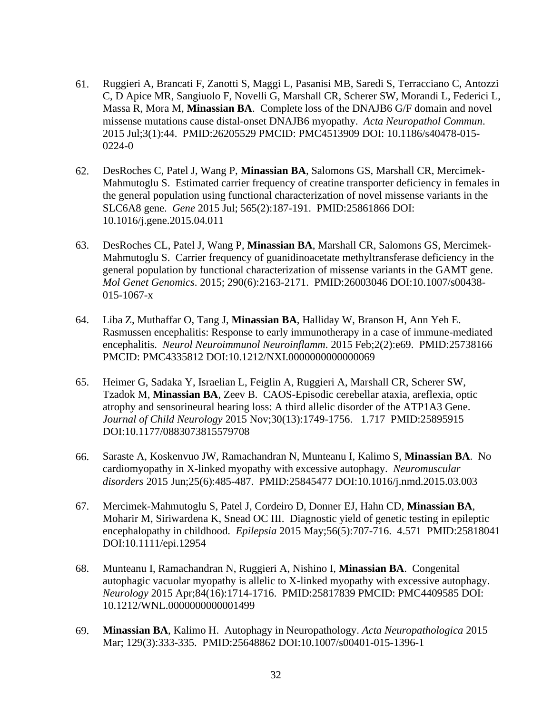- 61. Ruggieri A, Brancati F, Zanotti S, Maggi L, Pasanisi MB, Saredi S, Terracciano C, Antozzi C, D Apice MR, Sangiuolo F, Novelli G, Marshall CR, Scherer SW, Morandi L, Federici L, Massa R, Mora M, **Minassian BA**. Complete loss of the DNAJB6 G/F domain and novel missense mutations cause distal-onset DNAJB6 myopathy. *Acta Neuropathol Commun*. 2015 Jul;3(1):44. PMID:26205529 PMCID: PMC4513909 DOI: 10.1186/s40478-015- 0224-0
- 62. DesRoches C, Patel J, Wang P, **Minassian BA**, Salomons GS, Marshall CR, Mercimek-Mahmutoglu S. Estimated carrier frequency of creatine transporter deficiency in females in the general population using functional characterization of novel missense variants in the SLC6A8 gene. *Gene* 2015 Jul; 565(2):187-191. PMID:25861866 DOI: 10.1016/j.gene.2015.04.011
- 63. DesRoches CL, Patel J, Wang P, **Minassian BA**, Marshall CR, Salomons GS, Mercimek-Mahmutoglu S. Carrier frequency of guanidinoacetate methyltransferase deficiency in the general population by functional characterization of missense variants in the GAMT gene. *Mol Genet Genomics*. 2015; 290(6):2163-2171. PMID:26003046 DOI:10.1007/s00438- 015-1067-x
- 64. Liba Z, Muthaffar O, Tang J, **Minassian BA**, Halliday W, Branson H, Ann Yeh E. Rasmussen encephalitis: Response to early immunotherapy in a case of immune-mediated encephalitis. *Neurol Neuroimmunol Neuroinflamm*. 2015 Feb;2(2):e69. PMID:25738166 PMCID: PMC4335812 DOI:10.1212/NXI.0000000000000069
- 65. Heimer G, Sadaka Y, Israelian L, Feiglin A, Ruggieri A, Marshall CR, Scherer SW, Tzadok M, **Minassian BA**, Zeev B. CAOS-Episodic cerebellar ataxia, areflexia, optic atrophy and sensorineural hearing loss: A third allelic disorder of the ATP1A3 Gene. *Journal of Child Neurology* 2015 Nov;30(13):1749-1756. 1.717 PMID:25895915 DOI:10.1177/0883073815579708
- 66. Saraste A, Koskenvuo JW, Ramachandran N, Munteanu I, Kalimo S, **Minassian BA**. No cardiomyopathy in X-linked myopathy with excessive autophagy. *Neuromuscular disorders* 2015 Jun;25(6):485-487. PMID:25845477 DOI:10.1016/j.nmd.2015.03.003
- 67. Mercimek-Mahmutoglu S, Patel J, Cordeiro D, Donner EJ, Hahn CD, **Minassian BA**, Moharir M, Siriwardena K, Snead OC III. Diagnostic yield of genetic testing in epileptic encephalopathy in childhood. *Epilepsia* 2015 May;56(5):707-716. 4.571 PMID:25818041 DOI:10.1111/epi.12954
- 68. Munteanu I, Ramachandran N, Ruggieri A, Nishino I, **Minassian BA**. Congenital autophagic vacuolar myopathy is allelic to X-linked myopathy with excessive autophagy. *Neurology* 2015 Apr;84(16):1714-1716. PMID:25817839 PMCID: PMC4409585 DOI: 10.1212/WNL.0000000000001499
- 69. **Minassian BA**, Kalimo H. Autophagy in Neuropathology. *Acta Neuropathologica* 2015 Mar; 129(3):333-335. PMID:25648862 DOI:10.1007/s00401-015-1396-1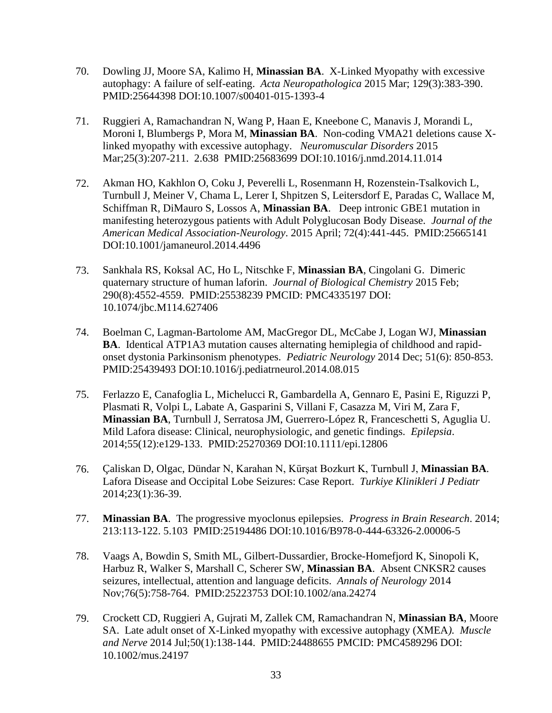- 70. Dowling JJ, Moore SA, Kalimo H, **Minassian BA**. X-Linked Myopathy with excessive autophagy: A failure of self-eating. *Acta Neuropathologica* 2015 Mar; 129(3):383-390. PMID:25644398 DOI:10.1007/s00401-015-1393-4
- 71. Ruggieri A, Ramachandran N, Wang P, Haan E, Kneebone C, Manavis J, Morandi L, Moroni I, Blumbergs P, Mora M, **Minassian BA**. Non-coding VMA21 deletions cause Xlinked myopathy with excessive autophagy. *Neuromuscular Disorders* 2015 Mar;25(3):207-211. 2.638 PMID:25683699 DOI:10.1016/j.nmd.2014.11.014
- 72. Akman HO, Kakhlon O, Coku J, Peverelli L, Rosenmann H, Rozenstein-Tsalkovich L, Turnbull J, Meiner V, Chama L, Lerer I, Shpitzen S, Leitersdorf E, Paradas C, Wallace M, Schiffman R, DiMauro S, Lossos A, **Minassian BA**. Deep intronic GBE1 mutation in manifesting heterozygous patients with Adult Polyglucosan Body Disease. *Journal of the American Medical Association-Neurology*. 2015 April; 72(4):441-445. PMID:25665141 DOI:10.1001/jamaneurol.2014.4496
- 73. Sankhala RS, Koksal AC, Ho L, Nitschke F, **Minassian BA**, Cingolani G. Dimeric quaternary structure of human laforin. *Journal of Biological Chemistry* 2015 Feb; 290(8):4552-4559. PMID:25538239 PMCID: PMC4335197 DOI: 10.1074/jbc.M114.627406
- 74. Boelman C, Lagman-Bartolome AM, MacGregor DL, McCabe J, Logan WJ, **Minassian BA**. Identical ATP1A3 mutation causes alternating hemiplegia of childhood and rapidonset dystonia Parkinsonism phenotypes. *Pediatric Neurology* 2014 Dec; 51(6): 850-853. PMID:25439493 DOI:10.1016/j.pediatrneurol.2014.08.015
- 75. Ferlazzo E, Canafoglia L, Michelucci R, Gambardella A, Gennaro E, Pasini E, Riguzzi P, Plasmati R, Volpi L, Labate A, Gasparini S, Villani F, Casazza M, Viri M, Zara F, **Minassian BA**, Turnbull J, Serratosa JM, Guerrero-López R, Franceschetti S, Aguglia U. Mild Lafora disease: Clinical, neurophysiologic, and genetic findings. *Epilepsia*. 2014;55(12):e129-133. PMID:25270369 DOI:10.1111/epi.12806
- 76. Çaliskan D, Olgac, Dündar N, Karahan N, Kürşat Bozkurt K, Turnbull J, **Minassian BA**. Lafora Disease and Occipital Lobe Seizures: Case Report. *Turkiye Klinikleri J Pediatr* 2014;23(1):36-39.
- 77. **Minassian BA**. The progressive myoclonus epilepsies. *Progress in Brain Research*. 2014; 213:113-122. 5.103 PMID:25194486 DOI:10.1016/B978-0-444-63326-2.00006-5
- 78. Vaags A, Bowdin S, Smith ML, Gilbert-Dussardier, Brocke-Homefjord K, Sinopoli K, Harbuz R, Walker S, Marshall C, Scherer SW, **Minassian BA**. Absent CNKSR2 causes seizures, intellectual, attention and language deficits. *Annals of Neurology* 2014 Nov;76(5):758-764. PMID:25223753 DOI:10.1002/ana.24274
- 79. Crockett CD, Ruggieri A, Gujrati M, Zallek CM, Ramachandran N, **Minassian BA**, Moore SA. Late adult onset of X-Linked myopathy with excessive autophagy (XMEA*). Muscle and Nerve* 2014 Jul;50(1):138-144. PMID:24488655 PMCID: PMC4589296 DOI: 10.1002/mus.24197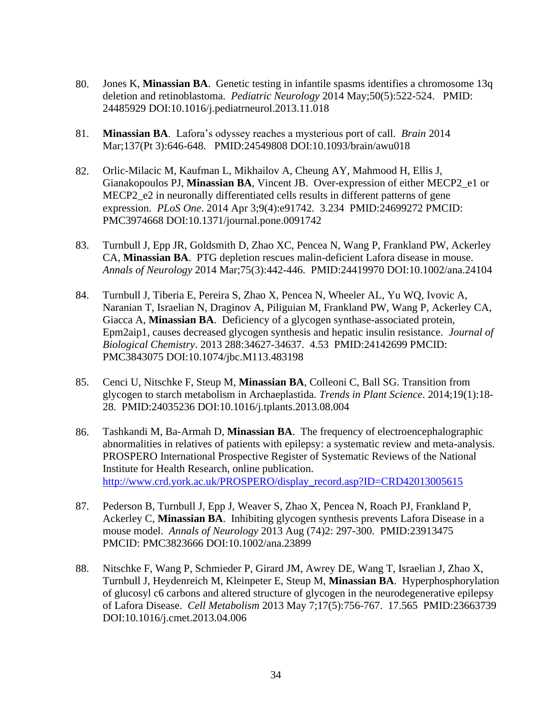- 80. Jones K, **Minassian BA**. Genetic testing in infantile spasms identifies a chromosome 13q deletion and retinoblastoma. *Pediatric Neurology* 2014 May;50(5):522-524. PMID: 24485929 DOI:10.1016/j.pediatrneurol.2013.11.018
- 81. **Minassian BA**. Lafora's odyssey reaches a mysterious port of call. *Brain* 2014 Mar;137(Pt 3):646-648. PMID:24549808 DOI:10.1093/brain/awu018
- 82. Orlic-Milacic M, Kaufman L, Mikhailov A, Cheung AY, Mahmood H, Ellis J, Gianakopoulos PJ, **Minassian BA**, Vincent JB. Over-expression of either MECP2\_e1 or MECP2 e2 in neuronally differentiated cells results in different patterns of gene expression. *PLoS One*. 2014 Apr 3;9(4):e91742. 3.234 PMID:24699272 PMCID: PMC3974668 DOI:10.1371/journal.pone.0091742
- 83. Turnbull J, Epp JR, Goldsmith D, Zhao XC, Pencea N, Wang P, Frankland PW, Ackerley CA, **Minassian BA**. PTG depletion rescues malin-deficient Lafora disease in mouse. *Annals of Neurology* 2014 Mar;75(3):442-446. PMID:24419970 DOI:10.1002/ana.24104
- 84. Turnbull J, Tiberia E, Pereira S, Zhao X, Pencea N, Wheeler AL, Yu WQ, Ivovic A, Naranian T, Israelian N, Draginov A, Piliguian M, Frankland PW, Wang P, Ackerley CA, Giacca A, **Minassian BA**. Deficiency of a glycogen synthase-associated protein, Epm2aip1, causes decreased glycogen synthesis and hepatic insulin resistance. *Journal of Biological Chemistry*. 2013 288:34627-34637. 4.53 PMID:24142699 PMCID: PMC3843075 DOI:10.1074/jbc.M113.483198
- 85. Cenci U, Nitschke F, Steup M, **Minassian BA**, Colleoni C, Ball SG. Transition from glycogen to starch metabolism in Archaeplastida. *Trends in Plant Science*. 2014;19(1):18- 28. PMID:24035236 DOI:10.1016/j.tplants.2013.08.004
- 86. Tashkandi M, Ba-Armah D, **Minassian BA**. The frequency of electroencephalographic abnormalities in relatives of patients with epilepsy: a systematic review and meta-analysis. PROSPERO International Prospective Register of Systematic Reviews of the National Institute for Health Research, online publication. [http://www.crd.york.ac.uk/PROSPERO/display\\_record.asp?ID=CRD42013005615](http://www.crd.york.ac.uk/PROSPERO/display_record.asp?ID=CRD42013005615)
- 87. Pederson B, Turnbull J, Epp J, Weaver S, Zhao X, Pencea N, Roach PJ, Frankland P, Ackerley C, **Minassian BA**. Inhibiting glycogen synthesis prevents Lafora Disease in a mouse model. *Annals of Neurology* 2013 Aug (74)2: 297-300. PMID:23913475 PMCID: PMC3823666 DOI:10.1002/ana.23899
- 88. Nitschke F, Wang P, Schmieder P, Girard JM, Awrey DE, Wang T, Israelian J, Zhao X, Turnbull J, Heydenreich M, Kleinpeter E, Steup M, **Minassian BA**. Hyperphosphorylation of glucosyl c6 carbons and altered structure of glycogen in the neurodegenerative epilepsy of Lafora Disease. *Cell Metabolism* 2013 May 7;17(5):756-767. 17.565 PMID:23663739 DOI:10.1016/j.cmet.2013.04.006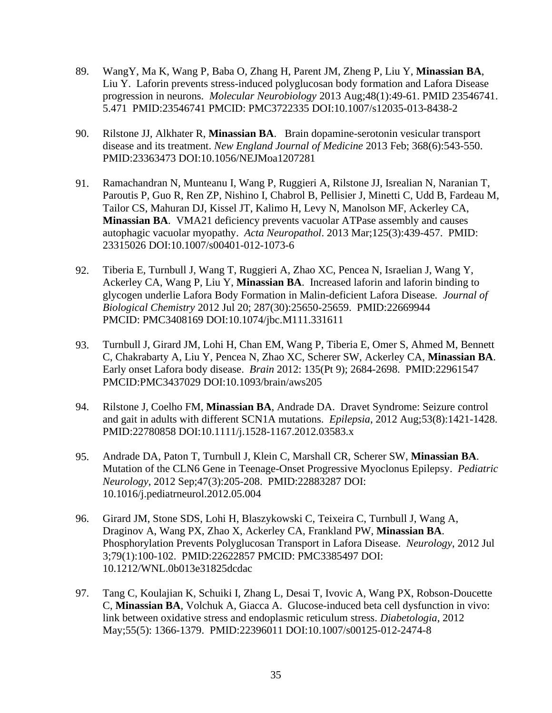- 89. WangY, Ma K, Wang P, Baba O, Zhang H, Parent JM, Zheng P, Liu Y, **Minassian BA**, Liu Y. Laforin prevents stress-induced polyglucosan body formation and Lafora Disease progression in neurons. *Molecular Neurobiology* 2013 Aug;48(1):49-61. PMID 23546741. 5.471 PMID:23546741 PMCID: PMC3722335 DOI:10.1007/s12035-013-8438-2
- 90. Rilstone JJ, Alkhater R, **Minassian BA**. Brain dopamine-serotonin vesicular transport disease and its treatment. *New England Journal of Medicine* 2013 Feb; 368(6):543-550. PMID:23363473 DOI:10.1056/NEJMoa1207281
- 91. Ramachandran N, Munteanu I, Wang P, Ruggieri A, Rilstone JJ, Isrealian N, Naranian T, Paroutis P, Guo R, Ren ZP, Nishino I, Chabrol B, Pellisier J, Minetti C, Udd B, Fardeau M, Tailor CS, Mahuran DJ, Kissel JT, Kalimo H, Levy N, Manolson MF, Ackerley CA, **Minassian BA**. VMA21 deficiency prevents vacuolar ATPase assembly and causes autophagic vacuolar myopathy. *Acta Neuropathol*. 2013 Mar;125(3):439-457. PMID: 23315026 DOI:10.1007/s00401-012-1073-6
- 92. Tiberia E, Turnbull J, Wang T, Ruggieri A, Zhao XC, Pencea N, Israelian J, Wang Y, Ackerley CA, Wang P, Liu Y, **Minassian BA**. Increased laforin and laforin binding to glycogen underlie Lafora Body Formation in Malin-deficient Lafora Disease*. Journal of Biological Chemistry* 2012 Jul 20; 287(30):25650-25659. PMID:22669944 PMCID: PMC3408169 DOI:10.1074/jbc.M111.331611
- 93. Turnbull J, Girard JM, Lohi H, Chan EM, Wang P, Tiberia E, Omer S, Ahmed M, Bennett C, Chakrabarty A, Liu Y, Pencea N, Zhao XC, Scherer SW, Ackerley CA, **Minassian BA**. Early onset Lafora body disease. *Brain* 2012: 135(Pt 9); 2684-2698. PMID:22961547 PMCID:PMC3437029 DOI:10.1093/brain/aws205
- 94. Rilstone J, Coelho FM, **Minassian BA**, Andrade DA. Dravet Syndrome: Seizure control and gait in adults with different SCN1A mutations. *Epilepsia*, 2012 Aug;53(8):1421-1428. PMID:22780858 DOI:10.1111/j.1528-1167.2012.03583.x
- 95. Andrade DA, Paton T, Turnbull J, Klein C, Marshall CR, Scherer SW, **Minassian BA**. Mutation of the CLN6 Gene in Teenage-Onset Progressive Myoclonus Epilepsy. *Pediatric Neurology*, 2012 Sep;47(3):205-208. PMID:22883287 DOI: 10.1016/j.pediatrneurol.2012.05.004
- 96. Girard JM, Stone SDS, Lohi H, Blaszykowski C, Teixeira C, Turnbull J, Wang A, Draginov A, Wang PX, Zhao X, Ackerley CA, Frankland PW, **Minassian BA**. Phosphorylation Prevents Polyglucosan Transport in Lafora Disease. *Neurology*, 2012 Jul 3;79(1):100-102. PMID:22622857 PMCID: PMC3385497 DOI: 10.1212/WNL.0b013e31825dcdac
- 97. Tang C, Koulajian K, Schuiki I, Zhang L, Desai T, Ivovic A, Wang PX, Robson-Doucette C, **Minassian BA**, Volchuk A, Giacca A. Glucose-induced beta cell dysfunction in vivo: link between oxidative stress and endoplasmic reticulum stress. *Diabetologia*, 2012 May;55(5): 1366-1379. PMID:22396011 DOI:10.1007/s00125-012-2474-8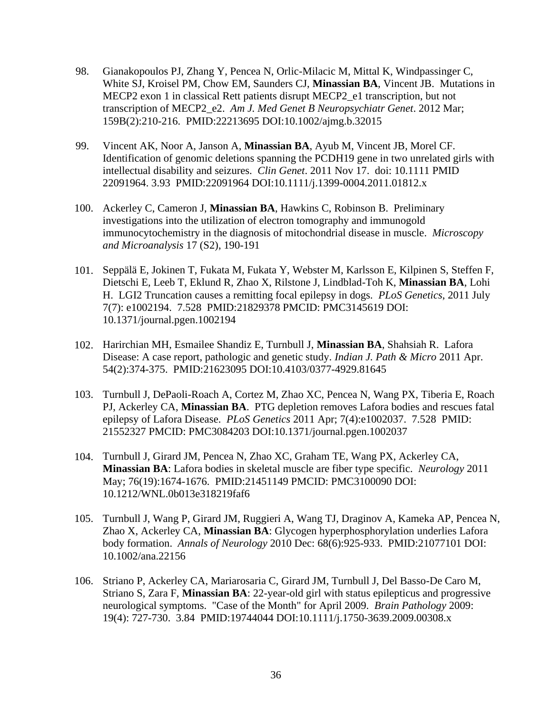- 98. Gianakopoulos PJ, Zhang Y, Pencea N, Orlic-Milacic M, Mittal K, Windpassinger C, White SJ, Kroisel PM, Chow EM, Saunders CJ, **Minassian BA**, Vincent JB. Mutations in MECP2 exon 1 in classical Rett patients disrupt MECP2\_e1 transcription, but not transcription of MECP2\_e2. *Am J. Med Genet B Neuropsychiatr Genet*. 2012 Mar; 159B(2):210-216. PMID:22213695 DOI:10.1002/ajmg.b.32015
- 99. Vincent AK, Noor A, Janson A, **Minassian BA**, Ayub M, Vincent JB, Morel CF. Identification of genomic deletions spanning the PCDH19 gene in two unrelated girls with intellectual disability and seizures. *Clin Genet*. 2011 Nov 17. doi: 10.1111 PMID 22091964. 3.93 PMID:22091964 DOI:10.1111/j.1399-0004.2011.01812.x
- 100. Ackerley C, Cameron J, **Minassian BA**, Hawkins C, Robinson B. Preliminary investigations into the utilization of electron tomography and immunogold immunocytochemistry in the diagnosis of mitochondrial disease in muscle. *Microscopy and Microanalysis* 17 (S2), 190-191
- 101. Seppälä E, Jokinen T, Fukata M, Fukata Y, Webster M, Karlsson E, Kilpinen S, Steffen F, Dietschi E, Leeb T, Eklund R, Zhao X, Rilstone J, Lindblad-Toh K, **Minassian BA**, Lohi H. LGI2 Truncation causes a remitting focal epilepsy in dogs. *PLoS Genetics*, 2011 July 7(7): e1002194. 7.528 PMID:21829378 PMCID: PMC3145619 DOI: 10.1371/journal.pgen.1002194
- 102. Harirchian MH, Esmailee Shandiz E, Turnbull J, **Minassian BA**, Shahsiah R. Lafora Disease: A case report, pathologic and genetic study. *Indian J. Path & Micro* 2011 Apr. 54(2):374-375. PMID:21623095 DOI:10.4103/0377-4929.81645
- 103. Turnbull J, DePaoli-Roach A, Cortez M, Zhao XC, Pencea N, Wang PX, Tiberia E, Roach PJ, Ackerley CA, **Minassian BA**. PTG depletion removes Lafora bodies and rescues fatal epilepsy of Lafora Disease. *PLoS Genetics* 2011 Apr; 7(4):e1002037. 7.528 PMID: 21552327 PMCID: PMC3084203 DOI:10.1371/journal.pgen.1002037
- 104. Turnbull J, Girard JM, Pencea N, Zhao XC, Graham TE, Wang PX, Ackerley CA, **Minassian BA**: Lafora bodies in skeletal muscle are fiber type specific. *Neurology* 2011 May; 76(19):1674-1676. PMID:21451149 PMCID: PMC3100090 DOI: 10.1212/WNL.0b013e318219faf6
- 105. Turnbull J, Wang P, Girard JM, Ruggieri A, Wang TJ, Draginov A, Kameka AP, Pencea N, Zhao X, Ackerley CA, **Minassian BA**: Glycogen hyperphosphorylation underlies Lafora body formation. *Annals of Neurology* 2010 Dec: 68(6):925-933. PMID:21077101 DOI: 10.1002/ana.22156
- 106. Striano P, Ackerley CA, Mariarosaria C, Girard JM, Turnbull J, Del Basso-De Caro M, Striano S, Zara F, **Minassian BA**: 22-year-old girl with status epilepticus and progressive neurological symptoms. "Case of the Month" for April 2009. *Brain Pathology* 2009: 19(4): 727-730. 3.84 PMID:19744044 DOI:10.1111/j.1750-3639.2009.00308.x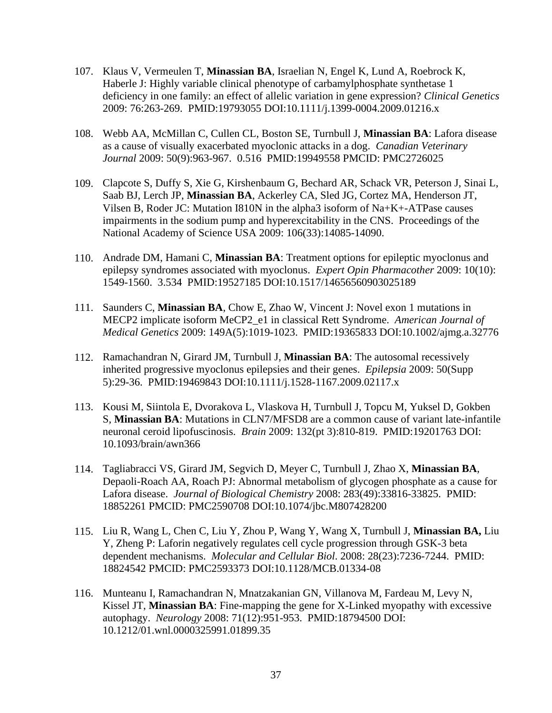- 107. Klaus V, Vermeulen T, **Minassian BA**, Israelian N, Engel K, Lund A, Roebrock K, Haberle J: Highly variable clinical phenotype of carbamylphosphate synthetase 1 deficiency in one family: an effect of allelic variation in gene expression? *Clinical Genetics* 2009: 76:263-269. PMID:19793055 DOI:10.1111/j.1399-0004.2009.01216.x
- 108. Webb AA, McMillan C, Cullen CL, Boston SE, Turnbull J, **Minassian BA**: Lafora disease as a cause of visually exacerbated myoclonic attacks in a dog. *Canadian Veterinary Journal* 2009: 50(9):963-967. 0.516 PMID:19949558 PMCID: PMC2726025
- 109. Clapcote S, Duffy S, Xie G, Kirshenbaum G, Bechard AR, Schack VR, Peterson J, Sinai L, Saab BJ, Lerch JP, **Minassian BA**, Ackerley CA, Sled JG, Cortez MA, Henderson JT, Vilsen B, Roder JC: Mutation I810N in the alpha3 isoform of Na+K+-ATPase causes impairments in the sodium pump and hyperexcitability in the CNS. Proceedings of the National Academy of Science USA 2009: 106(33):14085-14090.
- 110. Andrade DM, Hamani C, **Minassian BA**: Treatment options for epileptic myoclonus and epilepsy syndromes associated with myoclonus. *Expert Opin Pharmacother* 2009: 10(10): 1549-1560. 3.534 PMID:19527185 DOI:10.1517/14656560903025189
- 111. Saunders C, **Minassian BA**, Chow E, Zhao W, Vincent J: Novel exon 1 mutations in MECP2 implicate isoform MeCP2\_e1 in classical Rett Syndrome. *American Journal of Medical Genetics* 2009: 149A(5):1019-1023. PMID:19365833 DOI:10.1002/ajmg.a.32776
- 112. Ramachandran N, Girard JM, Turnbull J, **Minassian BA**: The autosomal recessively inherited progressive myoclonus epilepsies and their genes. *Epilepsia* 2009: 50(Supp 5):29-36. PMID:19469843 DOI:10.1111/j.1528-1167.2009.02117.x
- 113. Kousi M, Siintola E, Dvorakova L, Vlaskova H, Turnbull J, Topcu M, Yuksel D, Gokben S, **Minassian BA**: Mutations in CLN7/MFSD8 are a common cause of variant late-infantile neuronal ceroid lipofuscinosis. *Brain* 2009: 132(pt 3):810-819. PMID:19201763 DOI: 10.1093/brain/awn366
- 114. Tagliabracci VS, Girard JM, Segvich D, Meyer C, Turnbull J, Zhao X, **Minassian BA**, Depaoli-Roach AA, Roach PJ: Abnormal metabolism of glycogen phosphate as a cause for Lafora disease. *Journal of Biological Chemistry* 2008: 283(49):33816-33825. PMID: 18852261 PMCID: PMC2590708 DOI:10.1074/jbc.M807428200
- 115. Liu R, Wang L, Chen C, Liu Y, Zhou P, Wang Y, Wang X, Turnbull J, **Minassian BA,** Liu Y, Zheng P: Laforin negatively regulates cell cycle progression through GSK-3 beta dependent mechanisms. *Molecular and Cellular Biol*. 2008: 28(23):7236-7244. PMID: 18824542 PMCID: PMC2593373 DOI:10.1128/MCB.01334-08
- 116. Munteanu I, Ramachandran N, Mnatzakanian GN, Villanova M, Fardeau M, Levy N, Kissel JT, **Minassian BA**: Fine-mapping the gene for X-Linked myopathy with excessive autophagy. *Neurology* 2008: 71(12):951-953. PMID:18794500 DOI: 10.1212/01.wnl.0000325991.01899.35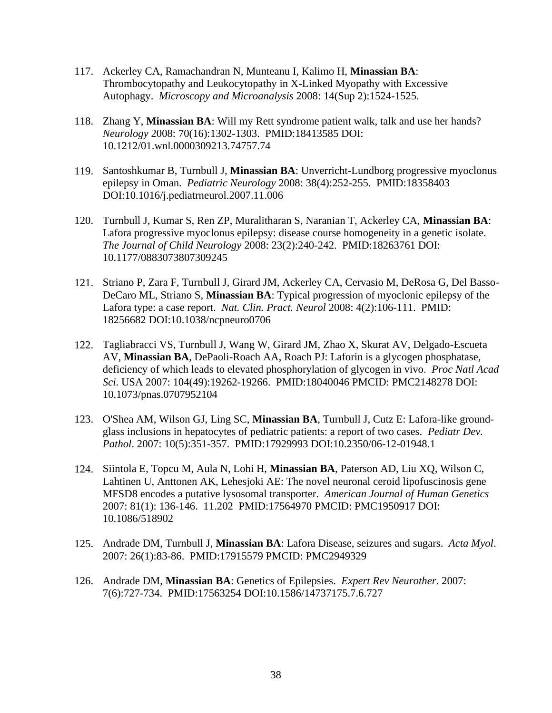- 117. Ackerley CA, Ramachandran N, Munteanu I, Kalimo H, **Minassian BA**: Thrombocytopathy and Leukocytopathy in X-Linked Myopathy with Excessive Autophagy. *Microscopy and Microanalysis* 2008: 14(Sup 2):1524-1525.
- 118. Zhang Y, **Minassian BA**: Will my Rett syndrome patient walk, talk and use her hands? *Neurology* 2008: 70(16):1302-1303. PMID:18413585 DOI: 10.1212/01.wnl.0000309213.74757.74
- 119. Santoshkumar B, Turnbull J, **Minassian BA**: Unverricht-Lundborg progressive myoclonus epilepsy in Oman. *Pediatric Neurology* 2008: 38(4):252-255. PMID:18358403 DOI:10.1016/j.pediatrneurol.2007.11.006
- 120. Turnbull J, Kumar S, Ren ZP, Muralitharan S, Naranian T, Ackerley CA, **Minassian BA**: Lafora progressive myoclonus epilepsy: disease course homogeneity in a genetic isolate. *The Journal of Child Neurology* 2008: 23(2):240-242. PMID:18263761 DOI: 10.1177/0883073807309245
- 121. Striano P, Zara F, Turnbull J, Girard JM, Ackerley CA, Cervasio M, DeRosa G, Del Basso-DeCaro ML, Striano S, **Minassian BA**: Typical progression of myoclonic epilepsy of the Lafora type: a case report. *Nat. Clin. Pract. Neurol* 2008: 4(2):106-111. PMID: 18256682 DOI:10.1038/ncpneuro0706
- 122. Tagliabracci VS, Turnbull J, Wang W, Girard JM, Zhao X, Skurat AV, Delgado-Escueta AV, **Minassian BA**, DePaoli-Roach AA, Roach PJ: Laforin is a glycogen phosphatase, deficiency of which leads to elevated phosphorylation of glycogen in vivo. *Proc Natl Acad Sci*. USA 2007: 104(49):19262-19266. PMID:18040046 PMCID: PMC2148278 DOI: 10.1073/pnas.0707952104
- 123. O'Shea AM, Wilson GJ, Ling SC, **Minassian BA**, Turnbull J, Cutz E: Lafora-like groundglass inclusions in hepatocytes of pediatric patients: a report of two cases. *Pediatr Dev. Pathol*. 2007: 10(5):351-357. PMID:17929993 DOI:10.2350/06-12-01948.1
- 124. Siintola E, Topcu M, Aula N, Lohi H, **Minassian BA**, Paterson AD, Liu XQ, Wilson C, Lahtinen U, Anttonen AK, Lehesjoki AE: The novel neuronal ceroid lipofuscinosis gene MFSD8 encodes a putative lysosomal transporter. *American Journal of Human Genetics* 2007: 81(1): 136-146. 11.202 PMID:17564970 PMCID: PMC1950917 DOI: 10.1086/518902
- 125. Andrade DM, Turnbull J, **Minassian BA**: Lafora Disease, seizures and sugars. *Acta Myol*. 2007: 26(1):83-86. PMID:17915579 PMCID: PMC2949329
- 126. Andrade DM, **Minassian BA**: Genetics of Epilepsies. *Expert Rev Neurother*. 2007: 7(6):727-734. PMID:17563254 DOI:10.1586/14737175.7.6.727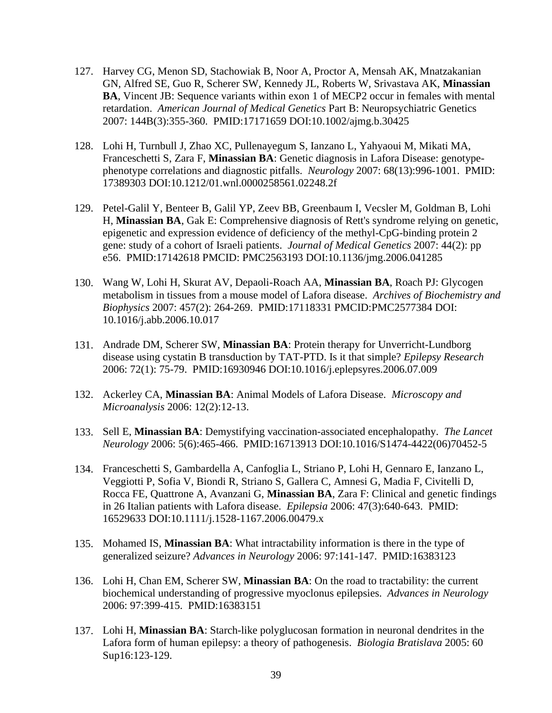- 127. Harvey CG, Menon SD, Stachowiak B, Noor A, Proctor A, Mensah AK, Mnatzakanian GN, Alfred SE, Guo R, Scherer SW, Kennedy JL, Roberts W, Srivastava AK, **Minassian BA**, Vincent JB: Sequence variants within exon 1 of MECP2 occur in females with mental retardation. *American Journal of Medical Genetics* Part B: Neuropsychiatric Genetics 2007: 144B(3):355-360. PMID:17171659 DOI:10.1002/ajmg.b.30425
- 128. Lohi H, Turnbull J, Zhao XC, Pullenayegum S, Ianzano L, Yahyaoui M, Mikati MA, Franceschetti S, Zara F, **Minassian BA**: Genetic diagnosis in Lafora Disease: genotypephenotype correlations and diagnostic pitfalls. *Neurology* 2007: 68(13):996-1001. PMID: 17389303 DOI:10.1212/01.wnl.0000258561.02248.2f
- 129. Petel-Galil Y, Benteer B, Galil YP, Zeev BB, Greenbaum I, Vecsler M, Goldman B, Lohi H, **Minassian BA**, Gak E: Comprehensive diagnosis of Rett's syndrome relying on genetic, epigenetic and expression evidence of deficiency of the methyl-CpG-binding protein 2 gene: study of a cohort of Israeli patients. *Journal of Medical Genetics* 2007: 44(2): pp e56. PMID:17142618 PMCID: PMC2563193 DOI:10.1136/jmg.2006.041285
- 130. Wang W, Lohi H, Skurat AV, Depaoli-Roach AA, **Minassian BA**, Roach PJ: Glycogen metabolism in tissues from a mouse model of Lafora disease. *Archives of Biochemistry and Biophysics* 2007: 457(2): 264-269. PMID:17118331 PMCID:PMC2577384 DOI: 10.1016/j.abb.2006.10.017
- 131. Andrade DM, Scherer SW, **Minassian BA**: Protein therapy for Unverricht-Lundborg disease using cystatin B transduction by TAT-PTD. Is it that simple? *Epilepsy Research* 2006: 72(1): 75-79. PMID:16930946 DOI:10.1016/j.eplepsyres.2006.07.009
- 132. Ackerley CA, **Minassian BA**: Animal Models of Lafora Disease. *Microscopy and Microanalysis* 2006: 12(2):12-13.
- 133. Sell E, **Minassian BA**: Demystifying vaccination-associated encephalopathy. *The Lancet Neurology* 2006: 5(6):465-466. PMID:16713913 DOI:10.1016/S1474-4422(06)70452-5
- 134. Franceschetti S, Gambardella A, Canfoglia L, Striano P, Lohi H, Gennaro E, Ianzano L, Veggiotti P, Sofia V, Biondi R, Striano S, Gallera C, Amnesi G, Madia F, Civitelli D, Rocca FE, Quattrone A, Avanzani G, **Minassian BA**, Zara F: Clinical and genetic findings in 26 Italian patients with Lafora disease. *Epilepsia* 2006: 47(3):640-643. PMID: 16529633 DOI:10.1111/j.1528-1167.2006.00479.x
- 135. Mohamed IS, **Minassian BA**: What intractability information is there in the type of generalized seizure? *Advances in Neurology* 2006: 97:141-147. PMID:16383123
- 136. Lohi H, Chan EM, Scherer SW, **Minassian BA**: On the road to tractability: the current biochemical understanding of progressive myoclonus epilepsies. *Advances in Neurology* 2006: 97:399-415. PMID:16383151
- 137. Lohi H, **Minassian BA**: Starch-like polyglucosan formation in neuronal dendrites in the Lafora form of human epilepsy: a theory of pathogenesis. *Biologia Bratislava* 2005: 60 Sup16:123-129.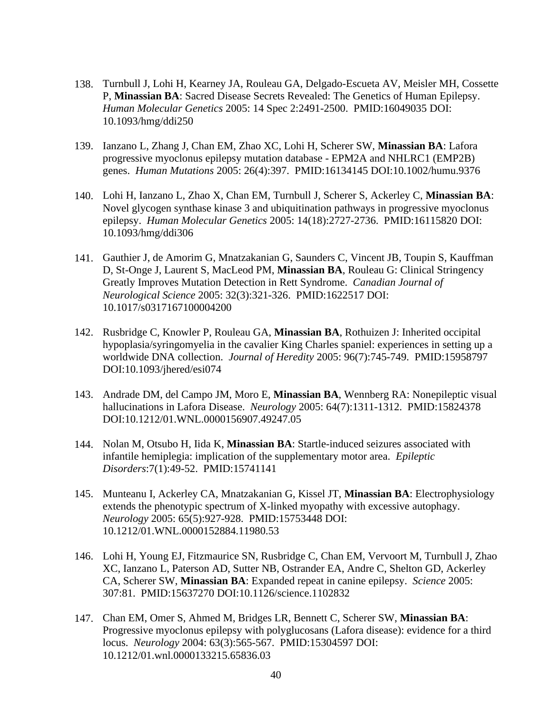- 138. Turnbull J, Lohi H, Kearney JA, Rouleau GA, Delgado-Escueta AV, Meisler MH, Cossette P, **Minassian BA**: Sacred Disease Secrets Revealed: The Genetics of Human Epilepsy. *Human Molecular Genetics* 2005: 14 Spec 2:2491-2500. PMID:16049035 DOI: 10.1093/hmg/ddi250
- 139. Ianzano L, Zhang J, Chan EM, Zhao XC, Lohi H, Scherer SW, **Minassian BA**: Lafora progressive myoclonus epilepsy mutation database - EPM2A and NHLRC1 (EMP2B) genes. *Human Mutations* 2005: 26(4):397. PMID:16134145 DOI:10.1002/humu.9376
- 140. Lohi H, Ianzano L, Zhao X, Chan EM, Turnbull J, Scherer S, Ackerley C, **Minassian BA**: Novel glycogen synthase kinase 3 and ubiquitination pathways in progressive myoclonus epilepsy. *Human Molecular Genetics* 2005: 14(18):2727-2736. PMID:16115820 DOI: 10.1093/hmg/ddi306
- 141. Gauthier J, de Amorim G, Mnatzakanian G, Saunders C, Vincent JB, Toupin S, Kauffman D, St-Onge J, Laurent S, MacLeod PM, **Minassian BA**, Rouleau G: Clinical Stringency Greatly Improves Mutation Detection in Rett Syndrome. *Canadian Journal of Neurological Science* 2005: 32(3):321-326. PMID:1622517 DOI: 10.1017/s0317167100004200
- 142. Rusbridge C, Knowler P, Rouleau GA, **Minassian BA**, Rothuizen J: Inherited occipital hypoplasia/syringomyelia in the cavalier King Charles spaniel: experiences in setting up a worldwide DNA collection. *Journal of Heredity* 2005: 96(7):745-749. PMID:15958797 DOI:10.1093/jhered/esi074
- 143. Andrade DM, del Campo JM, Moro E, **Minassian BA**, Wennberg RA: Nonepileptic visual hallucinations in Lafora Disease. *Neurology* 2005: 64(7):1311-1312. PMID:15824378 DOI:10.1212/01.WNL.0000156907.49247.05
- 144. Nolan M, Otsubo H, Iida K, **Minassian BA**: Startle-induced seizures associated with infantile hemiplegia: implication of the supplementary motor area. *Epileptic Disorders*:7(1):49-52. PMID:15741141
- 145. Munteanu I, Ackerley CA, Mnatzakanian G, Kissel JT, **Minassian BA**: Electrophysiology extends the phenotypic spectrum of X-linked myopathy with excessive autophagy. *Neurology* 2005: 65(5):927-928. PMID:15753448 DOI: 10.1212/01.WNL.0000152884.11980.53
- 146. Lohi H, Young EJ, Fitzmaurice SN, Rusbridge C, Chan EM, Vervoort M, Turnbull J, Zhao XC, Ianzano L, Paterson AD, Sutter NB, Ostrander EA, Andre C, Shelton GD, Ackerley CA, Scherer SW, **Minassian BA**: Expanded repeat in canine epilepsy. *Science* 2005: 307:81. PMID:15637270 DOI:10.1126/science.1102832
- 147. Chan EM, Omer S, Ahmed M, Bridges LR, Bennett C, Scherer SW, **Minassian BA**: Progressive myoclonus epilepsy with polyglucosans (Lafora disease): evidence for a third locus. *Neurology* 2004: 63(3):565-567. PMID:15304597 DOI: 10.1212/01.wnl.0000133215.65836.03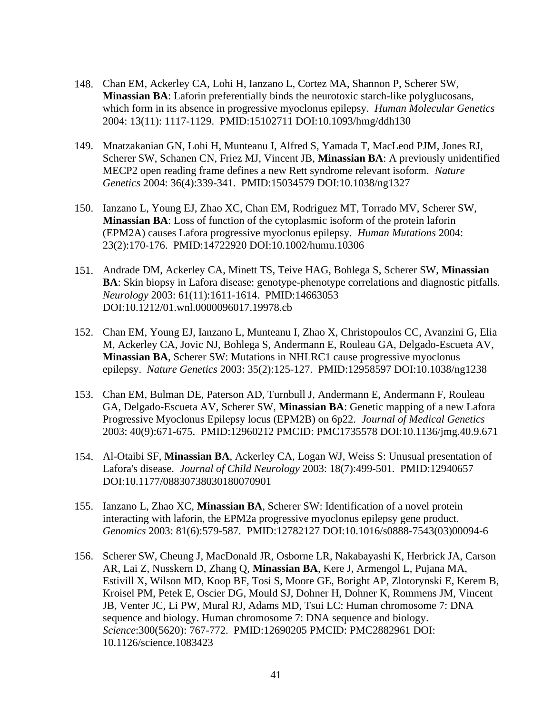- 148. Chan EM, Ackerley CA, Lohi H, Ianzano L, Cortez MA, Shannon P, Scherer SW, **Minassian BA**: Laforin preferentially binds the neurotoxic starch-like polyglucosans, which form in its absence in progressive myoclonus epilepsy. *Human Molecular Genetics* 2004: 13(11): 1117-1129. PMID:15102711 DOI:10.1093/hmg/ddh130
- 149. Mnatzakanian GN, Lohi H, Munteanu I, Alfred S, Yamada T, MacLeod PJM, Jones RJ, Scherer SW, Schanen CN, Friez MJ, Vincent JB, **Minassian BA**: A previously unidentified MECP2 open reading frame defines a new Rett syndrome relevant isoform. *Nature Genetics* 2004: 36(4):339-341. PMID:15034579 DOI:10.1038/ng1327
- 150. Ianzano L, Young EJ, Zhao XC, Chan EM, Rodriguez MT, Torrado MV, Scherer SW, **Minassian BA**: Loss of function of the cytoplasmic isoform of the protein laforin (EPM2A) causes Lafora progressive myoclonus epilepsy. *Human Mutations* 2004: 23(2):170-176. PMID:14722920 DOI:10.1002/humu.10306
- 151. Andrade DM, Ackerley CA, Minett TS, Teive HAG, Bohlega S, Scherer SW, **Minassian BA**: Skin biopsy in Lafora disease: genotype-phenotype correlations and diagnostic pitfalls. *Neurology* 2003: 61(11):1611-1614. PMID:14663053 DOI:10.1212/01.wnl.0000096017.19978.cb
- 152. Chan EM, Young EJ, Ianzano L, Munteanu I, Zhao X, Christopoulos CC, Avanzini G, Elia M, Ackerley CA, Jovic NJ, Bohlega S, Andermann E, Rouleau GA, Delgado-Escueta AV, **Minassian BA**, Scherer SW: Mutations in NHLRC1 cause progressive myoclonus epilepsy. *Nature Genetics* 2003: 35(2):125-127. PMID:12958597 DOI:10.1038/ng1238
- 153. Chan EM, Bulman DE, Paterson AD, Turnbull J, Andermann E, Andermann F, Rouleau GA, Delgado-Escueta AV, Scherer SW, **Minassian BA**: Genetic mapping of a new Lafora Progressive Myoclonus Epilepsy locus (EPM2B) on 6p22. *Journal of Medical Genetics* 2003: 40(9):671-675. PMID:12960212 PMCID: PMC1735578 DOI:10.1136/jmg.40.9.671
- 154. Al-Otaibi SF, **Minassian BA**, Ackerley CA, Logan WJ, Weiss S: Unusual presentation of Lafora's disease. *Journal of Child Neurology* 2003: 18(7):499-501. PMID:12940657 DOI:10.1177/08830738030180070901
- 155. Ianzano L, Zhao XC, **Minassian BA**, Scherer SW: Identification of a novel protein interacting with laforin, the EPM2a progressive myoclonus epilepsy gene product. *Genomics* 2003: 81(6):579-587. PMID:12782127 DOI:10.1016/s0888-7543(03)00094-6
- 156. Scherer SW, Cheung J, MacDonald JR, Osborne LR, Nakabayashi K, Herbrick JA, Carson AR, Lai Z, Nusskern D, Zhang Q, **Minassian BA**, Kere J, Armengol L, Pujana MA, Estivill X, Wilson MD, Koop BF, Tosi S, Moore GE, Boright AP, Zlotorynski E, Kerem B, Kroisel PM, Petek E, Oscier DG, Mould SJ, Dohner H, Dohner K, Rommens JM, Vincent JB, Venter JC, Li PW, Mural RJ, Adams MD, Tsui LC: Human chromosome 7: DNA sequence and biology. Human chromosome 7: DNA sequence and biology. *Science*:300(5620): 767-772. PMID:12690205 PMCID: PMC2882961 DOI: 10.1126/science.1083423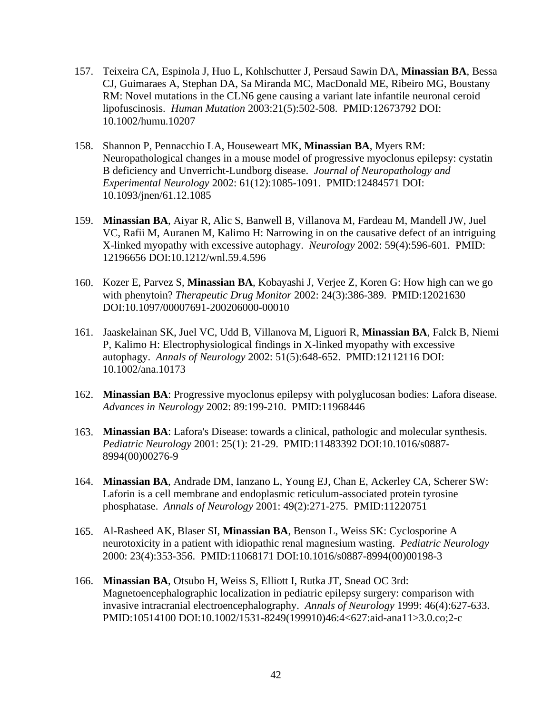- 157. Teixeira CA, Espinola J, Huo L, Kohlschutter J, Persaud Sawin DA, **Minassian BA**, Bessa CJ, Guimaraes A, Stephan DA, Sa Miranda MC, MacDonald ME, Ribeiro MG, Boustany RM: Novel mutations in the CLN6 gene causing a variant late infantile neuronal ceroid lipofuscinosis. *Human Mutation* 2003:21(5):502-508. PMID:12673792 DOI: 10.1002/humu.10207
- 158. Shannon P, Pennacchio LA, Houseweart MK, **Minassian BA**, Myers RM: Neuropathological changes in a mouse model of progressive myoclonus epilepsy: cystatin B deficiency and Unverricht-Lundborg disease. *Journal of Neuropathology and Experimental Neurology* 2002: 61(12):1085-1091. PMID:12484571 DOI: 10.1093/jnen/61.12.1085
- 159. **Minassian BA**, Aiyar R, Alic S, Banwell B, Villanova M, Fardeau M, Mandell JW, Juel VC, Rafii M, Auranen M, Kalimo H: Narrowing in on the causative defect of an intriguing X-linked myopathy with excessive autophagy. *Neurology* 2002: 59(4):596-601. PMID: 12196656 DOI:10.1212/wnl.59.4.596
- 160. Kozer E, Parvez S, **Minassian BA**, Kobayashi J, Verjee Z, Koren G: How high can we go with phenytoin? *Therapeutic Drug Monitor* 2002: 24(3):386-389. PMID:12021630 DOI:10.1097/00007691-200206000-00010
- 161. Jaaskelainan SK, Juel VC, Udd B, Villanova M, Liguori R, **Minassian BA**, Falck B, Niemi P, Kalimo H: Electrophysiological findings in X-linked myopathy with excessive autophagy. *Annals of Neurology* 2002: 51(5):648-652. PMID:12112116 DOI: 10.1002/ana.10173
- 162. **Minassian BA**: Progressive myoclonus epilepsy with polyglucosan bodies: Lafora disease. *Advances in Neurology* 2002: 89:199-210. PMID:11968446
- 163. **Minassian BA**: Lafora's Disease: towards a clinical, pathologic and molecular synthesis. *Pediatric Neurology* 2001: 25(1): 21-29. PMID:11483392 DOI:10.1016/s0887- 8994(00)00276-9
- 164. **Minassian BA**, Andrade DM, Ianzano L, Young EJ, Chan E, Ackerley CA, Scherer SW: Laforin is a cell membrane and endoplasmic reticulum-associated protein tyrosine phosphatase. *Annals of Neurology* 2001: 49(2):271-275. PMID:11220751
- 165. Al-Rasheed AK, Blaser SI, **Minassian BA**, Benson L, Weiss SK: Cyclosporine A neurotoxicity in a patient with idiopathic renal magnesium wasting. *Pediatric Neurology* 2000: 23(4):353-356. PMID:11068171 DOI:10.1016/s0887-8994(00)00198-3
- 166. **Minassian BA**, Otsubo H, Weiss S, Elliott I, Rutka JT, Snead OC 3rd: Magnetoencephalographic localization in pediatric epilepsy surgery: comparison with invasive intracranial electroencephalography. *Annals of Neurology* 1999: 46(4):627-633. PMID:10514100 DOI:10.1002/1531-8249(199910)46:4<627:aid-ana11>3.0.co;2-c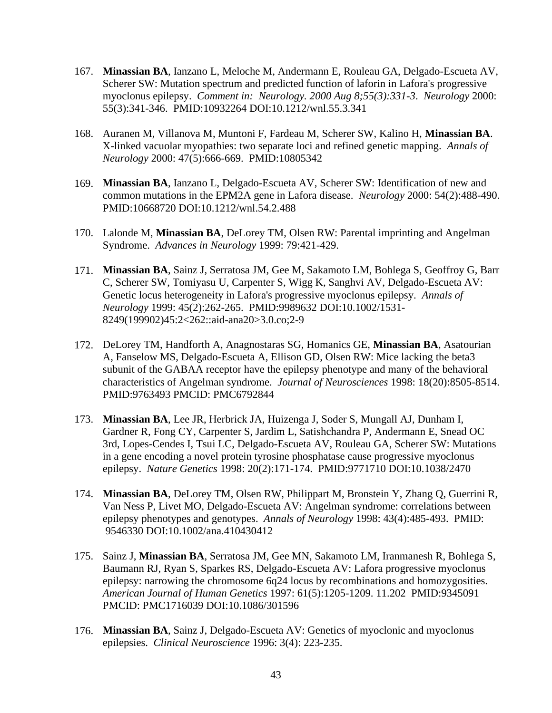- 167. **Minassian BA**, Ianzano L, Meloche M, Andermann E, Rouleau GA, Delgado-Escueta AV, Scherer SW: Mutation spectrum and predicted function of laforin in Lafora's progressive myoclonus epilepsy. *Comment in: Neurology. 2000 Aug 8;55(3):331-3*. *Neurology* 2000: 55(3):341-346. PMID:10932264 DOI:10.1212/wnl.55.3.341
- 168. Auranen M, Villanova M, Muntoni F, Fardeau M, Scherer SW, Kalino H, **Minassian BA**. X-linked vacuolar myopathies: two separate loci and refined genetic mapping. *Annals of Neurology* 2000: 47(5):666-669. PMID:10805342
- 169. **Minassian BA**, Ianzano L, Delgado-Escueta AV, Scherer SW: Identification of new and common mutations in the EPM2A gene in Lafora disease. *Neurology* 2000: 54(2):488-490. PMID:10668720 DOI:10.1212/wnl.54.2.488
- 170. Lalonde M, **Minassian BA**, DeLorey TM, Olsen RW: Parental imprinting and Angelman Syndrome. *Advances in Neurology* 1999: 79:421-429.
- 171. **Minassian BA**, Sainz J, Serratosa JM, Gee M, Sakamoto LM, Bohlega S, Geoffroy G, Barr C, Scherer SW, Tomiyasu U, Carpenter S, Wigg K, Sanghvi AV, Delgado-Escueta AV: Genetic locus heterogeneity in Lafora's progressive myoclonus epilepsy. *Annals of Neurology* 1999: 45(2):262-265. PMID:9989632 DOI:10.1002/1531- 8249(199902)45:2<262::aid-ana20>3.0.co;2-9
- 172. DeLorey TM, Handforth A, Anagnostaras SG, Homanics GE, **Minassian BA**, Asatourian A, Fanselow MS, Delgado-Escueta A, Ellison GD, Olsen RW: Mice lacking the beta3 subunit of the GABAA receptor have the epilepsy phenotype and many of the behavioral characteristics of Angelman syndrome. *Journal of Neurosciences* 1998: 18(20):8505-8514. PMID:9763493 PMCID: PMC6792844
- 173. **Minassian BA**, Lee JR, Herbrick JA, Huizenga J, Soder S, Mungall AJ, Dunham I, Gardner R, Fong CY, Carpenter S, Jardim L, Satishchandra P, Andermann E, Snead OC 3rd, Lopes-Cendes I, Tsui LC, Delgado-Escueta AV, Rouleau GA, Scherer SW: Mutations in a gene encoding a novel protein tyrosine phosphatase cause progressive myoclonus epilepsy. *Nature Genetics* 1998: 20(2):171-174. PMID:9771710 DOI:10.1038/2470
- 174. **Minassian BA**, DeLorey TM, Olsen RW, Philippart M, Bronstein Y, Zhang Q, Guerrini R, Van Ness P, Livet MO, Delgado-Escueta AV: Angelman syndrome: correlations between epilepsy phenotypes and genotypes. *Annals of Neurology* 1998: 43(4):485-493. PMID: 9546330 DOI:10.1002/ana.410430412
- 175. Sainz J, **Minassian BA**, Serratosa JM, Gee MN, Sakamoto LM, Iranmanesh R, Bohlega S, Baumann RJ, Ryan S, Sparkes RS, Delgado-Escueta AV: Lafora progressive myoclonus epilepsy: narrowing the chromosome 6q24 locus by recombinations and homozygosities. *American Journal of Human Genetics* 1997: 61(5):1205-1209. 11.202 PMID:9345091 PMCID: PMC1716039 DOI:10.1086/301596
- 176. **Minassian BA**, Sainz J, Delgado-Escueta AV: Genetics of myoclonic and myoclonus epilepsies. *Clinical Neuroscience* 1996: 3(4): 223-235.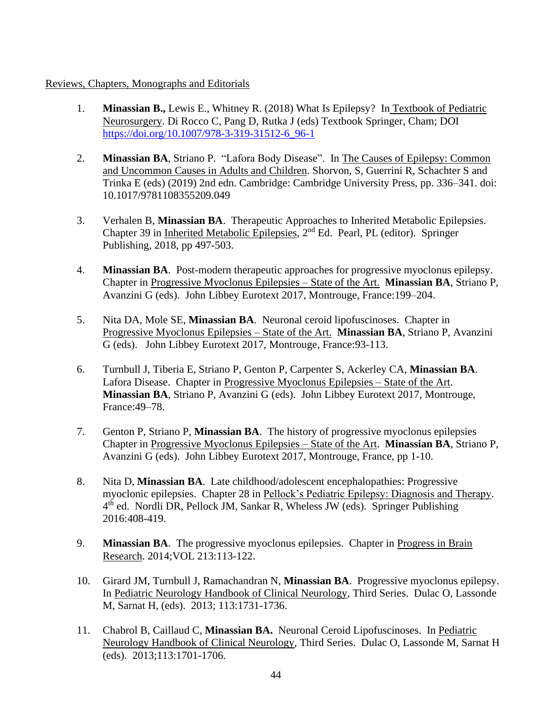#### Reviews, Chapters, Monographs and Editorials

- 1. **Minassian B.,** Lewis E., Whitney R. (2018) What Is Epilepsy? In Textbook of Pediatric Neurosurgery. Di Rocco C, Pang D, Rutka J (eds) Textbook Springer, Cham; DOI [https://doi.org/10.1007/978-3-319-31512-6\\_96-1](https://doi.org/10.1007/978-3-319-31512-6_96-1)
- 2. **Minassian BA**, Striano P. "Lafora Body Disease". In The Causes of Epilepsy: Common and Uncommon Causes in Adults and Children. Shorvon, S, Guerrini R, Schachter S and Trinka E (eds) (2019) 2nd edn. Cambridge: Cambridge University Press, pp. 336–341. doi: 10.1017/9781108355209.049
- 3. Verhalen B, **Minassian BA**. Therapeutic Approaches to Inherited Metabolic Epilepsies. Chapter 39 in Inherited Metabolic Epilepsies, 2nd Ed. Pearl, PL (editor). Springer Publishing, 2018, pp 497-503.
- 4. **Minassian BA**. Post-modern therapeutic approaches for progressive myoclonus epilepsy. Chapter in Progressive Myoclonus Epilepsies – State of the Art. **Minassian BA**, Striano P, Avanzini G (eds). John Libbey Eurotext 2017, Montrouge, France:199–204.
- 5. Nita DA, Mole SE, **Minassian BA**. Neuronal ceroid lipofuscinoses. Chapter in Progressive Myoclonus Epilepsies – State of the Art. **Minassian BA**, Striano P, Avanzini G (eds). John Libbey Eurotext 2017, Montrouge, France:93-113.
- 6. Turnbull J, Tiberia E, Striano P, Genton P, Carpenter S, Ackerley CA, **Minassian BA**. Lafora Disease. Chapter in Progressive Myoclonus Epilepsies – State of the Art. **Minassian BA**, Striano P, Avanzini G (eds). John Libbey Eurotext 2017, Montrouge, France:49–78.
- 7. Genton P, Striano P, **Minassian BA**. The history of progressive myoclonus epilepsies Chapter in Progressive Myoclonus Epilepsies – State of the Art. **Minassian BA**, Striano P, Avanzini G (eds). John Libbey Eurotext 2017, Montrouge, France, pp 1-10.
- 8. Nita D, **Minassian BA**. Late childhood/adolescent encephalopathies: Progressive myoclonic epilepsies. Chapter 28 in Pellock's Pediatric Epilepsy: Diagnosis and Therapy. 4<sup>th</sup> ed. Nordli DR, Pellock JM, Sankar R, Wheless JW (eds). Springer Publishing 2016:408-419.
- 9. **Minassian BA**. The progressive myoclonus epilepsies. Chapter in Progress in Brain Research. 2014;VOL 213:113-122.
- 10. Girard JM, Turnbull J, Ramachandran N, **Minassian BA**. Progressive myoclonus epilepsy. In Pediatric Neurology Handbook of Clinical Neurology, Third Series. Dulac O, Lassonde M, Sarnat H, (eds). 2013; 113:1731-1736.
- 11. Chabrol B, Caillaud C, **Minassian BA.** Neuronal Ceroid Lipofuscinoses. In Pediatric Neurology Handbook of Clinical Neurology, Third Series. Dulac O, Lassonde M, Sarnat H (eds). 2013;113:1701-1706.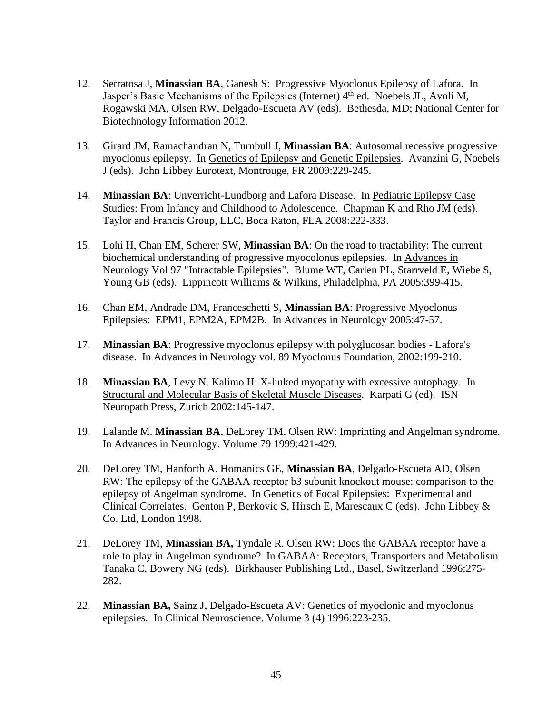- 12. Serratosa J, **Minassian BA**, Ganesh S: Progressive Myoclonus Epilepsy of Lafora. In Jasper's Basic Mechanisms of the Epilepsies (Internet) 4<sup>th</sup> ed. Noebels JL, Avoli M, Rogawski MA, Olsen RW, Delgado-Escueta AV (eds). Bethesda, MD; National Center for Biotechnology Information 2012.
- 13. Girard JM, Ramachandran N, Turnbull J, **Minassian BA**: Autosomal recessive progressive myoclonus epilepsy. In Genetics of Epilepsy and Genetic Epilepsies. Avanzini G, Noebels J (eds). John Libbey Eurotext, Montrouge, FR 2009:229-245.
- 14. **Minassian BA**: Unverricht-Lundborg and Lafora Disease. In Pediatric Epilepsy Case Studies: From Infancy and Childhood to Adolescence. Chapman K and Rho JM (eds). Taylor and Francis Group, LLC, Boca Raton, FLA 2008:222-333.
- 15. Lohi H, Chan EM, Scherer SW, **Minassian BA**: On the road to tractability: The current biochemical understanding of progressive myocolonus epilepsies. In Advances in Neurology Vol 97 "Intractable Epilepsies". Blume WT, Carlen PL, Starrveld E, Wiebe S, Young GB (eds). Lippincott Williams & Wilkins, Philadelphia, PA 2005:399-415.
- 16. Chan EM, Andrade DM, Franceschetti S, **Minassian BA**: Progressive Myoclonus Epilepsies: EPM1, EPM2A, EPM2B. In Advances in Neurology 2005:47-57.
- 17. **Minassian BA**: Progressive myoclonus epilepsy with polyglucosan bodies Lafora's disease. In Advances in Neurology vol. 89 Myoclonus Foundation, 2002:199-210.
- 18. **Minassian BA**, Levy N. Kalimo H: X-linked myopathy with excessive autophagy. In Structural and Molecular Basis of Skeletal Muscle Diseases. Karpati G (ed). ISN Neuropath Press, Zurich 2002:145-147.
- 19. Lalande M. **Minassian BA**, DeLorey TM, Olsen RW: Imprinting and Angelman syndrome. In Advances in Neurology. Volume 79 1999:421-429.
- 20. DeLorey TM, Hanforth A. Homanics GE, **Minassian BA**, Delgado-Escueta AD, Olsen RW: The epilepsy of the GABAA receptor b3 subunit knockout mouse: comparison to the epilepsy of Angelman syndrome. In Genetics of Focal Epilepsies: Experimental and Clinical Correlates. Genton P, Berkovic S, Hirsch E, Marescaux C (eds). John Libbey & Co. Ltd, London 1998.
- 21. DeLorey TM, **Minassian BA,** Tyndale R. Olsen RW: Does the GABAA receptor have a role to play in Angelman syndrome? In GABAA: Receptors, Transporters and Metabolism Tanaka C, Bowery NG (eds). Birkhauser Publishing Ltd., Basel, Switzerland 1996:275- 282.
- 22. **Minassian BA,** Sainz J, Delgado-Escueta AV: Genetics of myoclonic and myoclonus epilepsies. In Clinical Neuroscience. Volume 3 (4) 1996:223-235.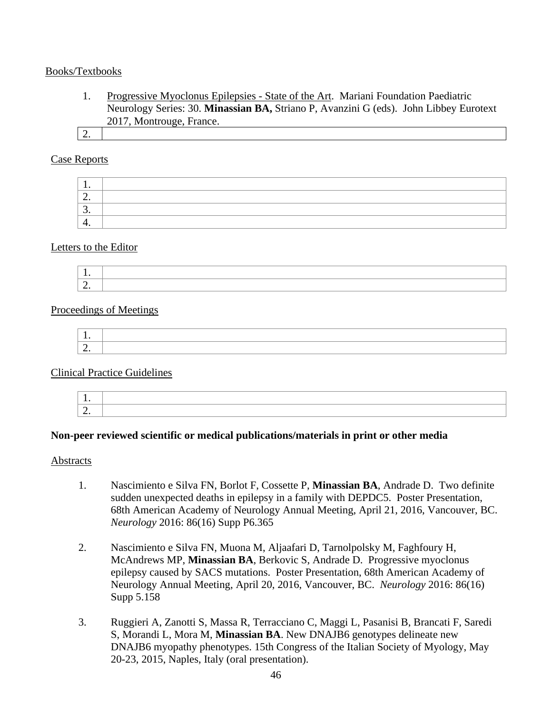#### Books/Textbooks

- 1. Progressive Myoclonus Epilepsies State of the Art. Mariani Foundation Paediatric Neurology Series: 30. **Minassian BA,** Striano P, Avanzini G (eds). John Libbey Eurotext 2017, Montrouge, France.
- 2.

## Case Reports

| . .      |  |
|----------|--|
| <u>.</u> |  |
| <u>.</u> |  |
| . .      |  |

#### Letters to the Editor



## Proceedings of Meetings

#### Clinical Practice Guidelines

#### **Non-peer reviewed scientific or medical publications/materials in print or other media**

#### Abstracts

- 1. Nascimiento e Silva FN, Borlot F, Cossette P, **Minassian BA**, Andrade D. Two definite sudden unexpected deaths in epilepsy in a family with DEPDC5. Poster Presentation, 68th American Academy of Neurology Annual Meeting, April 21, 2016, Vancouver, BC. *Neurology* 2016: 86(16) Supp P6.365
- 2. Nascimiento e Silva FN, Muona M, Aljaafari D, Tarnolpolsky M, Faghfoury H, McAndrews MP, **Minassian BA**, Berkovic S, Andrade D. Progressive myoclonus epilepsy caused by SACS mutations. Poster Presentation, 68th American Academy of Neurology Annual Meeting, April 20, 2016, Vancouver, BC. *Neurology* 2016: 86(16) Supp 5.158
- 3. Ruggieri A, Zanotti S, Massa R, Terracciano C, Maggi L, Pasanisi B, Brancati F, Saredi S, Morandi L, Mora M, **Minassian BA**. New DNAJB6 genotypes delineate new DNAJB6 myopathy phenotypes. 15th Congress of the Italian Society of Myology, May 20-23, 2015, Naples, Italy (oral presentation).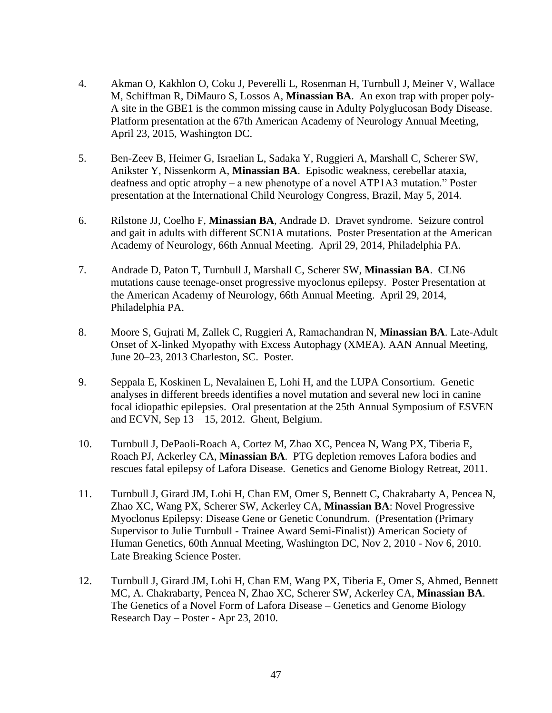- 4. Akman O, Kakhlon O, Coku J, Peverelli L, Rosenman H, Turnbull J, Meiner V, Wallace M, Schiffman R, DiMauro S, Lossos A, **Minassian BA**. An exon trap with proper poly-A site in the GBE1 is the common missing cause in Adulty Polyglucosan Body Disease. Platform presentation at the 67th American Academy of Neurology Annual Meeting, April 23, 2015, Washington DC.
- 5. Ben-Zeev B, Heimer G, Israelian L, Sadaka Y, Ruggieri A, Marshall C, Scherer SW, Anikster Y, Nissenkorm A, **Minassian BA**. Episodic weakness, cerebellar ataxia, deafness and optic atrophy – a new phenotype of a novel ATP1A3 mutation." Poster presentation at the International Child Neurology Congress, Brazil, May 5, 2014.
- 6. Rilstone JJ, Coelho F, **Minassian BA**, Andrade D. Dravet syndrome. Seizure control and gait in adults with different SCN1A mutations. Poster Presentation at the American Academy of Neurology, 66th Annual Meeting. April 29, 2014, Philadelphia PA.
- 7. Andrade D, Paton T, Turnbull J, Marshall C, Scherer SW, **Minassian BA**. CLN6 mutations cause teenage-onset progressive myoclonus epilepsy. Poster Presentation at the American Academy of Neurology, 66th Annual Meeting. April 29, 2014, Philadelphia PA.
- 8. Moore S, Gujrati M, Zallek C, Ruggieri A, Ramachandran N, **Minassian BA**. Late-Adult Onset of X-linked Myopathy with Excess Autophagy (XMEA). AAN Annual Meeting, June 20–23, 2013 Charleston, SC. Poster.
- 9. Seppala E, Koskinen L, Nevalainen E, Lohi H, and the LUPA Consortium. Genetic analyses in different breeds identifies a novel mutation and several new loci in canine focal idiopathic epilepsies. Oral presentation at the 25th Annual Symposium of ESVEN and ECVN, Sep 13 – 15, 2012. Ghent, Belgium.
- 10. Turnbull J, DePaoli-Roach A, Cortez M, Zhao XC, Pencea N, Wang PX, Tiberia E, Roach PJ, Ackerley CA, **Minassian BA**. PTG depletion removes Lafora bodies and rescues fatal epilepsy of Lafora Disease. Genetics and Genome Biology Retreat, 2011.
- 11. Turnbull J, Girard JM, Lohi H, Chan EM, Omer S, Bennett C, Chakrabarty A, Pencea N, Zhao XC, Wang PX, Scherer SW, Ackerley CA, **Minassian BA**: Novel Progressive Myoclonus Epilepsy: Disease Gene or Genetic Conundrum. (Presentation (Primary Supervisor to Julie Turnbull - Trainee Award Semi-Finalist)) American Society of Human Genetics, 60th Annual Meeting, Washington DC, Nov 2, 2010 - Nov 6, 2010. Late Breaking Science Poster.
- 12. Turnbull J, Girard JM, Lohi H, Chan EM, Wang PX, Tiberia E, Omer S, Ahmed, Bennett MC, A. Chakrabarty, Pencea N, Zhao XC, Scherer SW, Ackerley CA, **Minassian BA**. The Genetics of a Novel Form of Lafora Disease – Genetics and Genome Biology Research Day – Poster - Apr 23, 2010.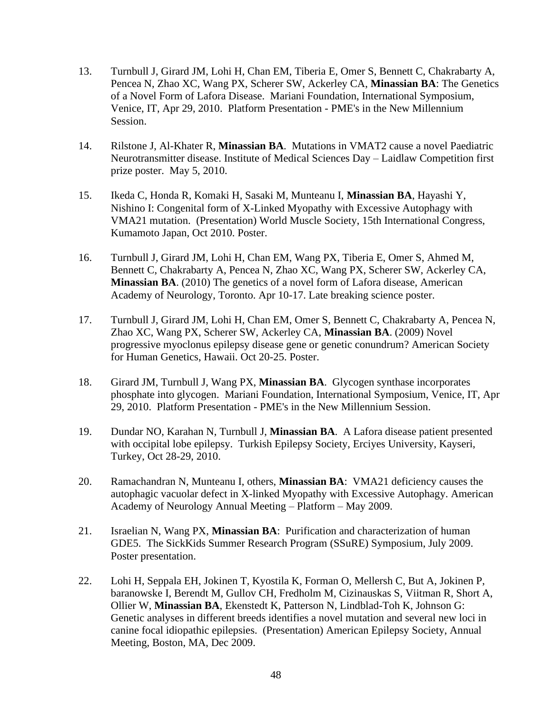- 13. Turnbull J, Girard JM, Lohi H, Chan EM, Tiberia E, Omer S, Bennett C, Chakrabarty A, Pencea N, Zhao XC, Wang PX, Scherer SW, Ackerley CA, **Minassian BA**: The Genetics of a Novel Form of Lafora Disease. Mariani Foundation, International Symposium, Venice, IT, Apr 29, 2010. Platform Presentation - PME's in the New Millennium Session.
- 14. Rilstone J, Al-Khater R, **Minassian BA**. Mutations in VMAT2 cause a novel Paediatric Neurotransmitter disease. Institute of Medical Sciences Day – Laidlaw Competition first prize poster. May 5, 2010.
- 15. Ikeda C, Honda R, Komaki H, Sasaki M, Munteanu I, **Minassian BA**, Hayashi Y, Nishino I: Congenital form of X-Linked Myopathy with Excessive Autophagy with VMA21 mutation. (Presentation) World Muscle Society, 15th International Congress, Kumamoto Japan, Oct 2010. Poster.
- 16. Turnbull J, Girard JM, Lohi H, Chan EM, Wang PX, Tiberia E, Omer S, Ahmed M, Bennett C, Chakrabarty A, Pencea N, Zhao XC, Wang PX, Scherer SW, Ackerley CA, **Minassian BA**. (2010) The genetics of a novel form of Lafora disease, American Academy of Neurology, Toronto. Apr 10-17. Late breaking science poster.
- 17. Turnbull J, Girard JM, Lohi H, Chan EM, Omer S, Bennett C, Chakrabarty A, Pencea N, Zhao XC, Wang PX, Scherer SW, Ackerley CA, **Minassian BA**. (2009) Novel progressive myoclonus epilepsy disease gene or genetic conundrum? American Society for Human Genetics, Hawaii. Oct 20-25. Poster.
- 18. Girard JM, Turnbull J, Wang PX, **Minassian BA**. Glycogen synthase incorporates phosphate into glycogen. Mariani Foundation, International Symposium, Venice, IT, Apr 29, 2010. Platform Presentation - PME's in the New Millennium Session.
- 19. Dundar NO, Karahan N, Turnbull J, **Minassian BA**. A Lafora disease patient presented with occipital lobe epilepsy. Turkish Epilepsy Society, Erciyes University, Kayseri, Turkey, Oct 28-29, 2010.
- 20. Ramachandran N, Munteanu I, others, **Minassian BA**: VMA21 deficiency causes the autophagic vacuolar defect in X-linked Myopathy with Excessive Autophagy. American Academy of Neurology Annual Meeting – Platform – May 2009.
- 21. Israelian N, Wang PX, **Minassian BA**: Purification and characterization of human GDE5. The SickKids Summer Research Program (SSuRE) Symposium, July 2009. Poster presentation.
- 22. Lohi H, Seppala EH, Jokinen T, Kyostila K, Forman O, Mellersh C, But A, Jokinen P, baranowske I, Berendt M, Gullov CH, Fredholm M, Cizinauskas S, Viitman R, Short A, Ollier W, **Minassian BA**, Ekenstedt K, Patterson N, Lindblad-Toh K, Johnson G: Genetic analyses in different breeds identifies a novel mutation and several new loci in canine focal idiopathic epilepsies. (Presentation) American Epilepsy Society, Annual Meeting, Boston, MA, Dec 2009.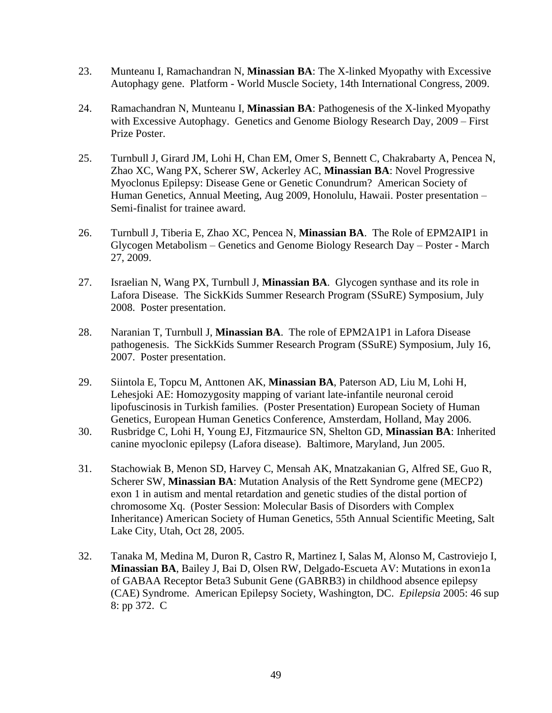- 23. Munteanu I, Ramachandran N, **Minassian BA**: The X-linked Myopathy with Excessive Autophagy gene. Platform - World Muscle Society, 14th International Congress, 2009.
- 24. Ramachandran N, Munteanu I, **Minassian BA**: Pathogenesis of the X-linked Myopathy with Excessive Autophagy. Genetics and Genome Biology Research Day, 2009 – First Prize Poster.
- 25. Turnbull J, Girard JM, Lohi H, Chan EM, Omer S, Bennett C, Chakrabarty A, Pencea N, Zhao XC, Wang PX, Scherer SW, Ackerley AC, **Minassian BA**: Novel Progressive Myoclonus Epilepsy: Disease Gene or Genetic Conundrum? American Society of Human Genetics, Annual Meeting, Aug 2009, Honolulu, Hawaii. Poster presentation – Semi-finalist for trainee award.
- 26. Turnbull J, Tiberia E, Zhao XC, Pencea N, **Minassian BA**. The Role of EPM2AIP1 in Glycogen Metabolism – Genetics and Genome Biology Research Day – Poster - March 27, 2009.
- 27. Israelian N, Wang PX, Turnbull J, **Minassian BA**. Glycogen synthase and its role in Lafora Disease. The SickKids Summer Research Program (SSuRE) Symposium, July 2008. Poster presentation.
- 28. Naranian T, Turnbull J, **Minassian BA**. The role of EPM2A1P1 in Lafora Disease pathogenesis. The SickKids Summer Research Program (SSuRE) Symposium, July 16, 2007. Poster presentation.
- 29. Siintola E, Topcu M, Anttonen AK, **Minassian BA**, Paterson AD, Liu M, Lohi H, Lehesjoki AE: Homozygosity mapping of variant late-infantile neuronal ceroid lipofuscinosis in Turkish families. (Poster Presentation) European Society of Human Genetics, European Human Genetics Conference, Amsterdam, Holland, May 2006.
- 30. Rusbridge C, Lohi H, Young EJ, Fitzmaurice SN, Shelton GD, **Minassian BA**: Inherited canine myoclonic epilepsy (Lafora disease). Baltimore, Maryland, Jun 2005.
- 31. Stachowiak B, Menon SD, Harvey C, Mensah AK, Mnatzakanian G, Alfred SE, Guo R, Scherer SW, **Minassian BA**: Mutation Analysis of the Rett Syndrome gene (MECP2) exon 1 in autism and mental retardation and genetic studies of the distal portion of chromosome Xq. (Poster Session: Molecular Basis of Disorders with Complex Inheritance) American Society of Human Genetics, 55th Annual Scientific Meeting, Salt Lake City, Utah, Oct 28, 2005.
- 32. Tanaka M, Medina M, Duron R, Castro R, Martinez I, Salas M, Alonso M, Castroviejo I, **Minassian BA**, Bailey J, Bai D, Olsen RW, Delgado-Escueta AV: Mutations in exon1a of GABAA Receptor Beta3 Subunit Gene (GABRB3) in childhood absence epilepsy (CAE) Syndrome. American Epilepsy Society, Washington, DC. *Epilepsia* 2005: 46 sup 8: pp 372. C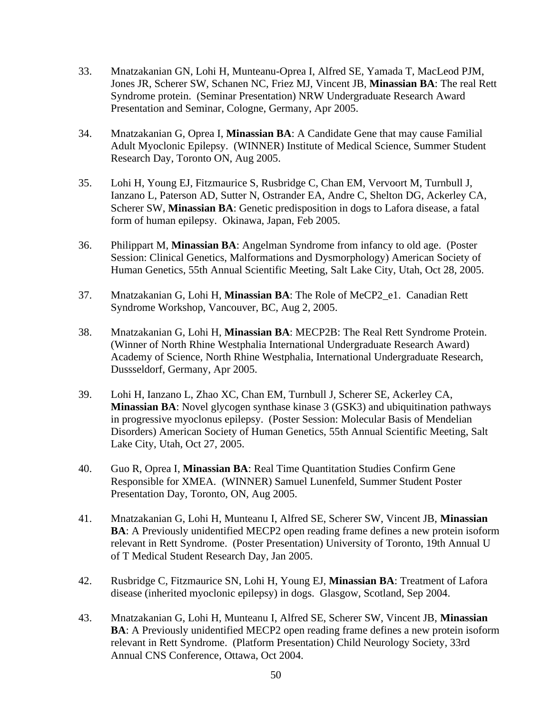- 33. Mnatzakanian GN, Lohi H, Munteanu-Oprea I, Alfred SE, Yamada T, MacLeod PJM, Jones JR, Scherer SW, Schanen NC, Friez MJ, Vincent JB, **Minassian BA**: The real Rett Syndrome protein. (Seminar Presentation) NRW Undergraduate Research Award Presentation and Seminar, Cologne, Germany, Apr 2005.
- 34. Mnatzakanian G, Oprea I, **Minassian BA**: A Candidate Gene that may cause Familial Adult Myoclonic Epilepsy. (WINNER) Institute of Medical Science, Summer Student Research Day, Toronto ON, Aug 2005.
- 35. Lohi H, Young EJ, Fitzmaurice S, Rusbridge C, Chan EM, Vervoort M, Turnbull J, Ianzano L, Paterson AD, Sutter N, Ostrander EA, Andre C, Shelton DG, Ackerley CA, Scherer SW, **Minassian BA**: Genetic predisposition in dogs to Lafora disease, a fatal form of human epilepsy. Okinawa, Japan, Feb 2005.
- 36. Philippart M, **Minassian BA**: Angelman Syndrome from infancy to old age. (Poster Session: Clinical Genetics, Malformations and Dysmorphology) American Society of Human Genetics, 55th Annual Scientific Meeting, Salt Lake City, Utah, Oct 28, 2005.
- 37. Mnatzakanian G, Lohi H, **Minassian BA**: The Role of MeCP2\_e1. Canadian Rett Syndrome Workshop, Vancouver, BC, Aug 2, 2005.
- 38. Mnatzakanian G, Lohi H, **Minassian BA**: MECP2B: The Real Rett Syndrome Protein. (Winner of North Rhine Westphalia International Undergraduate Research Award) Academy of Science, North Rhine Westphalia, International Undergraduate Research, Dussseldorf, Germany, Apr 2005.
- 39. Lohi H, Ianzano L, Zhao XC, Chan EM, Turnbull J, Scherer SE, Ackerley CA, **Minassian BA**: Novel glycogen synthase kinase 3 (GSK3) and ubiquitination pathways in progressive myoclonus epilepsy. (Poster Session: Molecular Basis of Mendelian Disorders) American Society of Human Genetics, 55th Annual Scientific Meeting, Salt Lake City, Utah, Oct 27, 2005.
- 40. Guo R, Oprea I, **Minassian BA**: Real Time Quantitation Studies Confirm Gene Responsible for XMEA. (WINNER) Samuel Lunenfeld, Summer Student Poster Presentation Day, Toronto, ON, Aug 2005.
- 41. Mnatzakanian G, Lohi H, Munteanu I, Alfred SE, Scherer SW, Vincent JB, **Minassian BA**: A Previously unidentified MECP2 open reading frame defines a new protein isoform relevant in Rett Syndrome. (Poster Presentation) University of Toronto, 19th Annual U of T Medical Student Research Day, Jan 2005.
- 42. Rusbridge C, Fitzmaurice SN, Lohi H, Young EJ, **Minassian BA**: Treatment of Lafora disease (inherited myoclonic epilepsy) in dogs. Glasgow, Scotland, Sep 2004.
- 43. Mnatzakanian G, Lohi H, Munteanu I, Alfred SE, Scherer SW, Vincent JB, **Minassian BA**: A Previously unidentified MECP2 open reading frame defines a new protein isoform relevant in Rett Syndrome. (Platform Presentation) Child Neurology Society, 33rd Annual CNS Conference, Ottawa, Oct 2004.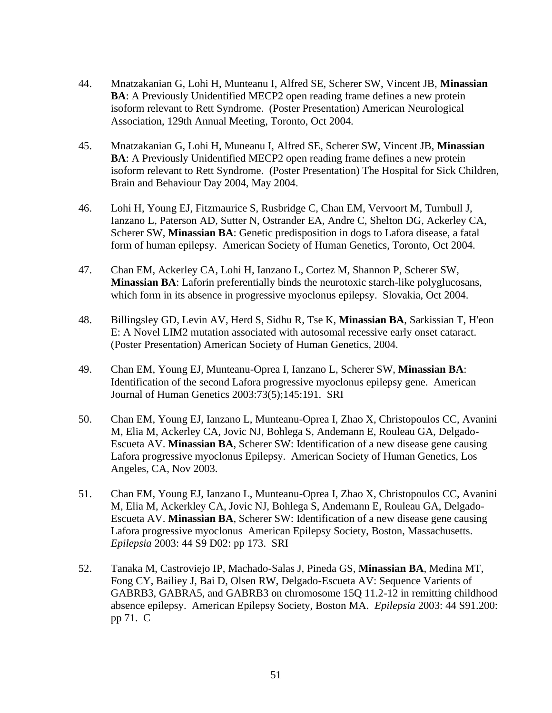- 44. Mnatzakanian G, Lohi H, Munteanu I, Alfred SE, Scherer SW, Vincent JB, **Minassian BA**: A Previously Unidentified MECP2 open reading frame defines a new protein isoform relevant to Rett Syndrome. (Poster Presentation) American Neurological Association, 129th Annual Meeting, Toronto, Oct 2004.
- 45. Mnatzakanian G, Lohi H, Muneanu I, Alfred SE, Scherer SW, Vincent JB, **Minassian BA**: A Previously Unidentified MECP2 open reading frame defines a new protein isoform relevant to Rett Syndrome. (Poster Presentation) The Hospital for Sick Children, Brain and Behaviour Day 2004, May 2004.
- 46. Lohi H, Young EJ, Fitzmaurice S, Rusbridge C, Chan EM, Vervoort M, Turnbull J, Ianzano L, Paterson AD, Sutter N, Ostrander EA, Andre C, Shelton DG, Ackerley CA, Scherer SW, **Minassian BA**: Genetic predisposition in dogs to Lafora disease, a fatal form of human epilepsy. American Society of Human Genetics, Toronto, Oct 2004.
- 47. Chan EM, Ackerley CA, Lohi H, Ianzano L, Cortez M, Shannon P, Scherer SW, **Minassian BA**: Laforin preferentially binds the neurotoxic starch-like polyglucosans, which form in its absence in progressive myoclonus epilepsy. Slovakia, Oct 2004.
- 48. Billingsley GD, Levin AV, Herd S, Sidhu R, Tse K, **Minassian BA**, Sarkissian T, H'eon E: A Novel LIM2 mutation associated with autosomal recessive early onset cataract. (Poster Presentation) American Society of Human Genetics, 2004.
- 49. Chan EM, Young EJ, Munteanu-Oprea I, Ianzano L, Scherer SW, **Minassian BA**: Identification of the second Lafora progressive myoclonus epilepsy gene. American Journal of Human Genetics 2003:73(5);145:191. SRI
- 50. Chan EM, Young EJ, Ianzano L, Munteanu-Oprea I, Zhao X, Christopoulos CC, Avanini M, Elia M, Ackerley CA, Jovic NJ, Bohlega S, Andemann E, Rouleau GA, Delgado-Escueta AV. **Minassian BA**, Scherer SW: Identification of a new disease gene causing Lafora progressive myoclonus Epilepsy. American Society of Human Genetics, Los Angeles, CA, Nov 2003.
- 51. Chan EM, Young EJ, Ianzano L, Munteanu-Oprea I, Zhao X, Christopoulos CC, Avanini M, Elia M, Ackerkley CA, Jovic NJ, Bohlega S, Andemann E, Rouleau GA, Delgado-Escueta AV. **Minassian BA**, Scherer SW: Identification of a new disease gene causing Lafora progressive myoclonus American Epilepsy Society, Boston, Massachusetts. *Epilepsia* 2003: 44 S9 D02: pp 173. SRI
- 52. Tanaka M, Castroviejo IP, Machado-Salas J, Pineda GS, **Minassian BA**, Medina MT, Fong CY, Bailiey J, Bai D, Olsen RW, Delgado-Escueta AV: Sequence Varients of GABRB3, GABRA5, and GABRB3 on chromosome 15Q 11.2-12 in remitting childhood absence epilepsy. American Epilepsy Society, Boston MA. *Epilepsia* 2003: 44 S91.200: pp 71. C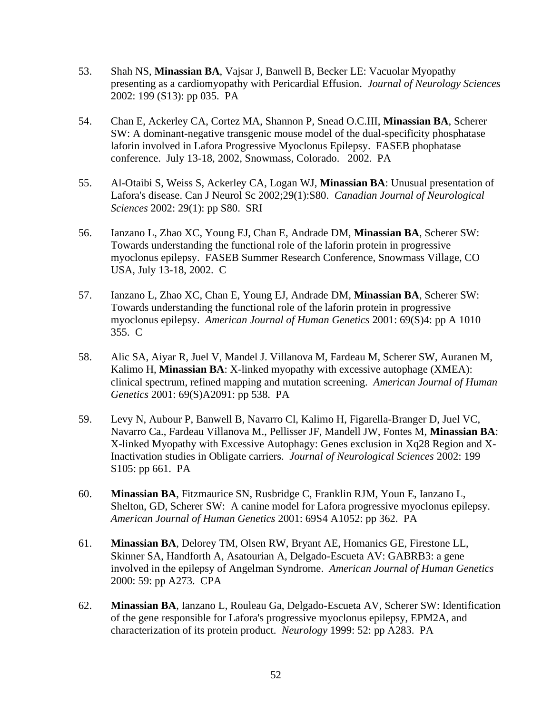- 53. Shah NS, **Minassian BA**, Vajsar J, Banwell B, Becker LE: Vacuolar Myopathy presenting as a cardiomyopathy with Pericardial Effusion. *Journal of Neurology Sciences* 2002: 199 (S13): pp 035. PA
- 54. Chan E, Ackerley CA, Cortez MA, Shannon P, Snead O.C.III, **Minassian BA**, Scherer SW: A dominant-negative transgenic mouse model of the dual-specificity phosphatase laforin involved in Lafora Progressive Myoclonus Epilepsy. FASEB phophatase conference. July 13-18, 2002, Snowmass, Colorado. 2002. PA
- 55. Al-Otaibi S, Weiss S, Ackerley CA, Logan WJ, **Minassian BA**: Unusual presentation of Lafora's disease. Can J Neurol Sc 2002;29(1):S80. *Canadian Journal of Neurological Sciences* 2002: 29(1): pp S80. SRI
- 56. Ianzano L, Zhao XC, Young EJ, Chan E, Andrade DM, **Minassian BA**, Scherer SW: Towards understanding the functional role of the laforin protein in progressive myoclonus epilepsy. FASEB Summer Research Conference, Snowmass Village, CO USA, July 13-18, 2002. C
- 57. Ianzano L, Zhao XC, Chan E, Young EJ, Andrade DM, **Minassian BA**, Scherer SW: Towards understanding the functional role of the laforin protein in progressive myoclonus epilepsy. *American Journal of Human Genetics* 2001: 69(S)4: pp A 1010 355. C
- 58. Alic SA, Aiyar R, Juel V, Mandel J. Villanova M, Fardeau M, Scherer SW, Auranen M, Kalimo H, **Minassian BA**: X-linked myopathy with excessive autophage (XMEA): clinical spectrum, refined mapping and mutation screening. *American Journal of Human Genetics* 2001: 69(S)A2091: pp 538. PA
- 59. Levy N, Aubour P, Banwell B, Navarro Cl, Kalimo H, Figarella-Branger D, Juel VC, Navarro Ca., Fardeau Villanova M., Pellisser JF, Mandell JW, Fontes M, **Minassian BA**: X-linked Myopathy with Excessive Autophagy: Genes exclusion in Xq28 Region and X-Inactivation studies in Obligate carriers. *Journal of Neurological Sciences* 2002: 199 S105: pp 661. PA
- 60. **Minassian BA**, Fitzmaurice SN, Rusbridge C, Franklin RJM, Youn E, Ianzano L, Shelton, GD, Scherer SW: A canine model for Lafora progressive myoclonus epilepsy. *American Journal of Human Genetics* 2001: 69S4 A1052: pp 362. PA
- 61. **Minassian BA**, Delorey TM, Olsen RW, Bryant AE, Homanics GE, Firestone LL, Skinner SA, Handforth A, Asatourian A, Delgado-Escueta AV: GABRB3: a gene involved in the epilepsy of Angelman Syndrome. *American Journal of Human Genetics* 2000: 59: pp A273. CPA
- 62. **Minassian BA**, Ianzano L, Rouleau Ga, Delgado-Escueta AV, Scherer SW: Identification of the gene responsible for Lafora's progressive myoclonus epilepsy, EPM2A, and characterization of its protein product. *Neurology* 1999: 52: pp A283. PA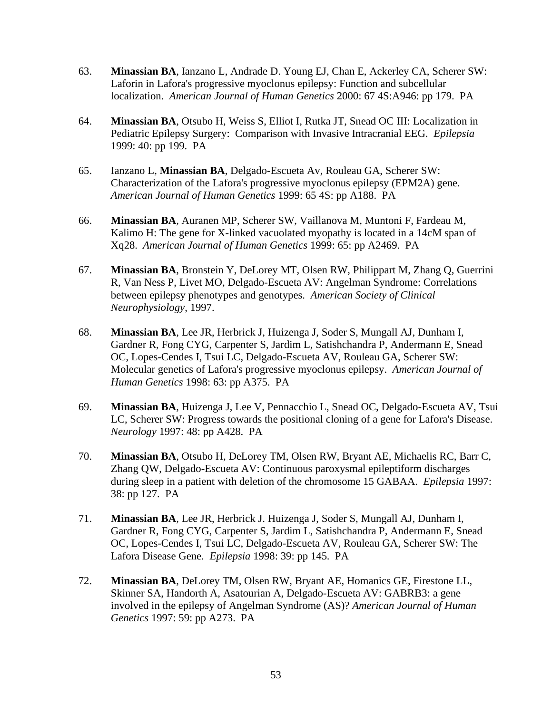- 63. **Minassian BA**, Ianzano L, Andrade D. Young EJ, Chan E, Ackerley CA, Scherer SW: Laforin in Lafora's progressive myoclonus epilepsy: Function and subcellular localization. *American Journal of Human Genetics* 2000: 67 4S:A946: pp 179. PA
- 64. **Minassian BA**, Otsubo H, Weiss S, Elliot I, Rutka JT, Snead OC III: Localization in Pediatric Epilepsy Surgery: Comparison with Invasive Intracranial EEG. *Epilepsia*  1999: 40: pp 199. PA
- 65. Ianzano L, **Minassian BA**, Delgado-Escueta Av, Rouleau GA, Scherer SW: Characterization of the Lafora's progressive myoclonus epilepsy (EPM2A) gene. *American Journal of Human Genetics* 1999: 65 4S: pp A188. PA
- 66. **Minassian BA**, Auranen MP, Scherer SW, Vaillanova M, Muntoni F, Fardeau M, Kalimo H: The gene for X-linked vacuolated myopathy is located in a 14cM span of Xq28. *American Journal of Human Genetics* 1999: 65: pp A2469. PA
- 67. **Minassian BA**, Bronstein Y, DeLorey MT, Olsen RW, Philippart M, Zhang Q, Guerrini R, Van Ness P, Livet MO, Delgado-Escueta AV: Angelman Syndrome: Correlations between epilepsy phenotypes and genotypes. *American Society of Clinical Neurophysiology*, 1997.
- 68. **Minassian BA**, Lee JR, Herbrick J, Huizenga J, Soder S, Mungall AJ, Dunham I, Gardner R, Fong CYG, Carpenter S, Jardim L, Satishchandra P, Andermann E, Snead OC, Lopes-Cendes I, Tsui LC, Delgado-Escueta AV, Rouleau GA, Scherer SW: Molecular genetics of Lafora's progressive myoclonus epilepsy. *American Journal of Human Genetics* 1998: 63: pp A375. PA
- 69. **Minassian BA**, Huizenga J, Lee V, Pennacchio L, Snead OC, Delgado-Escueta AV, Tsui LC, Scherer SW: Progress towards the positional cloning of a gene for Lafora's Disease. *Neurology* 1997: 48: pp A428. PA
- 70. **Minassian BA**, Otsubo H, DeLorey TM, Olsen RW, Bryant AE, Michaelis RC, Barr C, Zhang QW, Delgado-Escueta AV: Continuous paroxysmal epileptiform discharges during sleep in a patient with deletion of the chromosome 15 GABAA. *Epilepsia* 1997: 38: pp 127. PA
- 71. **Minassian BA**, Lee JR, Herbrick J. Huizenga J, Soder S, Mungall AJ, Dunham I, Gardner R, Fong CYG, Carpenter S, Jardim L, Satishchandra P, Andermann E, Snead OC, Lopes-Cendes I, Tsui LC, Delgado-Escueta AV, Rouleau GA, Scherer SW: The Lafora Disease Gene. *Epilepsia* 1998: 39: pp 145. PA
- 72. **Minassian BA**, DeLorey TM, Olsen RW, Bryant AE, Homanics GE, Firestone LL, Skinner SA, Handorth A, Asatourian A, Delgado-Escueta AV: GABRB3: a gene involved in the epilepsy of Angelman Syndrome (AS)? *American Journal of Human Genetics* 1997: 59: pp A273. PA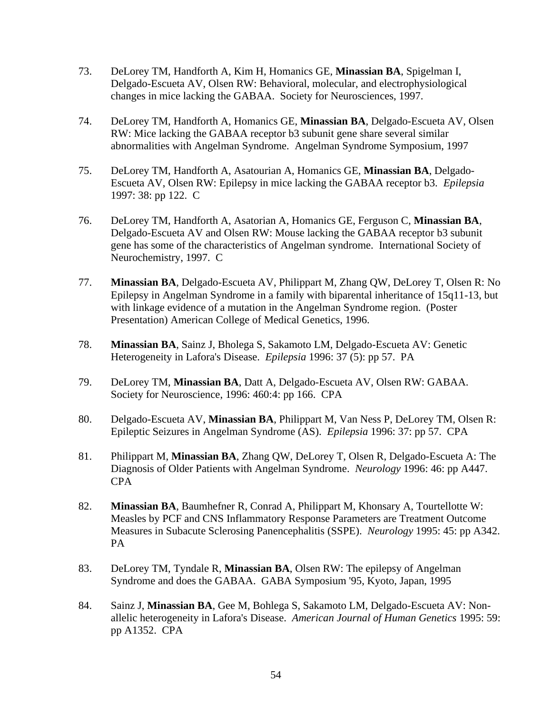- 73. DeLorey TM, Handforth A, Kim H, Homanics GE, **Minassian BA**, Spigelman I, Delgado-Escueta AV, Olsen RW: Behavioral, molecular, and electrophysiological changes in mice lacking the GABAA. Society for Neurosciences, 1997.
- 74. DeLorey TM, Handforth A, Homanics GE, **Minassian BA**, Delgado-Escueta AV, Olsen RW: Mice lacking the GABAA receptor b3 subunit gene share several similar abnormalities with Angelman Syndrome. Angelman Syndrome Symposium, 1997
- 75. DeLorey TM, Handforth A, Asatourian A, Homanics GE, **Minassian BA**, Delgado-Escueta AV, Olsen RW: Epilepsy in mice lacking the GABAA receptor b3. *Epilepsia* 1997: 38: pp 122. C
- 76. DeLorey TM, Handforth A, Asatorian A, Homanics GE, Ferguson C, **Minassian BA**, Delgado-Escueta AV and Olsen RW: Mouse lacking the GABAA receptor b3 subunit gene has some of the characteristics of Angelman syndrome. International Society of Neurochemistry, 1997. C
- 77. **Minassian BA**, Delgado-Escueta AV, Philippart M, Zhang QW, DeLorey T, Olsen R: No Epilepsy in Angelman Syndrome in a family with biparental inheritance of 15q11-13, but with linkage evidence of a mutation in the Angelman Syndrome region. (Poster Presentation) American College of Medical Genetics, 1996.
- 78. **Minassian BA**, Sainz J, Bholega S, Sakamoto LM, Delgado-Escueta AV: Genetic Heterogeneity in Lafora's Disease. *Epilepsia* 1996: 37 (5): pp 57. PA
- 79. DeLorey TM, **Minassian BA**, Datt A, Delgado-Escueta AV, Olsen RW: GABAA. Society for Neuroscience, 1996: 460:4: pp 166. CPA
- 80. Delgado-Escueta AV, **Minassian BA**, Philippart M, Van Ness P, DeLorey TM, Olsen R: Epileptic Seizures in Angelman Syndrome (AS). *Epilepsia* 1996: 37: pp 57. CPA
- 81. Philippart M, **Minassian BA**, Zhang QW, DeLorey T, Olsen R, Delgado-Escueta A: The Diagnosis of Older Patients with Angelman Syndrome. *Neurology* 1996: 46: pp A447. CPA
- 82. **Minassian BA**, Baumhefner R, Conrad A, Philippart M, Khonsary A, Tourtellotte W: Measles by PCF and CNS Inflammatory Response Parameters are Treatment Outcome Measures in Subacute Sclerosing Panencephalitis (SSPE). *Neurology* 1995: 45: pp A342. PA
- 83. DeLorey TM, Tyndale R, **Minassian BA**, Olsen RW: The epilepsy of Angelman Syndrome and does the GABAA. GABA Symposium '95, Kyoto, Japan, 1995
- 84. Sainz J, **Minassian BA**, Gee M, Bohlega S, Sakamoto LM, Delgado-Escueta AV: Nonallelic heterogeneity in Lafora's Disease. *American Journal of Human Genetics* 1995: 59: pp A1352. CPA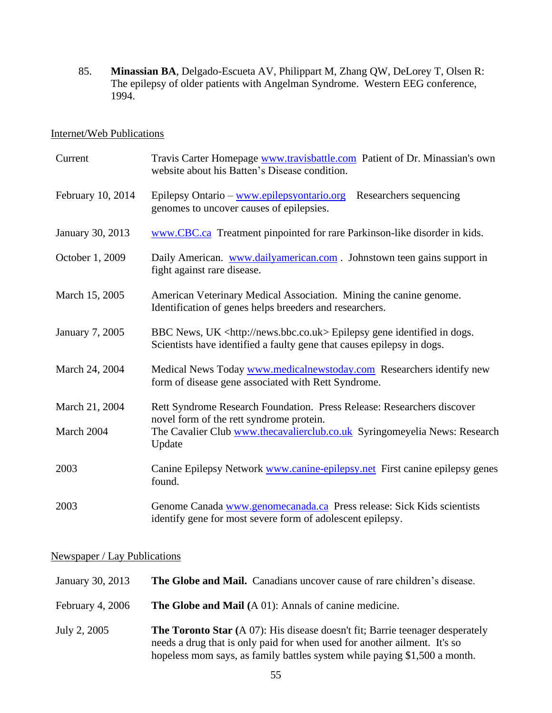85. **Minassian BA**, Delgado-Escueta AV, Philippart M, Zhang QW, DeLorey T, Olsen R: The epilepsy of older patients with Angelman Syndrome. Western EEG conference, 1994.

#### Internet/Web Publications

| Current           | Travis Carter Homepage www.travisbattle.com Patient of Dr. Minassian's own<br>website about his Batten's Disease condition.                                 |
|-------------------|-------------------------------------------------------------------------------------------------------------------------------------------------------------|
| February 10, 2014 | Epilepsy Ontario - www.epilepsyontario.org<br>Researchers sequencing<br>genomes to uncover causes of epilepsies.                                            |
| January 30, 2013  | www.CBC.ca Treatment pinpointed for rare Parkinson-like disorder in kids.                                                                                   |
| October 1, 2009   | Daily American. www.dailyamerican.com. Johnstown teen gains support in<br>fight against rare disease.                                                       |
| March 15, 2005    | American Veterinary Medical Association. Mining the canine genome.<br>Identification of genes helps breeders and researchers.                               |
| January 7, 2005   | BBC News, UK <http: news.bbc.co.uk=""> Epilepsy gene identified in dogs.<br/>Scientists have identified a faulty gene that causes epilepsy in dogs.</http:> |
| March 24, 2004    | Medical News Today www.medicalnewstoday.com Researchers identify new<br>form of disease gene associated with Rett Syndrome.                                 |
| March 21, 2004    | Rett Syndrome Research Foundation. Press Release: Researchers discover                                                                                      |
| March 2004        | novel form of the rett syndrome protein.<br>The Cavalier Club www.thecavalierclub.co.uk Syringomeyelia News: Research<br>Update                             |
| 2003              | Canine Epilepsy Network www.canine-epilepsy.net First canine epilepsy genes<br>found.                                                                       |
| 2003              | Genome Canada www.genomecanada.ca Press release: Sick Kids scientists<br>identify gene for most severe form of adolescent epilepsy.                         |

## Newspaper / Lay Publications

| January 30, 2013 | The Globe and Mail. Canadians uncover cause of rare children's disease.                                                                                                                                                                        |
|------------------|------------------------------------------------------------------------------------------------------------------------------------------------------------------------------------------------------------------------------------------------|
| February 4, 2006 | The Globe and Mail (A 01): Annals of canine medicine.                                                                                                                                                                                          |
| July 2, 2005     | <b>The Toronto Star</b> (A 07): His disease doesn't fit; Barrie teenager desperately<br>needs a drug that is only paid for when used for another ailment. It's so<br>hopeless mom says, as family battles system while paying \$1,500 a month. |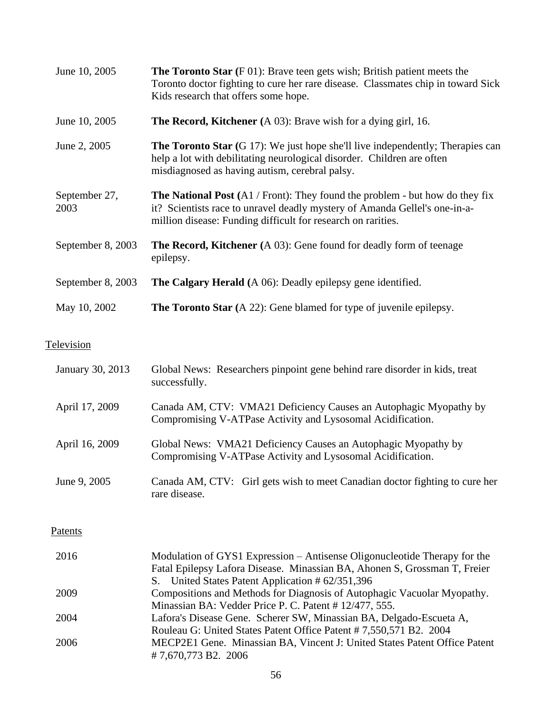| June 10, 2005         | <b>The Toronto Star</b> $(F 01)$ : Brave teen gets wish; British patient meets the<br>Toronto doctor fighting to cure her rare disease. Classmates chip in toward Sick<br>Kids research that offers some hope.                    |
|-----------------------|-----------------------------------------------------------------------------------------------------------------------------------------------------------------------------------------------------------------------------------|
| June 10, 2005         | <b>The Record, Kitchener</b> (A 03): Brave wish for a dying girl, 16.                                                                                                                                                             |
| June 2, 2005          | <b>The Toronto Star</b> $(G 17)$ : We just hope she'll live independently; Therapies can<br>help a lot with debilitating neurological disorder. Children are often<br>misdiagnosed as having autism, cerebral palsy.              |
| September 27,<br>2003 | <b>The National Post</b> (A1 / Front): They found the problem - but how do they fix<br>it? Scientists race to unravel deadly mystery of Amanda Gellel's one-in-a-<br>million disease: Funding difficult for research on rarities. |
| September 8, 2003     | <b>The Record, Kitchener</b> (A 03): Gene found for deadly form of teenage<br>epilepsy.                                                                                                                                           |
| September 8, 2003     | <b>The Calgary Herald</b> (A 06): Deadly epilepsy gene identified.                                                                                                                                                                |
| May 10, 2002          | <b>The Toronto Star</b> (A 22): Gene blamed for type of juvenile epilepsy.                                                                                                                                                        |

# **Television**

| January 30, 2013 | Global News: Researchers pinpoint gene behind rare disorder in kids, treat<br>successfully.                                                                                                                |
|------------------|------------------------------------------------------------------------------------------------------------------------------------------------------------------------------------------------------------|
| April 17, 2009   | Canada AM, CTV: VMA21 Deficiency Causes an Autophagic Myopathy by<br>Compromising V-ATPase Activity and Lysosomal Acidification.                                                                           |
| April 16, 2009   | Global News: VMA21 Deficiency Causes an Autophagic Myopathy by<br>Compromising V-ATPase Activity and Lysosomal Acidification.                                                                              |
| June 9, 2005     | Canada AM, CTV: Girl gets wish to meet Canadian doctor fighting to cure her<br>rare disease.                                                                                                               |
| Patents          |                                                                                                                                                                                                            |
| 2016             | Modulation of GYS1 Expression – Antisense Oligonucleotide Therapy for the<br>Fatal Epilepsy Lafora Disease. Minassian BA, Ahonen S, Grossman T, Freier<br>S. United States Patent Application # 62/351,396 |
| 2009             | Compositions and Methods for Diagnosis of Autophagic Vacuolar Myopathy.<br>Minassian BA: Vedder Price P. C. Patent # 12/477, 555.                                                                          |
| 2004             | Lafora's Disease Gene. Scherer SW, Minassian BA, Delgado-Escueta A,<br>Rouleau G: United States Patent Office Patent # 7,550,571 B2. 2004                                                                  |
| 2006             | MECP2E1 Gene. Minassian BA, Vincent J: United States Patent Office Patent<br>#7,670,773 B2. 2006                                                                                                           |